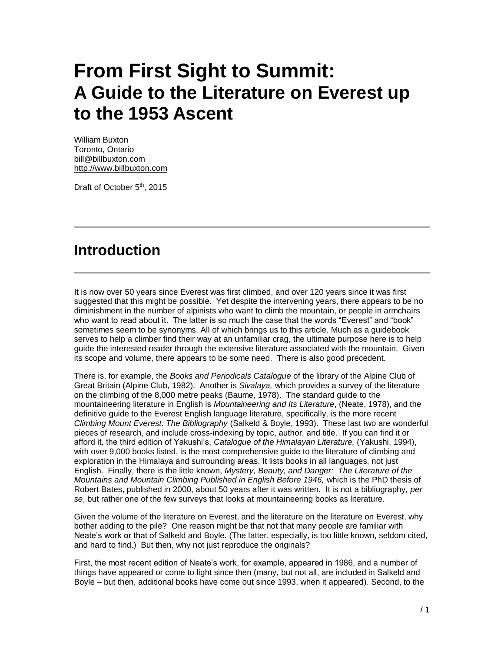# **From First Sight to Summit: A Guide to the Literature on Everest up to the 1953 Ascent**

William Buxton Toronto, Ontario bill@billbuxton.com [http://www.billbuxton.com](http://www.billbuxton.com/)

Draft of October 5<sup>th</sup>, 2015

## **Introduction**

It is now over 50 years since Everest was first climbed, and over 120 years since it was first suggested that this might be possible. Yet despite the intervening years, there appears to be no diminishment in the number of alpinists who want to climb the mountain, or people in armchairs who want to read about it. The latter is so much the case that the words "Everest" and "book" sometimes seem to be synonyms. All of which brings us to this article. Much as a guidebook serves to help a climber find their way at an unfamiliar crag, the ultimate purpose here is to help guide the interested reader through the extensive literature associated with the mountain. Given its scope and volume, there appears to be some need. There is also good precedent.

There is, for example, the *Books and Periodicals Catalogue* of the library of the Alpine Club of Great Britain (Alpine Club, 1982). Another is *Sivalaya,* which provides a survey of the literature on the climbing of the 8,000 metre peaks (Baume, 1978). The standard guide to the mountaineering literature in English is *Mountaineering and Its Literature*, (Neate, 1978), and the definitive guide to the Everest English language literature, specifically, is the more recent *Climbing Mount Everest: The Bibliography* (Salkeld & Boyle, 1993). These last two are wonderful pieces of research, and include cross-indexing by topic, author, and title. If you can find it or afford it, the third edition of Yakushi's, *Catalogue of the Himalayan Literature,* (Yakushi, 1994), with over 9,000 books listed, is the most comprehensive guide to the literature of climbing and exploration in the Himalaya and surrounding areas. It lists books in all languages, not just English. Finally, there is the little known, *Mystery, Beauty, and Danger: The Literature of the Mountains and Mountain Climbing Published in English Before 1946,* which is the PhD thesis of Robert Bates, published in 2000, about 50 years after it was written. It is not a bibliography, *per se*, but rather one of the few surveys that looks at mountaineering books as literature.

Given the volume of the literature on Everest, and the literature on the literature on Everest, why bother adding to the pile? One reason might be that not that many people are familiar with Neate's work or that of Salkeld and Boyle. (The latter, especially, is too little known, seldom cited, and hard to find.) But then, why not just reproduce the originals?

First, the most recent edition of Neate's work, for example, appeared in 1986, and a number of things have appeared or come to light since then (many, but not all, are included in Salkeld and Boyle – but then, additional books have come out since 1993, when it appeared). Second, to the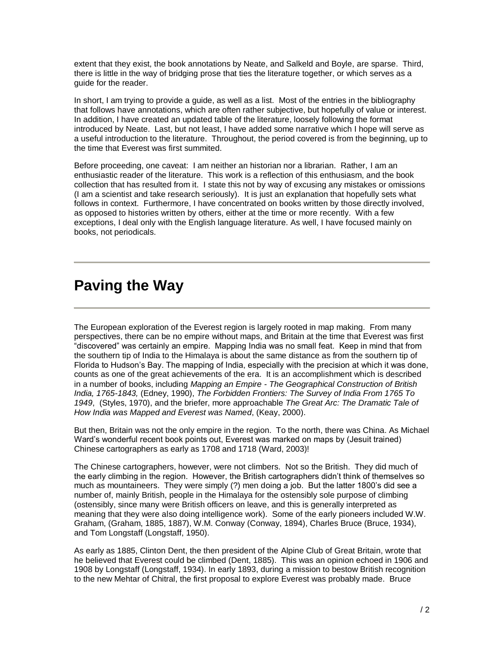extent that they exist, the book annotations by Neate, and Salkeld and Boyle, are sparse. Third, there is little in the way of bridging prose that ties the literature together, or which serves as a quide for the reader.

In short, I am trying to provide a guide, as well as a list. Most of the entries in the bibliography that follows have annotations, which are often rather subjective, but hopefully of value or interest. In addition, I have created an updated table of the literature, loosely following the format introduced by Neate. Last, but not least, I have added some narrative which I hope will serve as a useful introduction to the literature. Throughout, the period covered is from the beginning, up to the time that Everest was first summited.

Before proceeding, one caveat: I am neither an historian nor a librarian. Rather, I am an enthusiastic reader of the literature. This work is a reflection of this enthusiasm, and the book collection that has resulted from it. I state this not by way of excusing any mistakes or omissions (I am a scientist and take research seriously). It is just an explanation that hopefully sets what follows in context. Furthermore, I have concentrated on books written by those directly involved, as opposed to histories written by others, either at the time or more recently. With a few exceptions, I deal only with the English language literature. As well, I have focused mainly on books, not periodicals.

## **Paving the Way**

The European exploration of the Everest region is largely rooted in map making. From many perspectives, there can be no empire without maps, and Britain at the time that Everest was first "discovered" was certainly an empire. Mapping India was no small feat. Keep in mind that from the southern tip of India to the Himalaya is about the same distance as from the southern tip of Florida to Hudson's Bay. The mapping of India, especially with the precision at which it was done, counts as one of the great achievements of the era. It is an accomplishment which is described in a number of books, including *Mapping an Empire - The Geographical Construction of British India, 1765-1843,* (Edney, 1990), *The Forbidden Frontiers: The Survey of India From 1765 To 1949*, (Styles, 1970), and the briefer, more approachable *The Great Arc: The Dramatic Tale of How India was Mapped and Everest was Named*, (Keay, 2000).

But then, Britain was not the only empire in the region. To the north, there was China. As Michael Ward's wonderful recent book points out, Everest was marked on maps by (Jesuit trained) Chinese cartographers as early as 1708 and 1718 (Ward, 2003)!

The Chinese cartographers, however, were not climbers. Not so the British. They did much of the early climbing in the region. However, the British cartographers didn't think of themselves so much as mountaineers. They were simply (?) men doing a job. But the latter 1800's did see a number of, mainly British, people in the Himalaya for the ostensibly sole purpose of climbing (ostensibly, since many were British officers on leave, and this is generally interpreted as meaning that they were also doing intelligence work). Some of the early pioneers included W.W. Graham, (Graham, 1885, 1887), W.M. Conway (Conway, 1894), Charles Bruce (Bruce, 1934), and Tom Longstaff (Longstaff, 1950).

As early as 1885, Clinton Dent, the then president of the Alpine Club of Great Britain, wrote that he believed that Everest could be climbed (Dent, 1885). This was an opinion echoed in 1906 and 1908 by Longstaff (Longstaff, 1934). In early 1893, during a mission to bestow British recognition to the new Mehtar of Chitral, the first proposal to explore Everest was probably made. Bruce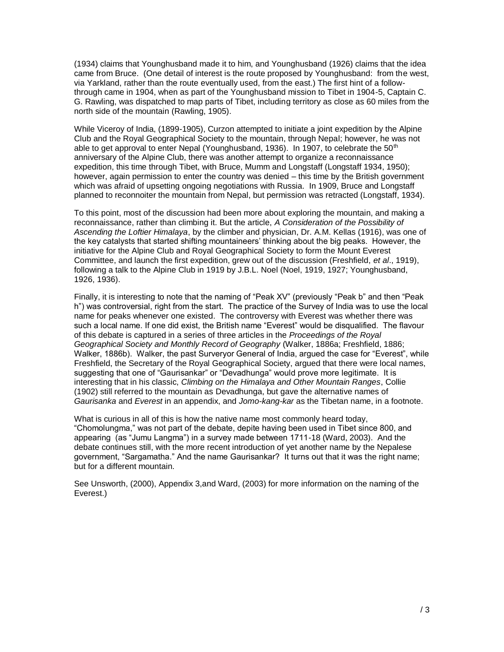(1934) claims that Younghusband made it to him, and Younghusband (1926) claims that the idea came from Bruce. (One detail of interest is the route proposed by Younghusband: from the west, via Yarkland, rather than the route eventually used, from the east.) The first hint of a followthrough came in 1904, when as part of the Younghusband mission to Tibet in 1904-5, Captain C. G. Rawling, was dispatched to map parts of Tibet, including territory as close as 60 miles from the north side of the mountain (Rawling, 1905).

While Viceroy of India, (1899-1905), Curzon attempted to initiate a joint expedition by the Alpine Club and the Royal Geographical Society to the mountain, through Nepal; however, he was not able to get approval to enter Nepal (Younghusband, 1936). In 1907, to celebrate the  $50<sup>th</sup>$ anniversary of the Alpine Club, there was another attempt to organize a reconnaissance expedition, this time through Tibet, with Bruce, Mumm and Longstaff (Longstaff 1934, 1950); however, again permission to enter the country was denied – this time by the British government which was afraid of upsetting ongoing negotiations with Russia. In 1909, Bruce and Longstaff planned to reconnoiter the mountain from Nepal, but permission was retracted (Longstaff, 1934).

To this point, most of the discussion had been more about exploring the mountain, and making a reconnaissance, rather than climbing it. But the article, *A Consideration of the Possibility of Ascending the Loftier Himalaya*, by the climber and physician, Dr. A.M. Kellas (1916), was one of the key catalysts that started shifting mountaineers' thinking about the big peaks. However, the initiative for the Alpine Club and Royal Geographical Society to form the Mount Everest Committee, and launch the first expedition, grew out of the discussion (Freshfield, *et al*., 1919), following a talk to the Alpine Club in 1919 by J.B.L. Noel (Noel, 1919, 1927; Younghusband, 1926, 1936).

Finally, it is interesting to note that the naming of "Peak XV" (previously "Peak b" and then "Peak h") was controversial, right from the start. The practice of the Survey of India was to use the local name for peaks whenever one existed. The controversy with Everest was whether there was such a local name. If one did exist, the British name "Everest" would be disqualified. The flavour of this debate is captured in a series of three articles in the *Proceedings of the Royal*  Geographical Society and Monthly Record of Geography (Walker, 1886a; Freshfield, 1886; Walker, 1886b). Walker, the past Surveryor General of India, argued the case for "Everest", while Freshfield, the Secretary of the Royal Geographical Society, argued that there were local names, suggesting that one of "Gaurisankar" or "Devadhunga" would prove more legitimate. It is interesting that in his classic, *Climbing on the Himalaya and Other Mountain Ranges*, Collie (1902) still referred to the mountain as Devadhunga, but gave the alternative names of *Gaurisanka* and *Everest* in an appendix, and *Jomo-kang-kar* as the Tibetan name, in a footnote.

What is curious in all of this is how the native name most commonly heard today, "Chomolungma," was not part of the debate, depite having been used in Tibet since 800, and appearing (as "Jumu Langma") in a survey made between 1711-18 (Ward, 2003). And the debate continues still, with the more recent introduction of yet another name by the Nepalese government, "Sargamatha." And the name Gaurisankar? It turns out that it was the right name; but for a different mountain.

See Unsworth, (2000), Appendix 3,and Ward, (2003) for more information on the naming of the Everest.)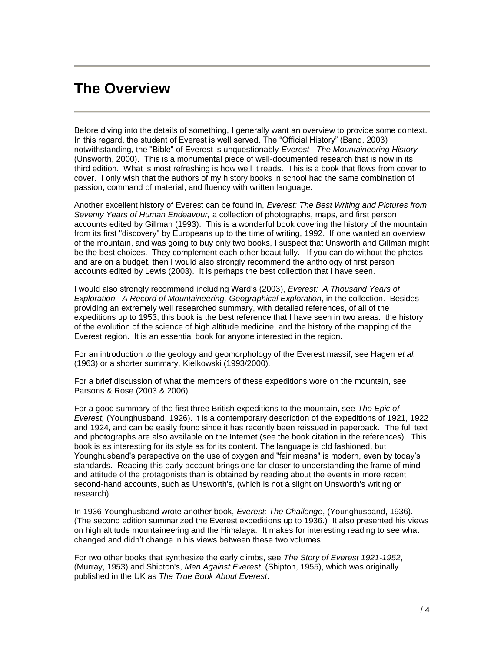#### **The Overview**

Before diving into the details of something, I generally want an overview to provide some context. In this regard, the student of Everest is well served. The "Official History" (Band, 2003) notwithstanding, the "Bible" of Everest is unquestionably *Everest - The Mountaineering History*  (Unsworth, 2000). This is a monumental piece of well-documented research that is now in its third edition. What is most refreshing is how well it reads. This is a book that flows from cover to cover. I only wish that the authors of my history books in school had the same combination of passion, command of material, and fluency with written language.

Another excellent history of Everest can be found in, *Everest: The Best Writing and Pictures from Seventy Years of Human Endeavour,* a collection of photographs, maps, and first person accounts edited by Gillman (1993). This is a wonderful book covering the history of the mountain from its first "discovery" by Europeans up to the time of writing, 1992. If one wanted an overview of the mountain, and was going to buy only two books, I suspect that Unsworth and Gillman might be the best choices. They complement each other beautifully. If you can do without the photos, and are on a budget, then I would also strongly recommend the anthology of first person accounts edited by Lewis (2003). It is perhaps the best collection that I have seen.

I would also strongly recommend including Ward's (2003), *Everest: A Thousand Years of Exploration. A Record of Mountaineering, Geographical Exploration*, in the collection. Besides providing an extremely well researched summary, with detailed references, of all of the expeditions up to 1953, this book is the best reference that I have seen in two areas: the history of the evolution of the science of high altitude medicine, and the history of the mapping of the Everest region. It is an essential book for anyone interested in the region.

For an introduction to the geology and geomorphology of the Everest massif, see Hagen *et al.* (1963) or a shorter summary, Kielkowski (1993/2000).

For a brief discussion of what the members of these expeditions wore on the mountain, see Parsons & Rose (2003 & 2006).

For a good summary of the first three British expeditions to the mountain, see *The Epic of Everest,* (Younghusband, 1926). It is a contemporary description of the expeditions of 1921, 1922 and 1924, and can be easily found since it has recently been reissued in paperback. The full text and photographs are also available on the Internet (see the book citation in the references). This book is as interesting for its style as for its content. The language is old fashioned, but Younghusband's perspective on the use of oxygen and "fair means" is modern, even by today's standards. Reading this early account brings one far closer to understanding the frame of mind and attitude of the protagonists than is obtained by reading about the events in more recent second-hand accounts, such as Unsworth's, (which is not a slight on Unsworth's writing or research).

In 1936 Younghusband wrote another book, *Everest: The Challenge*, (Younghusband, 1936). (The second edition summarized the Everest expeditions up to 1936.) It also presented his views on high altitude mountaineering and the Himalaya. It makes for interesting reading to see what changed and didn't change in his views between these two volumes.

For two other books that synthesize the early climbs, see *The Story of Everest 1921-1952*, (Murray, 1953) and Shipton's, *Men Against Everest* (Shipton, 1955), which was originally published in the UK as *The True Book About Everest*.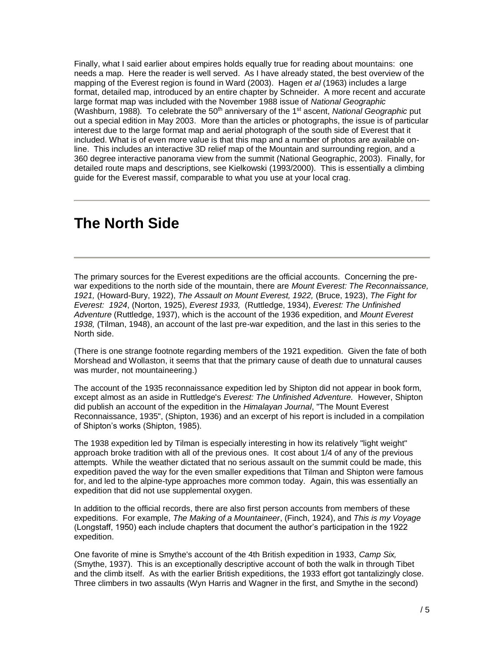Finally, what I said earlier about empires holds equally true for reading about mountains: one needs a map. Here the reader is well served. As I have already stated, the best overview of the mapping of the Everest region is found in Ward (2003). Hagen *et al* (1963) includes a large format, detailed map, introduced by an entire chapter by Schneider. A more recent and accurate large format map was included with the November 1988 issue of *National Geographic*  (Washburn, 1988). To celebrate the 50<sup>th</sup> anniversary of the 1<sup>st</sup> ascent, *National Geographic* put out a special edition in May 2003. More than the articles or photographs, the issue is of particular interest due to the large format map and aerial photograph of the south side of Everest that it included. What is of even more value is that this map and a number of photos are available online. This includes an interactive 3D relief map of the Mountain and surrounding region, and a 360 degree interactive panorama view from the summit (National Geographic, 2003). Finally, for detailed route maps and descriptions, see Kielkowski (1993/2000). This is essentially a climbing guide for the Everest massif, comparable to what you use at your local crag.

#### **The North Side**

The primary sources for the Everest expeditions are the official accounts. Concerning the prewar expeditions to the north side of the mountain, there are *Mount Everest: The Reconnaissance, 1921,* (Howard-Bury, 1922), *The Assault on Mount Everest, 1922,* (Bruce, 1923), *The Fight for Everest: 1924*, (Norton, 1925), *Everest 1933,* (Ruttledge, 1934), *Everest: The Unfinished Adventure* (Ruttledge, 1937), which is the account of the 1936 expedition, and *Mount Everest 1938,* (Tilman, 1948), an account of the last pre-war expedition, and the last in this series to the North side.

(There is one strange footnote regarding members of the 1921 expedition. Given the fate of both Morshead and Wollaston, it seems that that the primary cause of death due to unnatural causes was murder, not mountaineering.)

The account of the 1935 reconnaissance expedition led by Shipton did not appear in book form, except almost as an aside in Ruttledge's *Everest: The Unfinished Adventure.* However, Shipton did publish an account of the expedition in the *Himalayan Journal*, "The Mount Everest Reconnaissance, 1935", (Shipton, 1936) and an excerpt of his report is included in a compilation of Shipton's works (Shipton, 1985).

The 1938 expedition led by Tilman is especially interesting in how its relatively "light weight" approach broke tradition with all of the previous ones. It cost about 1/4 of any of the previous attempts. While the weather dictated that no serious assault on the summit could be made, this expedition paved the way for the even smaller expeditions that Tilman and Shipton were famous for, and led to the alpine-type approaches more common today. Again, this was essentially an expedition that did not use supplemental oxygen.

In addition to the official records, there are also first person accounts from members of these expeditions. For example, *The Making of a Mountaineer*, (Finch, 1924), and *This is my Voyage* (Longstaff, 1950) each include chapters that document the author's participation in the 1922 expedition.

One favorite of mine is Smythe's account of the 4th British expedition in 1933, *Camp Six,* (Smythe, 1937). This is an exceptionally descriptive account of both the walk in through Tibet and the climb itself. As with the earlier British expeditions, the 1933 effort got tantalizingly close. Three climbers in two assaults (Wyn Harris and Wagner in the first, and Smythe in the second)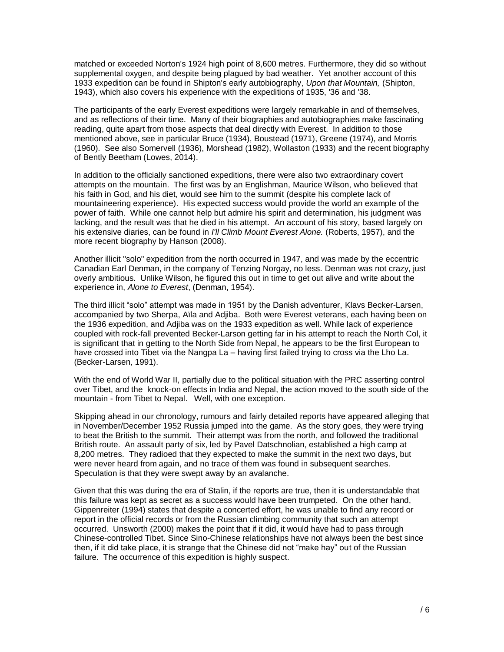matched or exceeded Norton's 1924 high point of 8,600 metres. Furthermore, they did so without supplemental oxygen, and despite being plagued by bad weather. Yet another account of this 1933 expedition can be found in Shipton's early autobiography, *Upon that Mountain,* (Shipton, 1943), which also covers his experience with the expeditions of 1935, '36 and '38.

The participants of the early Everest expeditions were largely remarkable in and of themselves, and as reflections of their time. Many of their biographies and autobiographies make fascinating reading, quite apart from those aspects that deal directly with Everest. In addition to those mentioned above, see in particular Bruce (1934), Boustead (1971), Greene (1974), and Morris (1960). See also Somervell (1936), Morshead (1982), Wollaston (1933) and the recent biography of Bently Beetham (Lowes, 2014).

In addition to the officially sanctioned expeditions, there were also two extraordinary covert attempts on the mountain. The first was by an Englishman, Maurice Wilson, who believed that his faith in God, and his diet, would see him to the summit (despite his complete lack of mountaineering experience). His expected success would provide the world an example of the power of faith. While one cannot help but admire his spirit and determination, his judgment was lacking, and the result was that he died in his attempt. An account of his story, based largely on his extensive diaries, can be found in *I'll Climb Mount Everest Alone.* (Roberts, 1957), and the more recent biography by Hanson (2008).

Another illicit "solo" expedition from the north occurred in 1947, and was made by the eccentric Canadian Earl Denman, in the company of Tenzing Norgay, no less. Denman was not crazy, just overly ambitious. Unlike Wilson, he figured this out in time to get out alive and write about the experience in, *Alone to Everest*, (Denman, 1954).

The third illicit "solo" attempt was made in 1951 by the Danish adventurer, Klavs Becker-Larsen, accompanied by two Sherpa, Aïla and Adjiba. Both were Everest veterans, each having been on the 1936 expedition, and Adjiba was on the 1933 expedition as well. While lack of experience coupled with rock-fall prevented Becker-Larson getting far in his attempt to reach the North Col, it is significant that in getting to the North Side from Nepal, he appears to be the first European to have crossed into Tibet via the Nangpa La – having first failed trying to cross via the Lho La. (Becker-Larsen, 1991).

With the end of World War II, partially due to the political situation with the PRC asserting control over Tibet, and the knock-on effects in India and Nepal, the action moved to the south side of the mountain - from Tibet to Nepal. Well, with one exception.

Skipping ahead in our chronology, rumours and fairly detailed reports have appeared alleging that in November/December 1952 Russia jumped into the game. As the story goes, they were trying to beat the British to the summit. Their attempt was from the north, and followed the traditional British route. An assault party of six, led by Pavel Datschnolian, established a high camp at 8,200 metres. They radioed that they expected to make the summit in the next two days, but were never heard from again, and no trace of them was found in subsequent searches. Speculation is that they were swept away by an avalanche.

Given that this was during the era of Stalin, if the reports are true, then it is understandable that this failure was kept as secret as a success would have been trumpeted. On the other hand, Gippenreiter (1994) states that despite a concerted effort, he was unable to find any record or report in the official records or from the Russian climbing community that such an attempt occurred. Unsworth (2000) makes the point that if it did, it would have had to pass through Chinese-controlled Tibet. Since Sino-Chinese relationships have not always been the best since then, if it did take place, it is strange that the Chinese did not "make hay" out of the Russian failure. The occurrence of this expedition is highly suspect.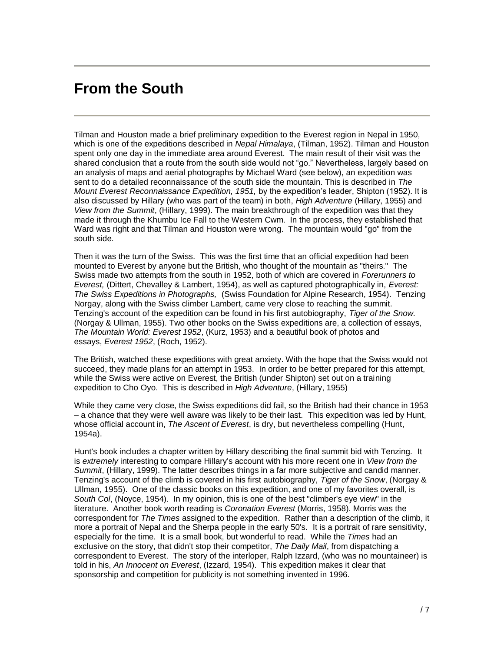#### **From the South**

Tilman and Houston made a brief preliminary expedition to the Everest region in Nepal in 1950, which is one of the expeditions described in *Nepal Himalaya*, (Tilman, 1952). Tilman and Houston spent only one day in the immediate area around Everest. The main result of their visit was the shared conclusion that a route from the south side would not "go." Nevertheless, largely based on an analysis of maps and aerial photographs by Michael Ward (see below), an expedition was sent to do a detailed reconnaissance of the south side the mountain. This is described in *The Mount Everest Reconnaissance Expedition, 1951,* by the expedition's leader, Shipton (1952). It is also discussed by Hillary (who was part of the team) in both, *High Adventure* (Hillary, 1955) and *View from the Summit*, (Hillary, 1999). The main breakthrough of the expedition was that they made it through the Khumbu Ice Fall to the Western Cwm. In the process, they established that Ward was right and that Tilman and Houston were wrong. The mountain would "go" from the south side*.*

Then it was the turn of the Swiss. This was the first time that an official expedition had been mounted to Everest by anyone but the British, who thought of the mountain as "theirs." The Swiss made two attempts from the south in 1952, both of which are covered in *Forerunners to Everest,* (Dittert, Chevalley & Lambert, 1954), as well as captured photographically in, *Everest: The Swiss Expeditions in Photographs,* (Swiss Foundation for Alpine Research, 1954). Tenzing Norgay, along with the Swiss climber Lambert, came very close to reaching the summit. Tenzing's account of the expedition can be found in his first autobiography, *Tiger of the Snow.* (Norgay & Ullman, 1955). Two other books on the Swiss expeditions are, a collection of essays, *The Mountain World: Everest 1952*, (Kurz, 1953) and a beautiful book of photos and essays, *Everest 1952*, (Roch, 1952).

The British, watched these expeditions with great anxiety. With the hope that the Swiss would not succeed, they made plans for an attempt in 1953. In order to be better prepared for this attempt, while the Swiss were active on Everest, the British (under Shipton) set out on a training expedition to Cho Oyo. This is described in *High Adventure*, (Hillary, 1955)

While they came very close, the Swiss expeditions did fail, so the British had their chance in 1953 – a chance that they were well aware was likely to be their last. This expedition was led by Hunt, whose official account in, *The Ascent of Everest*, is dry, but nevertheless compelling (Hunt, 1954a).

Hunt's book includes a chapter written by Hillary describing the final summit bid with Tenzing. It is *extremely* interesting to compare Hillary's account with his more recent one in *View from the Summit*, (Hillary, 1999). The latter describes things in a far more subjective and candid manner. Tenzing's account of the climb is covered in his first autobiography, *Tiger of the Snow*, (Norgay & Ullman, 1955). One of the classic books on this expedition, and one of my favorites overall, is *South Col*, (Noyce, 1954). In my opinion, this is one of the best "climber's eye view" in the literature. Another book worth reading is *Coronation Everest* (Morris, 1958). Morris was the correspondent for *The Times* assigned to the expedition. Rather than a description of the climb, it more a portrait of Nepal and the Sherpa people in the early 50's. It is a portrait of rare sensitivity, especially for the time. It is a small book, but wonderful to read. While the *Times* had an exclusive on the story, that didn't stop their competitor, *The Daily Mail*, from dispatching a correspondent to Everest. The story of the interloper, Ralph Izzard, (who was no mountaineer) is told in his, *An Innocent on Everest*, (Izzard, 1954). This expedition makes it clear that sponsorship and competition for publicity is not something invented in 1996.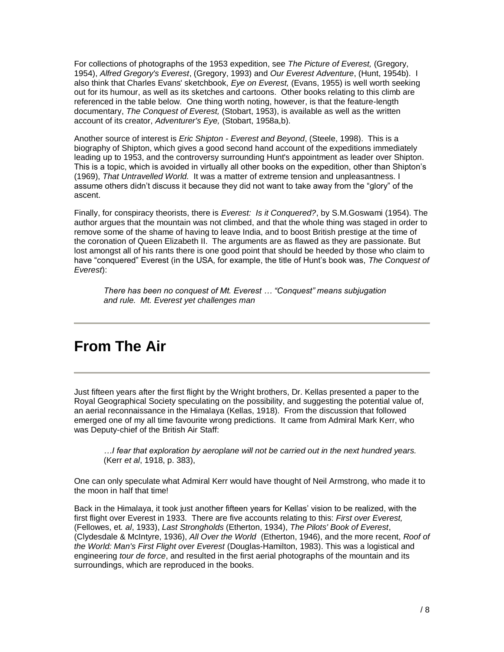For collections of photographs of the 1953 expedition, see *The Picture of Everest,* (Gregory, 1954), *Alfred Gregory's Everest*, (Gregory, 1993) and *Our Everest Adventure*, (Hunt, 1954b). I also think that Charles Evans' sketchbook, *Eye on Everest,* (Evans, 1955) is well worth seeking out for its humour, as well as its sketches and cartoons. Other books relating to this climb are referenced in the table below. One thing worth noting, however, is that the feature-length documentary, *The Conquest of Everest,* (Stobart, 1953), is available as well as the written account of its creator, *Adventurer's Eye,* (Stobart, 1958a,b).

Another source of interest is *Eric Shipton - Everest and Beyond*, (Steele, 1998). This is a biography of Shipton, which gives a good second hand account of the expeditions immediately leading up to 1953, and the controversy surrounding Hunt's appointment as leader over Shipton. This is a topic, which is avoided in virtually all other books on the expedition, other than Shipton's (1969), *That Untravelled World.* It was a matter of extreme tension and unpleasantness. I assume others didn't discuss it because they did not want to take away from the "glory" of the ascent.

Finally, for conspiracy theorists, there is *Everest: Is it Conquered?*, by S.M.Goswami (1954). The author argues that the mountain was not climbed, and that the whole thing was staged in order to remove some of the shame of having to leave India, and to boost British prestige at the time of the coronation of Queen Elizabeth II. The arguments are as flawed as they are passionate. But lost amongst all of his rants there is one good point that should be heeded by those who claim to have "conquered" Everest (in the USA, for example, the title of Hunt's book was, *The Conquest of Everest*):

*There has been no conquest of Mt. Everest … "Conquest" means subjugation and rule. Mt. Everest yet challenges man*

## **From The Air**

Just fifteen years after the first flight by the Wright brothers, Dr. Kellas presented a paper to the Royal Geographical Society speculating on the possibility, and suggesting the potential value of, an aerial reconnaissance in the Himalaya (Kellas, 1918). From the discussion that followed emerged one of my all time favourite wrong predictions. It came from Admiral Mark Kerr, who was Deputy-chief of the British Air Staff:

*…I fear that exploration by aeroplane will not be carried out in the next hundred years.*  (Kerr *et al*, 1918, p. 383),

One can only speculate what Admiral Kerr would have thought of Neil Armstrong, who made it to the moon in half that time!

Back in the Himalaya, it took just another fifteen years for Kellas' vision to be realized, with the first flight over Everest in 1933. There are five accounts relating to this: *First over Everest,* (Fellowes, et*. al*, 1933), *Last Strongholds* (Etherton, 1934), *The Pilots' Book of Everest*, (Clydesdale & McIntyre, 1936), *All Over the World* (Etherton, 1946), and the more recent, *Roof of the World: Man's First Flight over Everest* (Douglas-Hamilton, 1983). This was a logistical and engineering *tour de force*, and resulted in the first aerial photographs of the mountain and its surroundings, which are reproduced in the books.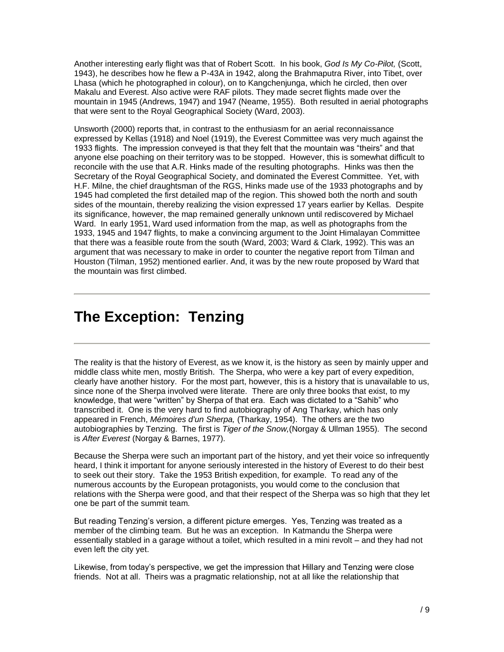Another interesting early flight was that of Robert Scott. In his book, *God Is My Co-Pilot,* (Scott, 1943), he describes how he flew a P-43A in 1942, along the Brahmaputra River, into Tibet, over Lhasa (which he photographed in colour), on to Kangchenjunga, which he circled, then over Makalu and Everest. Also active were RAF pilots. They made secret flights made over the mountain in 1945 (Andrews, 1947) and 1947 (Neame, 1955). Both resulted in aerial photographs that were sent to the Royal Geographical Society (Ward, 2003).

Unsworth (2000) reports that, in contrast to the enthusiasm for an aerial reconnaissance expressed by Kellas (1918) and Noel (1919), the Everest Committee was very much against the 1933 flights. The impression conveyed is that they felt that the mountain was "theirs" and that anyone else poaching on their territory was to be stopped. However, this is somewhat difficult to reconcile with the use that A.R. Hinks made of the resulting photographs. Hinks was then the Secretary of the Royal Geographical Society, and dominated the Everest Committee. Yet, with H.F. Milne, the chief draughtsman of the RGS, Hinks made use of the 1933 photographs and by 1945 had completed the first detailed map of the region. This showed both the north and south sides of the mountain, thereby realizing the vision expressed 17 years earlier by Kellas. Despite its significance, however, the map remained generally unknown until rediscovered by Michael Ward. In early 1951, Ward used information from the map, as well as photographs from the 1933, 1945 and 1947 flights, to make a convincing argument to the Joint Himalayan Committee that there was a feasible route from the south (Ward, 2003; Ward & Clark, 1992). This was an argument that was necessary to make in order to counter the negative report from Tilman and Houston (Tilman, 1952) mentioned earlier. And, it was by the new route proposed by Ward that the mountain was first climbed.

## **The Exception: Tenzing**

The reality is that the history of Everest, as we know it, is the history as seen by mainly upper and middle class white men, mostly British. The Sherpa, who were a key part of every expedition, clearly have another history. For the most part, however, this is a history that is unavailable to us, since none of the Sherpa involved were literate. There are only three books that exist, to my knowledge, that were "written" by Sherpa of that era. Each was dictated to a "Sahib" who transcribed it. One is the very hard to find autobiography of Ang Tharkay, which has only appeared in French, *Mémoires d'un Sherpa,* (Tharkay, 1954). The others are the two autobiographies by Tenzing. The first is *Tiger of the Snow,*(Norgay & Ullman 1955)*.* The second is *After Everest* (Norgay & Barnes, 1977)*.*

Because the Sherpa were such an important part of the history, and yet their voice so infrequently heard, I think it important for anyone seriously interested in the history of Everest to do their best to seek out their story. Take the 1953 British expedition, for example. To read any of the numerous accounts by the European protagonists, you would come to the conclusion that relations with the Sherpa were good, and that their respect of the Sherpa was so high that they let one be part of the summit team.

But reading Tenzing's version, a different picture emerges. Yes, Tenzing was treated as a member of the climbing team. But he was an exception. In Katmandu the Sherpa were essentially stabled in a garage without a toilet, which resulted in a mini revolt – and they had not even left the city yet.

Likewise, from today's perspective, we get the impression that Hillary and Tenzing were close friends. Not at all. Theirs was a pragmatic relationship, not at all like the relationship that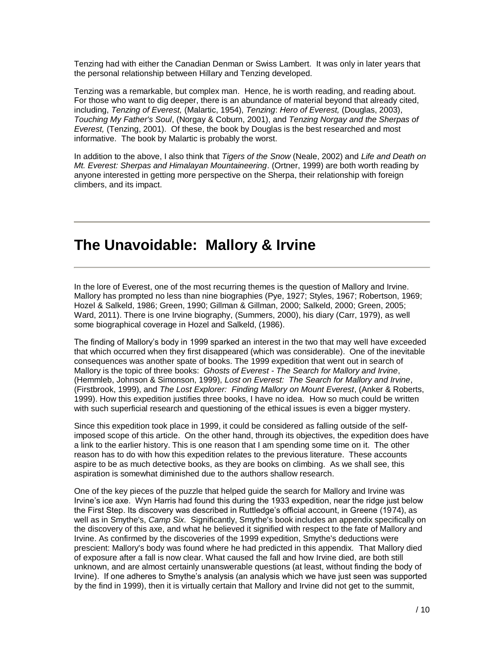Tenzing had with either the Canadian Denman or Swiss Lambert. It was only in later years that the personal relationship between Hillary and Tenzing developed.

Tenzing was a remarkable, but complex man. Hence, he is worth reading, and reading about. For those who want to dig deeper, there is an abundance of material beyond that already cited, including, *Tenzing of Everest,* (Malartic, 1954), *Tenzing*: *Hero of Everest,* (Douglas, 2003), *Touching My Father's Soul*, (Norgay & Coburn, 2001), and *Tenzing Norgay and the Sherpas of Everest,* (Tenzing, 2001). Of these, the book by Douglas is the best researched and most informative. The book by Malartic is probably the worst.

In addition to the above, I also think that *Tigers of the Snow* (Neale, 2002) and *Life and Death on Mt. Everest: Sherpas and Himalayan Mountaineering*. (Ortner, 1999) are both worth reading by anyone interested in getting more perspective on the Sherpa, their relationship with foreign climbers, and its impact.

## **The Unavoidable: Mallory & Irvine**

In the lore of Everest, one of the most recurring themes is the question of Mallory and Irvine. Mallory has prompted no less than nine biographies (Pye, 1927; Styles, 1967; Robertson, 1969; Hozel & Salkeld, 1986; Green, 1990; Gillman & Gillman, 2000; Salkeld, 2000; Green, 2005; Ward, 2011). There is one Irvine biography, (Summers, 2000), his diary (Carr, 1979), as well some biographical coverage in Hozel and Salkeld, (1986).

The finding of Mallory's body in 1999 sparked an interest in the two that may well have exceeded that which occurred when they first disappeared (which was considerable). One of the inevitable consequences was another spate of books. The 1999 expedition that went out in search of Mallory is the topic of three books: *Ghosts of Everest - The Search for Mallory and Irvine*, (Hemmleb, Johnson & Simonson, 1999), *Lost on Everest: The Search for Mallory and Irvine*, (Firstbrook, 1999), and *The Lost Explorer: Finding Mallory on Mount Everest*, (Anker & Roberts, 1999). How this expedition justifies three books, I have no idea. How so much could be written with such superficial research and questioning of the ethical issues is even a bigger mystery.

Since this expedition took place in 1999, it could be considered as falling outside of the selfimposed scope of this article. On the other hand, through its objectives, the expedition does have a link to the earlier history. This is one reason that I am spending some time on it. The other reason has to do with how this expedition relates to the previous literature. These accounts aspire to be as much detective books, as they are books on climbing. As we shall see, this aspiration is somewhat diminished due to the authors shallow research.

One of the key pieces of the puzzle that helped guide the search for Mallory and Irvine was Irvine's ice axe. Wyn Harris had found this during the 1933 expedition, near the ridge just below the First Step. Its discovery was described in Ruttledge's official account, in Greene (1974), as well as in Smythe's, *Camp Six*. Significantly, Smythe's book includes an appendix specifically on the discovery of this axe, and what he believed it signified with respect to the fate of Mallory and Irvine. As confirmed by the discoveries of the 1999 expedition, Smythe's deductions were prescient: Mallory's body was found where he had predicted in this appendix. That Mallory died of exposure after a fall is now clear. What caused the fall and how Irvine died, are both still unknown, and are almost certainly unanswerable questions (at least, without finding the body of Irvine). If one adheres to Smythe's analysis (an analysis which we have just seen was supported by the find in 1999), then it is virtually certain that Mallory and Irvine did not get to the summit,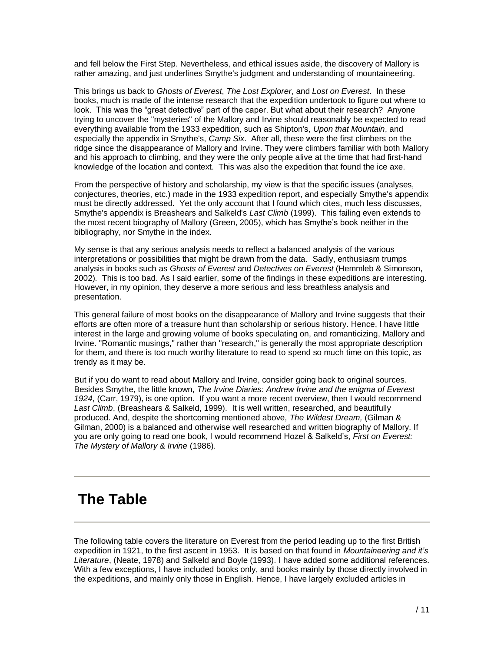and fell below the First Step. Nevertheless, and ethical issues aside, the discovery of Mallory is rather amazing, and just underlines Smythe's judgment and understanding of mountaineering.

This brings us back to *Ghosts of Everest*, *The Lost Explorer*, and *Lost on Everest*. In these books, much is made of the intense research that the expedition undertook to figure out where to look. This was the "great detective" part of the caper. But what about their research? Anyone trying to uncover the "mysteries" of the Mallory and Irvine should reasonably be expected to read everything available from the 1933 expedition, such as Shipton's, *Upon that Mountain*, and especially the appendix in Smythe's, *Camp Six*. After all, these were the first climbers on the ridge since the disappearance of Mallory and Irvine. They were climbers familiar with both Mallory and his approach to climbing, and they were the only people alive at the time that had first-hand knowledge of the location and context. This was also the expedition that found the ice axe.

From the perspective of history and scholarship, my view is that the specific issues (analyses, conjectures, theories, etc.) made in the 1933 expedition report, and especially Smythe's appendix must be directly addressed. Yet the only account that I found which cites, much less discusses, Smythe's appendix is Breashears and Salkeld's *Last Climb* (1999). This failing even extends to the most recent biography of Mallory (Green, 2005), which has Smythe's book neither in the bibliography, nor Smythe in the index.

My sense is that any serious analysis needs to reflect a balanced analysis of the various interpretations or possibilities that might be drawn from the data. Sadly, enthusiasm trumps analysis in books such as *Ghosts of Everest* and *Detectives on Everest* (Hemmleb & Simonson, 2002)*.* This is too bad. As I said earlier, some of the findings in these expeditions are interesting. However, in my opinion, they deserve a more serious and less breathless analysis and presentation.

This general failure of most books on the disappearance of Mallory and Irvine suggests that their efforts are often more of a treasure hunt than scholarship or serious history. Hence, I have little interest in the large and growing volume of books speculating on, and romanticizing, Mallory and Irvine. "Romantic musings," rather than "research," is generally the most appropriate description for them, and there is too much worthy literature to read to spend so much time on this topic, as trendy as it may be.

But if you do want to read about Mallory and Irvine, consider going back to original sources. Besides Smythe, the little known, *The Irvine Diaries: Andrew Irvine and the enigma of Everest 1924*, (Carr, 1979), is one option. If you want a more recent overview, then I would recommend *Last Climb*, (Breashears & Salkeld, 1999). It is well written, researched, and beautifully produced. And, despite the shortcoming mentioned above, *The Wildest Dream,* (Gilman & Gilman, 2000) is a balanced and otherwise well researched and written biography of Mallory. If you are only going to read one book, I would recommend Hozel & Salkeld's, *First on Everest: The Mystery of Mallory & Irvine* (1986).

## **The Table**

The following table covers the literature on Everest from the period leading up to the first British expedition in 1921, to the first ascent in 1953. It is based on that found in *Mountaineering and it's Literature*, (Neate, 1978) and Salkeld and Boyle (1993). I have added some additional references. With a few exceptions, I have included books only, and books mainly by those directly involved in the expeditions, and mainly only those in English. Hence, I have largely excluded articles in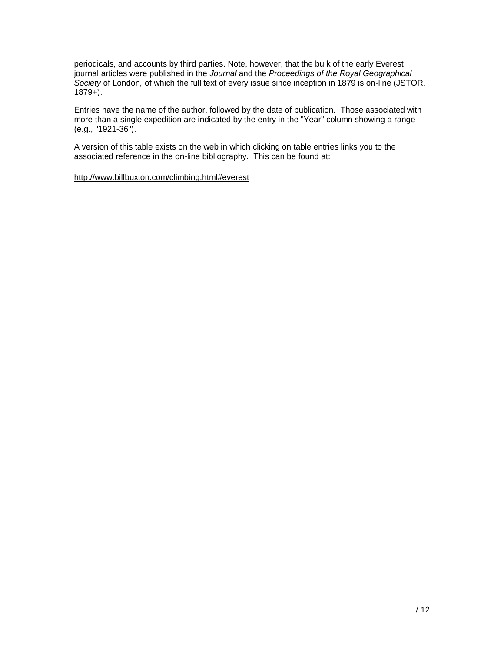periodicals, and accounts by third parties. Note, however, that the bulk of the early Everest journal articles were published in the *Journal* and the *Proceedings of the Royal Geographical Society* of London*,* of which the full text of every issue since inception in 1879 is on-line (JSTOR,  $1879+$ ).

Entries have the name of the author, followed by the date of publication. Those associated with more than a single expedition are indicated by the entry in the "Year" column showing a range (e.g., "1921-36").

A version of this table exists on the web in which clicking on table entries links you to the associated reference in the on-line bibliography. This can be found at:

<http://www.billbuxton.com/climbing.html#everest>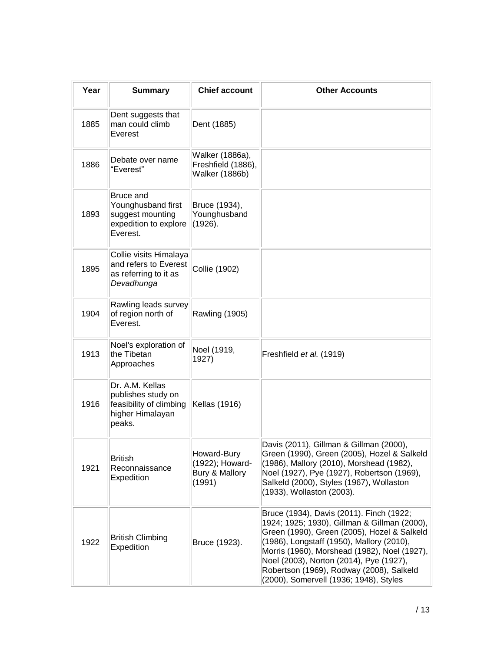| Year | <b>Summary</b>                                                                                  | <b>Chief account</b>                                           | <b>Other Accounts</b>                                                                                                                                                                                                                                                                                                                                                 |
|------|-------------------------------------------------------------------------------------------------|----------------------------------------------------------------|-----------------------------------------------------------------------------------------------------------------------------------------------------------------------------------------------------------------------------------------------------------------------------------------------------------------------------------------------------------------------|
| 1885 | Dent suggests that<br>man could climb<br>Everest                                                | Dent (1885)                                                    |                                                                                                                                                                                                                                                                                                                                                                       |
| 1886 | Debate over name<br>"Everest"                                                                   | Walker (1886a),<br>Freshfield (1886),<br><b>Walker (1886b)</b> |                                                                                                                                                                                                                                                                                                                                                                       |
| 1893 | <b>Bruce and</b><br>Younghusband first<br>suggest mounting<br>expedition to explore<br>Everest. | Bruce (1934),<br>Younghusband<br>(1926).                       |                                                                                                                                                                                                                                                                                                                                                                       |
| 1895 | Collie visits Himalaya<br>and refers to Everest<br>as referring to it as<br>Devadhunga          | Collie (1902)                                                  |                                                                                                                                                                                                                                                                                                                                                                       |
| 1904 | Rawling leads survey<br>of region north of<br>Everest.                                          | Rawling (1905)                                                 |                                                                                                                                                                                                                                                                                                                                                                       |
| 1913 | Noel's exploration of<br>the Tibetan<br>Approaches                                              | Noel (1919,<br>1927)                                           | Freshfield et al. (1919)                                                                                                                                                                                                                                                                                                                                              |
| 1916 | Dr. A.M. Kellas<br>publishes study on<br>feasibility of climbing<br>higher Himalayan<br>peaks.  | Kellas (1916)                                                  |                                                                                                                                                                                                                                                                                                                                                                       |
| 1921 | British<br>Reconnaissance<br>Expedition                                                         | Howard-Bury<br>(1922); Howard-<br>Bury & Mallory<br>(1991)     | Davis (2011), Gillman & Gillman (2000),<br>Green (1990), Green (2005), Hozel & Salkeld<br>(1986), Mallory (2010), Morshead (1982),<br>Noel (1927), Pye (1927), Robertson (1969),<br>Salkeld (2000), Styles (1967), Wollaston<br>(1933), Wollaston (2003).                                                                                                             |
| 1922 | <b>British Climbing</b><br>Expedition                                                           | Bruce (1923).                                                  | Bruce (1934), Davis (2011). Finch (1922;<br>1924; 1925; 1930), Gillman & Gillman (2000),<br>Green (1990), Green (2005), Hozel & Salkeld<br>(1986), Longstaff (1950), Mallory (2010),<br>Morris (1960), Morshead (1982), Noel (1927),<br>Noel (2003), Norton (2014), Pye (1927),<br>Robertson (1969), Rodway (2008), Salkeld<br>(2000), Somervell (1936; 1948), Styles |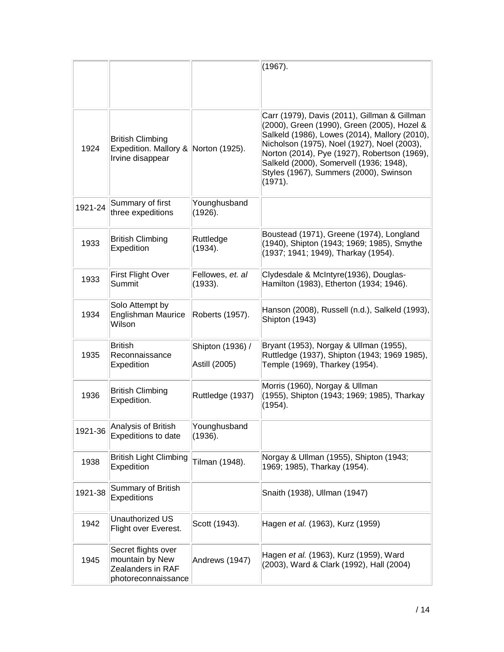|         |                                                                                     |                                   | (1967).                                                                                                                                                                                                                                                                                                                                     |
|---------|-------------------------------------------------------------------------------------|-----------------------------------|---------------------------------------------------------------------------------------------------------------------------------------------------------------------------------------------------------------------------------------------------------------------------------------------------------------------------------------------|
| 1924    | <b>British Climbing</b><br>Expedition. Mallory & Norton (1925).<br>Irvine disappear |                                   | Carr (1979), Davis (2011), Gillman & Gillman<br>(2000), Green (1990), Green (2005), Hozel &<br>Salkeld (1986), Lowes (2014), Mallory (2010),<br>Nicholson (1975), Noel (1927), Noel (2003),<br>Norton (2014), Pye (1927), Robertson (1969),<br>Salkeld (2000), Somervell (1936; 1948),<br>Styles (1967), Summers (2000), Swinson<br>(1971). |
| 1921-24 | Summary of first<br>three expeditions                                               | Younghusband<br>(1926).           |                                                                                                                                                                                                                                                                                                                                             |
| 1933    | <b>British Climbing</b><br>Expedition                                               | Ruttledge<br>(1934).              | Boustead (1971), Greene (1974), Longland<br>(1940), Shipton (1943; 1969; 1985), Smythe<br>(1937; 1941; 1949), Tharkay (1954).                                                                                                                                                                                                               |
| 1933    | First Flight Over<br>Summit                                                         | Fellowes, et. al<br>(1933).       | Clydesdale & McIntyre(1936), Douglas-<br>Hamilton (1983), Etherton (1934; 1946).                                                                                                                                                                                                                                                            |
| 1934    | Solo Attempt by<br>Englishman Maurice<br>Wilson                                     | Roberts (1957).                   | Hanson (2008), Russell (n.d.), Salkeld (1993),<br>Shipton (1943)                                                                                                                                                                                                                                                                            |
| 1935    | British<br>Reconnaissance<br>Expedition                                             | Shipton (1936) /<br>Astill (2005) | Bryant (1953), Norgay & Ullman (1955),<br>Ruttledge (1937), Shipton (1943; 1969 1985),<br>Temple (1969), Tharkey (1954).                                                                                                                                                                                                                    |
| 1936    | <b>British Climbing</b><br>Expedition.                                              | Ruttledge (1937)                  | Morris (1960), Norgay & Ullman<br>(1955), Shipton (1943; 1969; 1985), Tharkay<br>(1954).                                                                                                                                                                                                                                                    |
| 1921-36 | Analysis of British<br>Expeditions to date                                          | Younghusband<br>(1936).           |                                                                                                                                                                                                                                                                                                                                             |
| 1938    | <b>British Light Climbing</b><br>Expedition                                         | Tilman (1948).                    | Norgay & Ullman (1955), Shipton (1943;<br>1969; 1985), Tharkay (1954).                                                                                                                                                                                                                                                                      |
| 1921-38 | Summary of British<br>Expeditions                                                   |                                   | Snaith (1938), Ullman (1947)                                                                                                                                                                                                                                                                                                                |
| 1942    | Unauthorized US<br>Flight over Everest.                                             | Scott (1943).                     | Hagen et al. (1963), Kurz (1959)                                                                                                                                                                                                                                                                                                            |
| 1945    | Secret flights over<br>mountain by New<br>Zealanders in RAF<br>photoreconnaissance  | Andrews (1947)                    | Hagen et al. (1963), Kurz (1959), Ward<br>(2003), Ward & Clark (1992), Hall (2004)                                                                                                                                                                                                                                                          |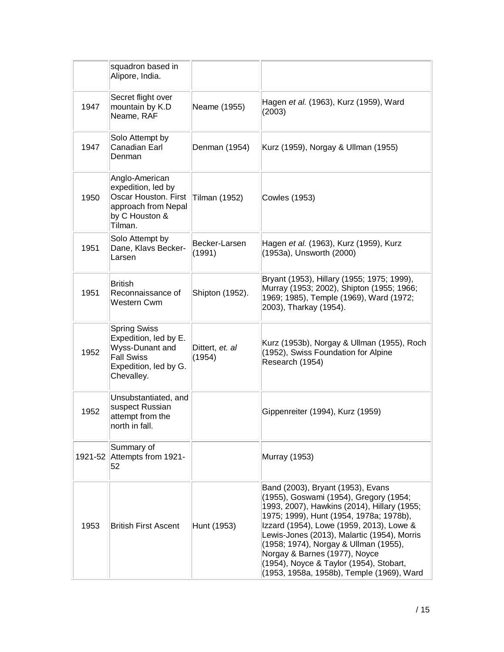|      | squadron based in<br>Alipore, India.                                                                                        |                           |                                                                                                                                                                                                                                                                                                                                                                                                                                    |
|------|-----------------------------------------------------------------------------------------------------------------------------|---------------------------|------------------------------------------------------------------------------------------------------------------------------------------------------------------------------------------------------------------------------------------------------------------------------------------------------------------------------------------------------------------------------------------------------------------------------------|
| 1947 | Secret flight over<br>mountain by K.D<br>Neame, RAF                                                                         | Neame (1955)              | Hagen et al. (1963), Kurz (1959), Ward<br>(2003)                                                                                                                                                                                                                                                                                                                                                                                   |
| 1947 | Solo Attempt by<br>Canadian Earl<br>Denman                                                                                  | Denman (1954)             | Kurz (1959), Norgay & Ullman (1955)                                                                                                                                                                                                                                                                                                                                                                                                |
| 1950 | Anglo-American<br>expedition, led by<br><b>Oscar Houston. First</b><br>approach from Nepal<br>by C Houston &<br>Tilman.     | Tilman (1952)             | <b>Cowles (1953)</b>                                                                                                                                                                                                                                                                                                                                                                                                               |
| 1951 | Solo Attempt by<br>Dane, Klavs Becker-<br>Larsen                                                                            | Becker-Larsen<br>(1991)   | Hagen et al. (1963), Kurz (1959), Kurz<br>(1953a), Unsworth (2000)                                                                                                                                                                                                                                                                                                                                                                 |
| 1951 | British<br>Reconnaissance of<br>Western Cwm                                                                                 | Shipton (1952).           | Bryant (1953), Hillary (1955; 1975; 1999),<br>Murray (1953; 2002), Shipton (1955; 1966;<br>1969; 1985), Temple (1969), Ward (1972;<br>2003), Tharkay (1954).                                                                                                                                                                                                                                                                       |
| 1952 | <b>Spring Swiss</b><br>Expedition, led by E.<br>Wyss-Dunant and<br><b>Fall Swiss</b><br>Expedition, led by G.<br>Chevalley. | Dittert, et. al<br>(1954) | Kurz (1953b), Norgay & Ullman (1955), Roch<br>(1952), Swiss Foundation for Alpine<br>Research (1954)                                                                                                                                                                                                                                                                                                                               |
| 1952 | Unsubstantiated, and<br>suspect Russian<br>attempt from the<br>north in fall.                                               |                           | Gippenreiter (1994), Kurz (1959)                                                                                                                                                                                                                                                                                                                                                                                                   |
|      | Summary of<br>1921-52 Attempts from 1921-<br>52                                                                             |                           | Murray (1953)                                                                                                                                                                                                                                                                                                                                                                                                                      |
| 1953 | <b>British First Ascent</b>                                                                                                 | Hunt (1953)               | Band (2003), Bryant (1953), Evans<br>(1955), Goswami (1954), Gregory (1954;<br>1993, 2007), Hawkins (2014), Hillary (1955;<br>1975; 1999), Hunt (1954, 1978a; 1978b),<br>Izzard (1954), Lowe (1959, 2013), Lowe &<br>Lewis-Jones (2013), Malartic (1954), Morris<br>(1958; 1974), Norgay & Ullman (1955),<br>Norgay & Barnes (1977), Noyce<br>(1954), Noyce & Taylor (1954), Stobart,<br>(1953, 1958a, 1958b), Temple (1969), Ward |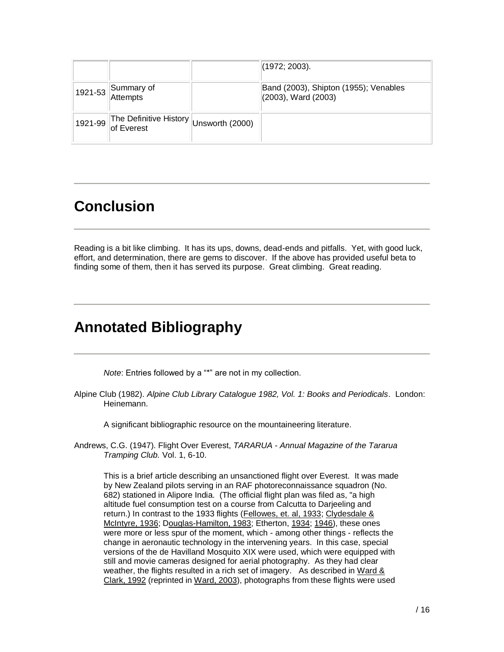|                                                | (1972; 2003).                                                |
|------------------------------------------------|--------------------------------------------------------------|
| $\vert$ 1921-53 Summary of                     | Band (2003), Shipton (1955); Venables<br>(2003), Ward (2003) |
| 1921-99 The Definitive History Unsworth (2000) |                                                              |

## **Conclusion**

Reading is a bit like climbing. It has its ups, downs, dead-ends and pitfalls. Yet, with good luck, effort, and determination, there are gems to discover. If the above has provided useful beta to finding some of them, then it has served its purpose. Great climbing. Great reading.

## **Annotated Bibliography**

*Note*: Entries followed by a "\*" are not in my collection.

Alpine Club (1982). *Alpine Club Library Catalogue 1982, Vol. 1: Books and Periodicals*. London: Heinemann.

A significant bibliographic resource on the mountaineering literature.

Andrews, C.G. (1947). Flight Over Everest, *TARARUA - Annual Magazine of the Tararua Tramping Club.* Vol. 1, 6-10.

This is a brief article describing an unsanctioned flight over Everest. It was made by New Zealand pilots serving in an RAF photoreconnaissance squadron (No. 682) stationed in Alipore India. (The official flight plan was filed as, "a high altitude fuel consumption test on a course from Calcutta to Darjeeling and return.) In contrast to the 1933 flights (Fellowes, [et. al, 1933;](file:///D:/Buxton/My%20Documents/My%20Web%20Sites/Bill%20Web%20Site/climbing.html%23fellowesAir) Clydesdale & [McIntyre, 1936;](file:///D:/Buxton/My%20Documents/My%20Web%20Sites/Bill%20Web%20Site/climbing.html%23clydesdale) [Douglas-Hamilton, 1983;](file:///D:/Buxton/My%20Documents/My%20Web%20Sites/Bill%20Web%20Site/climbing.html%23douglasHamilton) Etherton, [1934;](file:///D:/Buxton/My%20Documents/My%20Web%20Sites/Bill%20Web%20Site/climbing.html%23ethertonStrongholds) [1946\)](file:///D:/Buxton/My%20Documents/My%20Web%20Sites/Bill%20Web%20Site/climbing.html%23etherton), these ones were more or less spur of the moment, which - among other things - reflects the change in aeronautic technology in the intervening years. In this case, special versions of the de Havilland Mosquito XIX were used, which were equipped with still and movie cameras designed for aerial photography. As they had clear weather, the flights resulted in a rich set of imagery. As described in Ward  $\&$ [Clark, 1992](file:///D:/Buxton/My%20Documents/My%20Web%20Sites/Bill%20Web%20Site/climbing.html%23wardClark) (reprinted in [Ward, 2003\)](file:///D:/Buxton/My%20Documents/My%20Web%20Sites/Bill%20Web%20Site/climbing.html%23ward2003), photographs from these flights were used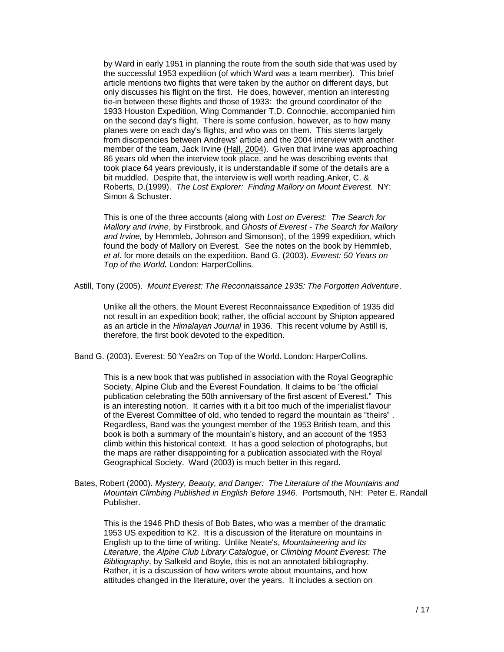by Ward in early 1951 in planning the route from the south side that was used by the successful 1953 expedition (of which Ward was a team member). This brief article mentions two flights that were taken by the author on different days, but only discusses his flight on the first. He does, however, mention an interesting tie-in between these flights and those of 1933: the ground coordinator of the 1933 Houston Expedition, Wing Commander T.D. Connochie, accompanied him on the second day's flight. There is some confusion, however, as to how many planes were on each day's flights, and who was on them. This stems largely from discrpencies between Andrews' article and the 2004 interview with another member of the team, Jack Irvine [\(Hall, 2004\)](file:///D:/Buxton/My%20Documents/My%20Web%20Sites/Bill%20Web%20Site/climbing.html%23hall). Given that Irvine was approaching 86 years old when the interview took place, and he was describing events that took place 64 years previously, it is understandable if some of the details are a bit muddled. Despite that, the interview is well worth reading.Anker, C. & Roberts, D.(1999). *The Lost Explorer: Finding Mallory on Mount Everest.* NY: Simon & Schuster.

This is one of the three accounts (along with *Lost on Everest: The Search for Mallory and Irvine*, by Firstbrook, and *Ghosts of Everest - The Search for Mallory and Irvine,* by Hemmleb, Johnson and Simonson), of the 1999 expedition, which found the body of Mallory on Everest. See the notes on the book by Hemmleb, *et al*. for more details on the expedition. Band G. (2003). *Everest: 50 Years on Top of the World***.** London: HarperCollins.

Astill, Tony (2005). *Mount Everest: The Reconnaissance 1935: The Forgotten Adventure*.

Unlike all the others, the Mount Everest Reconnaissance Expedition of 1935 did not result in an expedition book; rather, the official account by Shipton appeared as an article in the *Himalayan Journal* in 1936. This recent volume by Astill is, therefore, the first book devoted to the expedition.

Band G. (2003). Everest: 50 Yea2rs on Top of the World. London: HarperCollins.

This is a new book that was published in association with the Royal Geographic Society, Alpine Club and the Everest Foundation. It claims to be "the official publication celebrating the 50th anniversary of the first ascent of Everest." This is an interesting notion. It carries with it a bit too much of the imperialist flavour of the Everest Committee of old, who tended to regard the mountain as "theirs" . Regardless, Band was the youngest member of the 1953 British team, and this book is both a summary of the mountain's history, and an account of the 1953 climb within this historical context. It has a good selection of photographs, but the maps are rather disappointing for a publication associated with the Royal Geographical Society. Ward (2003) is much better in this regard.

Bates, Robert (2000). *Mystery, Beauty, and Danger: The Literature of the Mountains and Mountain Climbing Published in English Before 1946*. Portsmouth, NH: Peter E. Randall Publisher.

This is the 1946 PhD thesis of Bob Bates, who was a member of the dramatic 1953 US expedition to K2. It is a discussion of the literature on mountains in English up to the time of writing. Unlike Neate's, *Mountaineering and Its Literature*, the *Alpine Club Library Catalogue*, or *Climbing Mount Everest: The Bibliography*, by Salkeld and Boyle, this is not an annotated bibliography. Rather, it is a discussion of how writers wrote about mountains, and how attitudes changed in the literature, over the years. It includes a section on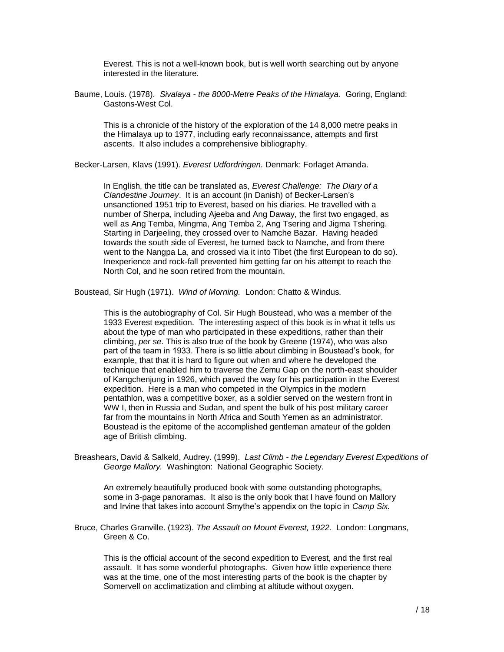Everest. This is not a well-known book, but is well worth searching out by anyone interested in the literature.

Baume, Louis. (1978). *Sivalaya - the 8000-Metre Peaks of the Himalaya.* Goring, England: Gastons-West Col.

This is a chronicle of the history of the exploration of the 14 8,000 metre peaks in the Himalaya up to 1977, including early reconnaissance, attempts and first ascents. It also includes a comprehensive bibliography.

Becker-Larsen, Klavs (1991). *Everest Udfordringen.* Denmark: Forlaget Amanda.

In English, the title can be translated as, *Everest Challenge: The Diary of a Clandestine Journey*. It is an account (in Danish) of Becker-Larsen's unsanctioned 1951 trip to Everest, based on his diaries. He travelled with a number of Sherpa, including Ajeeba and Ang Daway, the first two engaged, as well as Ang Temba, Mingma, Ang Temba 2, Ang Tsering and Jigma Tshering. Starting in Darjeeling, they crossed over to Namche Bazar. Having headed towards the south side of Everest, he turned back to Namche, and from there went to the Nangpa La, and crossed via it into Tibet (the first European to do so). Inexperience and rock-fall prevented him getting far on his attempt to reach the North Col, and he soon retired from the mountain.

Boustead, Sir Hugh (1971). *Wind of Morning.* London: Chatto & Windus.

This is the autobiography of Col. Sir Hugh Boustead, who was a member of the 1933 Everest expedition. The interesting aspect of this book is in what it tells us about the type of man who participated in these expeditions, rather than their climbing, *per se*. This is also true of the book by Greene (1974), who was also part of the team in 1933. There is so little about climbing in Boustead's book, for example, that that it is hard to figure out when and where he developed the technique that enabled him to traverse the Zemu Gap on the north-east shoulder of Kangchenjung in 1926, which paved the way for his participation in the Everest expedition. Here is a man who competed in the Olympics in the modern pentathlon, was a competitive boxer, as a soldier served on the western front in WW I, then in Russia and Sudan, and spent the bulk of his post military career far from the mountains in North Africa and South Yemen as an administrator. Boustead is the epitome of the accomplished gentleman amateur of the golden age of British climbing.

Breashears, David & Salkeld, Audrey. (1999). *Last Climb - the Legendary Everest Expeditions of George Mallory.* Washington: National Geographic Society.

An extremely beautifully produced book with some outstanding photographs, some in 3-page panoramas. It also is the only book that I have found on Mallory and Irvine that takes into account Smythe's appendix on the topic in *Camp Six.*

Bruce, Charles Granville. (1923). *The Assault on Mount Everest, 1922.* London: Longmans, Green & Co.

This is the official account of the second expedition to Everest, and the first real assault. It has some wonderful photographs. Given how little experience there was at the time, one of the most interesting parts of the book is the chapter by Somervell on acclimatization and climbing at altitude without oxygen.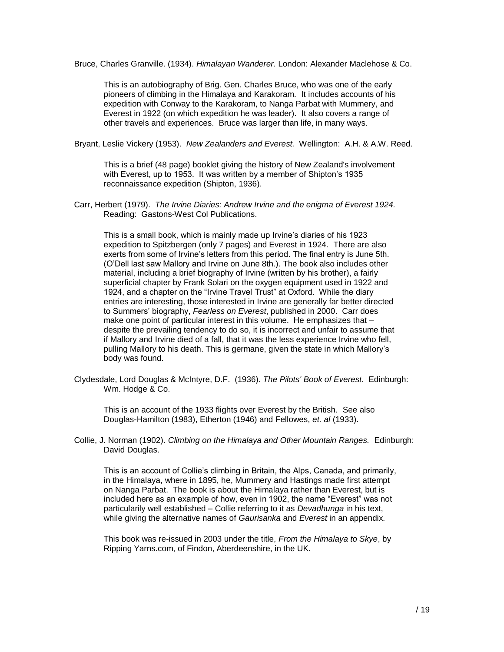Bruce, Charles Granville. (1934). *Himalayan Wanderer*. London: Alexander Maclehose & Co.

This is an autobiography of Brig. Gen. Charles Bruce, who was one of the early pioneers of climbing in the Himalaya and Karakoram. It includes accounts of his expedition with Conway to the Karakoram, to Nanga Parbat with Mummery, and Everest in 1922 (on which expedition he was leader). It also covers a range of other travels and experiences. Bruce was larger than life, in many ways.

Bryant, Leslie Vickery (1953). *New Zealanders and Everest.* Wellington: A.H. & A.W. Reed.

This is a brief (48 page) booklet giving the history of New Zealand's involvement with Everest, up to 1953. It was written by a member of Shipton's 1935 reconnaissance expedition (Shipton, 1936).

Carr, Herbert (1979). *The Irvine Diaries: Andrew Irvine and the enigma of Everest 1924.* Reading: Gastons-West Col Publications.

This is a small book, which is mainly made up Irvine's diaries of his 1923 expedition to Spitzbergen (only 7 pages) and Everest in 1924. There are also exerts from some of Irvine's letters from this period. The final entry is June 5th. (O'Dell last saw Mallory and Irvine on June 8th.). The book also includes other material, including a brief biography of Irvine (written by his brother), a fairly superficial chapter by Frank Solari on the oxygen equipment used in 1922 and 1924, and a chapter on the "Irvine Travel Trust" at Oxford. While the diary entries are interesting, those interested in Irvine are generally far better directed to Summers' biography, *Fearless on Everest*, published in 2000. Carr does make one point of particular interest in this volume. He emphasizes that – despite the prevailing tendency to do so, it is incorrect and unfair to assume that if Mallory and Irvine died of a fall, that it was the less experience Irvine who fell, pulling Mallory to his death. This is germane, given the state in which Mallory's body was found.

Clydesdale, Lord Douglas & McIntyre, D.F. (1936). *The Pilots' Book of Everest*. Edinburgh: Wm. Hodge & Co.

This is an account of the 1933 flights over Everest by the British. See also Douglas-Hamilton (1983), Etherton (1946) and Fellowes, *et. al* (1933).

Collie, J. Norman (1902). *Climbing on the Himalaya and Other Mountain Ranges.* Edinburgh: David Douglas.

This is an account of Collie's climbing in Britain, the Alps, Canada, and primarily, in the Himalaya, where in 1895, he, Mummery and Hastings made first attempt on Nanga Parbat. The book is about the Himalaya rather than Everest, but is included here as an example of how, even in 1902, the name "Everest" was not particularily well established – Collie referring to it as *Devadhunga* in his text, while giving the alternative names of *Gaurisanka* and *Everest* in an appendix.

This book was re-issued in 2003 under the title, *From the Himalaya to Skye*, by Ripping Yarns.com, of Findon, Aberdeenshire, in the UK.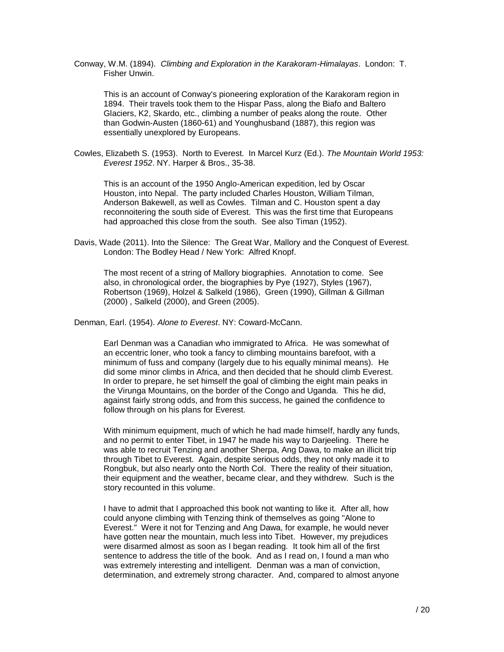Conway, W.M. (1894). *Climbing and Exploration in the Karakoram-Himalayas*. London: T. Fisher Unwin.

This is an account of Conway's pioneering exploration of the Karakoram region in 1894. Their travels took them to the Hispar Pass, along the Biafo and Baltero Glaciers, K2, Skardo, etc., climbing a number of peaks along the route. Other than Godwin-Austen (1860-61) and Younghusband (1887), this region was essentially unexplored by Europeans.

Cowles, Elizabeth S. (1953). North to Everest. In Marcel Kurz (Ed.). *The Mountain World 1953: Everest 1952*. NY. Harper & Bros., 35-38.

This is an account of the 1950 Anglo-American expedition, led by Oscar Houston, into Nepal. The party included Charles Houston, William Tilman, Anderson Bakewell, as well as Cowles. Tilman and C. Houston spent a day reconnoitering the south side of Everest. This was the first time that Europeans had approached this close from the south. See also Timan (1952).

Davis, Wade (2011). Into the Silence: The Great War, Mallory and the Conquest of Everest. London: The Bodley Head / New York: Alfred Knopf.

The most recent of a string of Mallory biographies. Annotation to come. See also, in chronological order, the biographies by Pye (1927), Styles (1967), Robertson (1969), Holzel & Salkeld (1986), Green (1990), Gillman & Gillman (2000) , Salkeld (2000), and Green (2005).

Denman, Earl. (1954). *Alone to Everest*. NY: Coward-McCann.

Earl Denman was a Canadian who immigrated to Africa. He was somewhat of an eccentric loner, who took a fancy to climbing mountains barefoot, with a minimum of fuss and company (largely due to his equally minimal means). He did some minor climbs in Africa, and then decided that he should climb Everest. In order to prepare, he set himself the goal of climbing the eight main peaks in the Virunga Mountains, on the border of the Congo and Uganda. This he did, against fairly strong odds, and from this success, he gained the confidence to follow through on his plans for Everest.

With minimum equipment, much of which he had made himself, hardly any funds, and no permit to enter Tibet, in 1947 he made his way to Darjeeling. There he was able to recruit Tenzing and another Sherpa, Ang Dawa, to make an illicit trip through Tibet to Everest. Again, despite serious odds, they not only made it to Rongbuk, but also nearly onto the North Col. There the reality of their situation, their equipment and the weather, became clear, and they withdrew. Such is the story recounted in this volume.

I have to admit that I approached this book not wanting to like it. After all, how could anyone climbing with Tenzing think of themselves as going "Alone to Everest." Were it not for Tenzing and Ang Dawa, for example, he would never have gotten near the mountain, much less into Tibet. However, my prejudices were disarmed almost as soon as I began reading. It took him all of the first sentence to address the title of the book. And as I read on, I found a man who was extremely interesting and intelligent. Denman was a man of conviction, determination, and extremely strong character. And, compared to almost anyone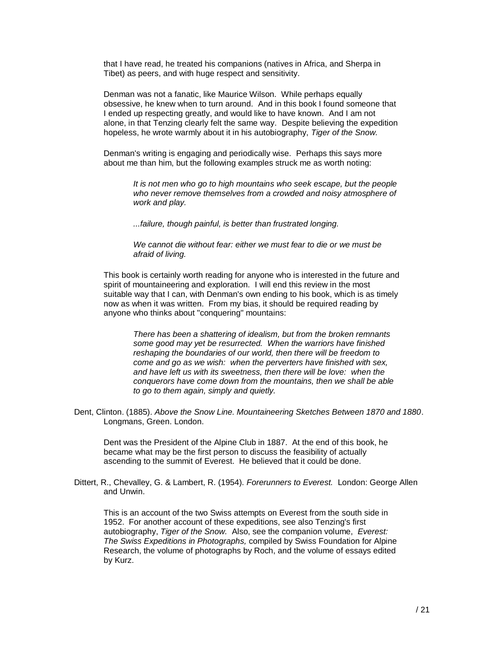that I have read, he treated his companions (natives in Africa, and Sherpa in Tibet) as peers, and with huge respect and sensitivity.

Denman was not a fanatic, like Maurice Wilson. While perhaps equally obsessive, he knew when to turn around. And in this book I found someone that I ended up respecting greatly, and would like to have known. And I am not alone, in that Tenzing clearly felt the same way. Despite believing the expedition hopeless, he wrote warmly about it in his autobiography, *Tiger of the Snow.*

Denman's writing is engaging and periodically wise. Perhaps this says more about me than him, but the following examples struck me as worth noting:

> *It is not men who go to high mountains who seek escape, but the people who never remove themselves from a crowded and noisy atmosphere of work and play.*

*...failure, though painful, is better than frustrated longing.* 

*We cannot die without fear: either we must fear to die or we must be afraid of living.*

This book is certainly worth reading for anyone who is interested in the future and spirit of mountaineering and exploration. I will end this review in the most suitable way that I can, with Denman's own ending to his book, which is as timely now as when it was written. From my bias, it should be required reading by anyone who thinks about "conquering" mountains:

*There has been a shattering of idealism, but from the broken remnants some good may yet be resurrected. When the warriors have finished reshaping the boundaries of our world, then there will be freedom to come and go as we wish: when the perverters have finished with sex, and have left us with its sweetness, then there will be love: when the conquerors have come down from the mountains, then we shall be able to go to them again, simply and quietly.*

Dent, Clinton. (1885). *Above the Snow Line. Mountaineering Sketches Between 1870 and 1880*. Longmans, Green. London.

Dent was the President of the Alpine Club in 1887. At the end of this book, he became what may be the first person to discuss the feasibility of actually ascending to the summit of Everest. He believed that it could be done.

Dittert, R., Chevalley, G. & Lambert, R. (1954). *Forerunners to Everest.* London: George Allen and Unwin.

This is an account of the two Swiss attempts on Everest from the south side in 1952. For another account of these expeditions, see also Tenzing's first autobiography, *Tiger of the Snow.* Also, see the companion volume, *Everest: The Swiss Expeditions in Photographs,* compiled by Swiss Foundation for Alpine Research, the volume of photographs by Roch, and the volume of essays edited by Kurz.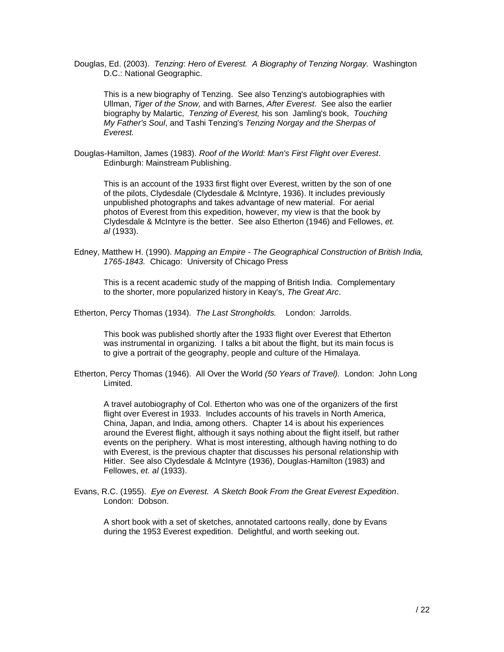Douglas, Ed. (2003). *Tenzing*: *Hero of Everest. A Biography of Tenzing Norgay.* Washington D.C.: National Geographic.

This is a new biography of Tenzing. See also Tenzing's autobiographies with Ullman, *Tiger of the Snow,* and with Barnes, *After Everest*. See also the earlier biography by Malartic, *Tenzing of Everest,* his son Jamling's book, *Touching My Father's Soul*, and Tashi Tenzing's *Tenzing Norgay and the Sherpas of Everest.*

Douglas-Hamilton, James (1983). *Roof of the World: Man's First Flight over Everest*. Edinburgh: Mainstream Publishing.

This is an account of the 1933 first flight over Everest, written by the son of one of the pilots, Clydesdale (Clydesdale & McIntyre, 1936). It includes previously unpublished photographs and takes advantage of new material. For aerial photos of Everest from this expedition, however, my view is that the book by Clydesdale & McIntyre is the better. See also Etherton (1946) and Fellowes, *et. al* (1933).

Edney, Matthew H. (1990). *Mapping an Empire - The Geographical Construction of British India, 1765-1843.* Chicago: University of Chicago Press

This is a recent academic study of the mapping of British India. Complementary to the shorter, more popularized history in Keay's, *The Great Arc*.

Etherton, Percy Thomas (1934). *The Last Strongholds.* London: Jarrolds.

This book was published shortly after the 1933 flight over Everest that Etherton was instrumental in organizing. I talks a bit about the flight, but its main focus is to give a portrait of the geography, people and culture of the Himalaya.

Etherton, Percy Thomas (1946). All Over the World *(50 Years of Travel).* London: John Long Limited.

A travel autobiography of Col. Etherton who was one of the organizers of the first flight over Everest in 1933. Includes accounts of his travels in North America, China, Japan, and India, among others. Chapter 14 is about his experiences around the Everest flight, although it says nothing about the flight itself, but rather events on the periphery. What is most interesting, although having nothing to do with Everest, is the previous chapter that discusses his personal relationship with Hitler. See also Clydesdale & McIntyre (1936), Douglas-Hamilton (1983) and Fellowes, *et. al* (1933).

Evans, R.C. (1955). *Eye on Everest. A Sketch Book From the Great Everest Expedition*. London: Dobson.

A short book with a set of sketches, annotated cartoons really, done by Evans during the 1953 Everest expedition. Delightful, and worth seeking out.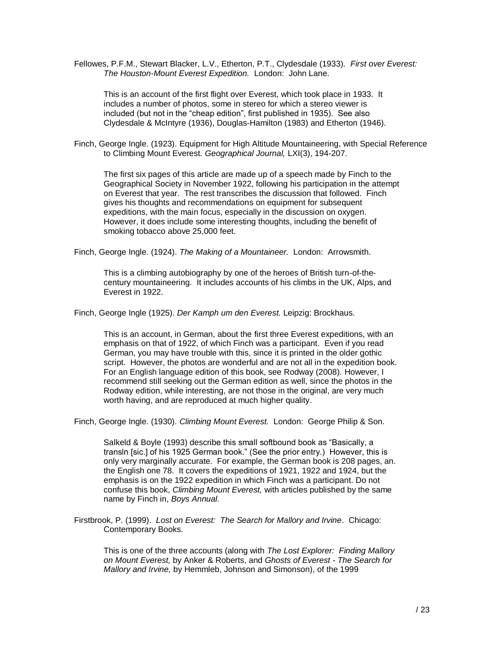Fellowes, P.F.M., Stewart Blacker, L.V., Etherton, P.T., Clydesdale (1933). *First over Everest: The Houston-Mount Everest Expedition.* London: John Lane.

This is an account of the first flight over Everest, which took place in 1933. It includes a number of photos, some in stereo for which a stereo viewer is included (but not in the "cheap edition", first published in 1935). See also Clydesdale & McIntyre (1936), Douglas-Hamilton (1983) and Etherton (1946).

Finch, George Ingle. (1923). Equipment for High Altitude Mountaineering, with Special Reference to Climbing Mount Everest*. Geographical Journal,* LXI(3), 194-207.

The first six pages of this article are made up of a speech made by Finch to the Geographical Society in November 1922, following his participation in the attempt on Everest that year. The rest transcribes the discussion that followed. Finch gives his thoughts and recommendations on equipment for subsequent expeditions, with the main focus, especially in the discussion on oxygen. However, it does include some interesting thoughts, including the benefit of smoking tobacco above 25,000 feet.

Finch, George Ingle. (1924). *The Making of a Mountaineer.* London: Arrowsmith.

This is a climbing autobiography by one of the heroes of British turn-of-thecentury mountaineering. It includes accounts of his climbs in the UK, Alps, and Everest in 1922.

Finch, George Ingle (1925). *Der Kamph um den Everest.* Leipzig: Brockhaus.

This is an account, in German, about the first three Everest expeditions, with an emphasis on that of 1922, of which Finch was a participant. Even if you read German, you may have trouble with this, since it is printed in the older gothic script. However, the photos are wonderful and are not all in the expedition book. For an English language edition of this book, see Rodway (2008). However, I recommend still seeking out the German edition as well, since the photos in the Rodway edition, while interesting, are not those in the original, are very much worth having, and are reproduced at much higher quality.

Finch, George Ingle. (1930). *Climbing Mount Everest.* London: George Philip & Son.

Salkeld & Boyle (1993) describe this small softbound book as "Basically, a transln [sic.] of his 1925 German book." (See the prior entry.) However, this is only very marginally accurate. For example, the German book is 208 pages, an*.* the English one 78. It covers the expeditions of 1921, 1922 and 1924, but the emphasis is on the 1922 expedition in which Finch was a participant. Do not confuse this book, *Climbing Mount Everest,* with articles published by the same name by Finch in, *Boys Annual.*

Firstbrook, P. (1999). *Lost on Everest: The Search for Mallory and Irvine*. Chicago: Contemporary Books.

This is one of the three accounts (along with *The Lost Explorer: Finding Mallory on Mount Everest,* by Anker & Roberts, and *Ghosts of Everest - The Search for Mallory and Irvine,* by Hemmleb, Johnson and Simonson), of the 1999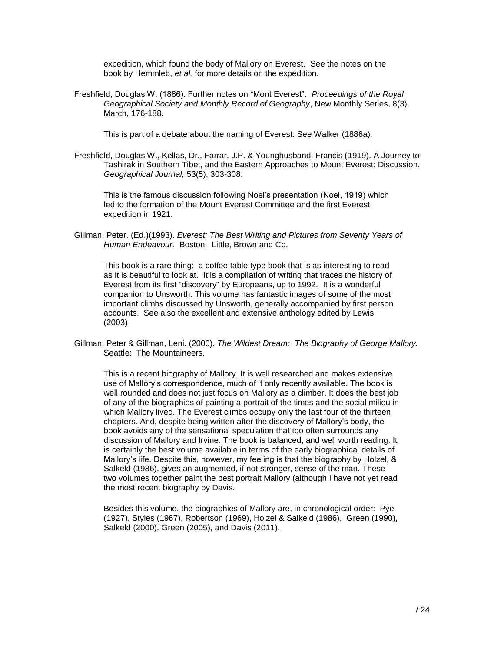expedition, which found the body of Mallory on Everest. See the notes on the book by Hemmleb, *et al.* for more details on the expedition.

Freshfield, Douglas W. (1886). Further notes on "Mont Everest". *Proceedings of the Royal Geographical Society and Monthly Record of Geography*, New Monthly Series, 8(3), March, 176-188.

This is part of a debate about the naming of Everest. See Walker (1886a).

Freshfield, Douglas W., Kellas, Dr., Farrar, J.P. & Younghusband, Francis (1919). A Journey to Tashirak in Southern Tibet, and the Eastern Approaches to Mount Everest: Discussion. *Geographical Journal,* 53(5), 303-308.

This is the famous discussion following Noel's presentation (Noel, 1919) which led to the formation of the Mount Everest Committee and the first Everest expedition in 1921.

Gillman, Peter. (Ed.)(1993). *Everest: The Best Writing and Pictures from Seventy Years of Human Endeavour.* Boston: Little, Brown and Co.

This book is a rare thing: a coffee table type book that is as interesting to read as it is beautiful to look at. It is a compilation of writing that traces the history of Everest from its first "discovery" by Europeans, up to 1992. It is a wonderful companion to Unsworth. This volume has fantastic images of some of the most important climbs discussed by Unsworth, generally accompanied by first person accounts. See also the excellent and extensive anthology edited by Lewis (2003)

Gillman, Peter & Gillman, Leni. (2000). *The Wildest Dream: The Biography of George Mallory.* Seattle: The Mountaineers.

This is a recent biography of Mallory. It is well researched and makes extensive use of Mallory's correspondence, much of it only recently available. The book is well rounded and does not just focus on Mallory as a climber. It does the best job of any of the biographies of painting a portrait of the times and the social milieu in which Mallory lived. The Everest climbs occupy only the last four of the thirteen chapters. And, despite being written after the discovery of Mallory's body, the book avoids any of the sensational speculation that too often surrounds any discussion of Mallory and Irvine. The book is balanced, and well worth reading. It is certainly the best volume available in terms of the early biographical details of Mallory's life. Despite this, however, my feeling is that the biography by Holzel, & Salkeld (1986), gives an augmented, if not stronger, sense of the man. These two volumes together paint the best portrait Mallory (although I have not yet read the most recent biography by Davis.

Besides this volume, the biographies of Mallory are, in chronological order: Pye (1927), Styles (1967), Robertson (1969), Holzel & Salkeld (1986), Green (1990), Salkeld (2000), Green (2005), and Davis (2011).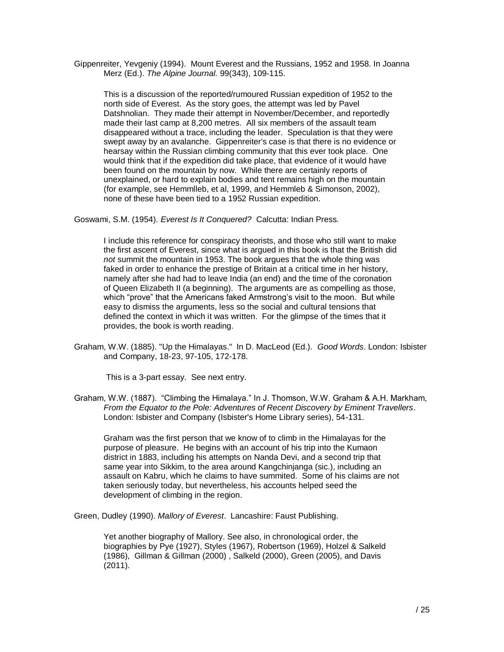Gippenreiter, Yevgeniy (1994). Mount Everest and the Russians, 1952 and 1958. In Joanna Merz (Ed.). *The Alpine Journal.* 99(343), 109-115.

This is a discussion of the reported/rumoured Russian expedition of 1952 to the north side of Everest. As the story goes, the attempt was led by Pavel Datshnolian. They made their attempt in November/December, and reportedly made their last camp at 8,200 metres. All six members of the assault team disappeared without a trace, including the leader. Speculation is that they were swept away by an avalanche. Gippenreiter's case is that there is no evidence or hearsay within the Russian climbing community that this ever took place. One would think that if the expedition did take place, that evidence of it would have been found on the mountain by now. While there are certainly reports of unexplained, or hard to explain bodies and tent remains high on the mountain (for example, see Hemmlleb, et al, 1999, and Hemmleb & Simonson, 2002), none of these have been tied to a 1952 Russian expedition.

Goswami, S.M. (1954). *Everest Is It Conquered?* Calcutta: Indian Press.

I include this reference for conspiracy theorists, and those who still want to make the first ascent of Everest, since what is argued in this book is that the British did *not* summit the mountain in 1953. The book argues that the whole thing was faked in order to enhance the prestige of Britain at a critical time in her history, namely after she had had to leave India (an end) and the time of the coronation of Queen Elizabeth II (a beginning). The arguments are as compelling as those, which "prove" that the Americans faked Armstrong's visit to the moon. But while easy to dismiss the arguments, less so the social and cultural tensions that defined the context in which it was written. For the glimpse of the times that it provides, the book is worth reading.

Graham, W.W. (1885). "Up the Himalayas." In D. MacLeod (Ed.). *Good Words*. London: Isbister and Company, 18-23, 97-105, 172-178.

This is a 3-part essay. See next entry.

Graham, W.W. (1887). "Climbing the Himalaya." In J. Thomson, W.W. Graham & A.H. Markham, *From the Equator to the Pole: Adventures of Recent Discovery by Eminent Travellers*. London: Isbister and Company (Isbister's Home Library series), 54-131.

Graham was the first person that we know of to climb in the Himalayas for the purpose of pleasure. He begins with an account of his trip into the Kumaon district in 1883, including his attempts on Nanda Devi, and a second trip that same year into Sikkim, to the area around Kangchinjanga (sic.), including an assault on Kabru, which he claims to have summited. Some of his claims are not taken seriously today, but nevertheless, his accounts helped seed the development of climbing in the region.

Green, Dudley (1990). *Mallory of Everest*. Lancashire: Faust Publishing.

Yet another biography of Mallory. See also, in chronological order, the biographies by Pye (1927), Styles (1967), Robertson (1969), Holzel & Salkeld (1986), Gillman & Gillman (2000) , Salkeld (2000), Green (2005), and Davis (2011).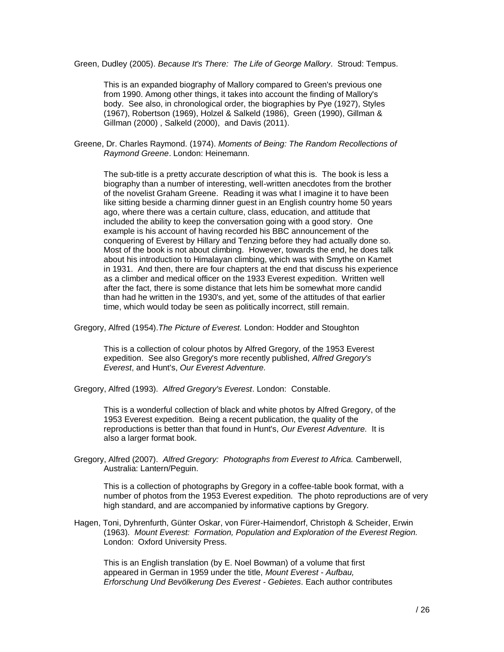Green, Dudley (2005). *Because It's There: The Life of George Mallory*. Stroud: Tempus.

This is an expanded biography of Mallory compared to Green's previous one from 1990. Among other things, it takes into account the finding of Mallory's body. See also, in chronological order, the biographies by Pye (1927), Styles (1967), Robertson (1969), Holzel & Salkeld (1986), Green (1990), Gillman & Gillman (2000) , Salkeld (2000), and Davis (2011).

Greene, Dr. Charles Raymond. (1974). *Moments of Being: The Random Recollections of Raymond Greene*. London: Heinemann.

The sub-title is a pretty accurate description of what this is. The book is less a biography than a number of interesting, well-written anecdotes from the brother of the novelist Graham Greene. Reading it was what I imagine it to have been like sitting beside a charming dinner guest in an English country home 50 years ago, where there was a certain culture, class, education, and attitude that included the ability to keep the conversation going with a good story. One example is his account of having recorded his BBC announcement of the conquering of Everest by Hillary and Tenzing before they had actually done so. Most of the book is not about climbing. However, towards the end, he does talk about his introduction to Himalayan climbing, which was with Smythe on Kamet in 1931. And then, there are four chapters at the end that discuss his experience as a climber and medical officer on the 1933 Everest expedition. Written well after the fact, there is some distance that lets him be somewhat more candid than had he written in the 1930's, and yet, some of the attitudes of that earlier time, which would today be seen as politically incorrect, still remain.

Gregory, Alfred (1954).*The Picture of Everest.* London: Hodder and Stoughton

This is a collection of colour photos by Alfred Gregory, of the 1953 Everest expedition. See also Gregory's more recently published, *Alfred Gregory's Everest*, and Hunt's, *Our Everest Adventure.*

Gregory, Alfred (1993). *Alfred Gregory's Everest*. London: Constable.

This is a wonderful collection of black and white photos by Alfred Gregory, of the 1953 Everest expedition. Being a recent publication, the quality of the reproductions is better than that found in Hunt's, *Our Everest Adventure.* It is also a larger format book.

Gregory, Alfred (2007). *Alfred Gregory: Photographs from Everest to Africa.* Camberwell, Australia: Lantern/Peguin.

This is a collection of photographs by Gregory in a coffee-table book format, with a number of photos from the 1953 Everest expedition. The photo reproductions are of very high standard, and are accompanied by informative captions by Gregory.

Hagen, Toni, Dyhrenfurth, Günter Oskar, von Fürer-Haimendorf, Christoph & Scheider, Erwin (1963). *Mount Everest: Formation, Population and Exploration of the Everest Region.* London: Oxford University Press.

This is an English translation (by E. Noel Bowman) of a volume that first appeared in German in 1959 under the title, *Mount Everest - Aufbau, Erforschung Und Bevölkerung Des Everest - Gebietes*. Each author contributes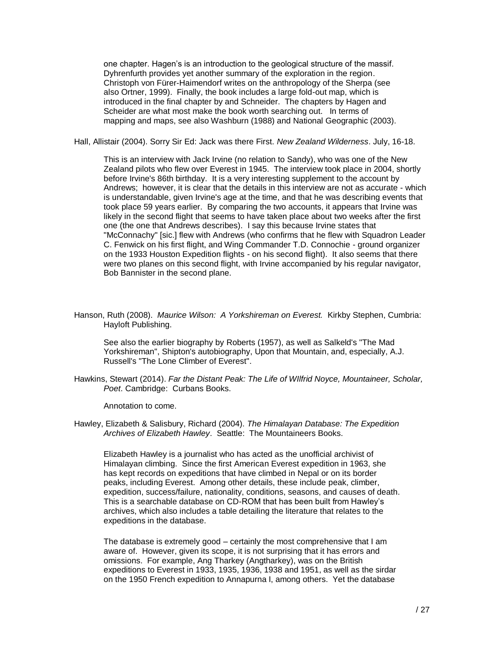one chapter. Hagen's is an introduction to the geological structure of the massif. Dyhrenfurth provides yet another summary of the exploration in the region. Christoph von Fürer-Haimendorf writes on the anthropology of the Sherpa (see also Ortner, 1999). Finally, the book includes a large fold-out map, which is introduced in the final chapter by and Schneider. The chapters by Hagen and Scheider are what most make the book worth searching out. In terms of mapping and maps, see also Washburn (1988) and National Geographic (2003).

Hall, Allistair (2004). Sorry Sir Ed: Jack was there First. *New Zealand Wilderness*. July, 16-18.

This is an interview with Jack Irvine (no relation to Sandy), who was one of the New Zealand pilots who flew over Everest in 1945. The interview took place in 2004, shortly before Irvine's 86th birthday. It is a very interesting supplement to the account by Andrews; however, it is clear that the details in this interview are not as accurate - which is understandable, given Irvine's age at the time, and that he was describing events that took place 59 years earlier. By comparing the two accounts, it appears that Irvine was likely in the second flight that seems to have taken place about two weeks after the first one (the one that Andrews describes). I say this because Irvine states that "McConnachy" [sic.] flew with Andrews (who confirms that he flew with Squadron Leader C. Fenwick on his first flight, and Wing Commander T.D. Connochie - ground organizer on the 1933 Houston Expedition flights - on his second flight). It also seems that there were two planes on this second flight, with Irvine accompanied by his regular navigator, Bob Bannister in the second plane.

Hanson, Ruth (2008). *Maurice Wilson: A Yorkshireman on Everest.* Kirkby Stephen, Cumbria: Hayloft Publishing.

See also the earlier biography by Roberts (1957), as well as Salkeld's "The Mad Yorkshireman", Shipton's autobiography, Upon that Mountain, and, especially, A.J. Russell's "The Lone Climber of Everest".

Hawkins, Stewart (2014). *Far the Distant Peak: The Life of WIlfrid Noyce, Mountaineer, Scholar, Poet*. Cambridge: Curbans Books.

Annotation to come.

Hawley, Elizabeth & Salisbury, Richard (2004). *The Himalayan Database: The Expedition Archives of Elizabeth Hawley*. Seattle: The Mountaineers Books.

Elizabeth Hawley is a journalist who has acted as the unofficial archivist of Himalayan climbing. Since the first American Everest expedition in 1963, she has kept records on expeditions that have climbed in Nepal or on its border peaks, including Everest. Among other details, these include peak, climber, expedition, success/failure, nationality, conditions, seasons, and causes of death. This is a searchable database on CD-ROM that has been built from Hawley's archives, which also includes a table detailing the literature that relates to the expeditions in the database.

The database is extremely good – certainly the most comprehensive that I am aware of. However, given its scope, it is not surprising that it has errors and omissions. For example, Ang Tharkey (Angtharkey), was on the British expeditions to Everest in 1933, 1935, 1936, 1938 and 1951, as well as the sirdar on the 1950 French expedition to Annapurna I, among others. Yet the database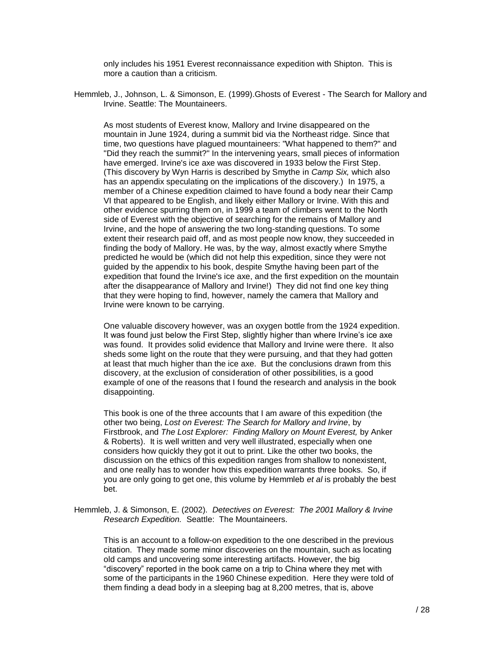only includes his 1951 Everest reconnaissance expedition with Shipton. This is more a caution than a criticism.

Hemmleb, J., Johnson, L. & Simonson, E. (1999).Ghosts of Everest - The Search for Mallory and Irvine. Seattle: The Mountaineers.

As most students of Everest know, Mallory and Irvine disappeared on the mountain in June 1924, during a summit bid via the Northeast ridge. Since that time, two questions have plagued mountaineers: "What happened to them?" and "Did they reach the summit?" In the intervening years, small pieces of information have emerged. Irvine's ice axe was discovered in 1933 below the First Step. (This discovery by Wyn Harris is described by Smythe in *Camp Six,* which also has an appendix speculating on the implications of the discovery.) In 1975, a member of a Chinese expedition claimed to have found a body near their Camp VI that appeared to be English, and likely either Mallory or Irvine. With this and other evidence spurring them on, in 1999 a team of climbers went to the North side of Everest with the objective of searching for the remains of Mallory and Irvine, and the hope of answering the two long-standing questions. To some extent their research paid off, and as most people now know, they succeeded in finding the body of Mallory. He was, by the way, almost exactly where Smythe predicted he would be (which did not help this expedition, since they were not guided by the appendix to his book, despite Smythe having been part of the expedition that found the Irvine's ice axe, and the first expedition on the mountain after the disappearance of Mallory and Irvine!) They did not find one key thing that they were hoping to find, however, namely the camera that Mallory and Irvine were known to be carrying.

One valuable discovery however, was an oxygen bottle from the 1924 expedition. It was found just below the First Step, slightly higher than where Irvine's ice axe was found. It provides solid evidence that Mallory and Irvine were there. It also sheds some light on the route that they were pursuing, and that they had gotten at least that much higher than the ice axe. But the conclusions drawn from this discovery, at the exclusion of consideration of other possibilities, is a good example of one of the reasons that I found the research and analysis in the book disappointing.

This book is one of the three accounts that I am aware of this expedition (the other two being, *Lost on Everest: The Search for Mallory and Irvine*, by Firstbrook, and *The Lost Explorer: Finding Mallory on Mount Everest,* by Anker & Roberts). It is well written and very well illustrated, especially when one considers how quickly they got it out to print. Like the other two books, the discussion on the ethics of this expedition ranges from shallow to nonexistent, and one really has to wonder how this expedition warrants three books. So, if you are only going to get one, this volume by Hemmleb *et al* is probably the best bet.

Hemmleb, J. & Simonson, E. (2002). *Detectives on Everest: The 2001 Mallory & Irvine Research Expedition.* Seattle: The Mountaineers.

This is an account to a follow-on expedition to the one described in the previous citation. They made some minor discoveries on the mountain, such as locating old camps and uncovering some interesting artifacts. However, the big "discovery" reported in the book came on a trip to China where they met with some of the participants in the 1960 Chinese expedition. Here they were told of them finding a dead body in a sleeping bag at 8,200 metres, that is, above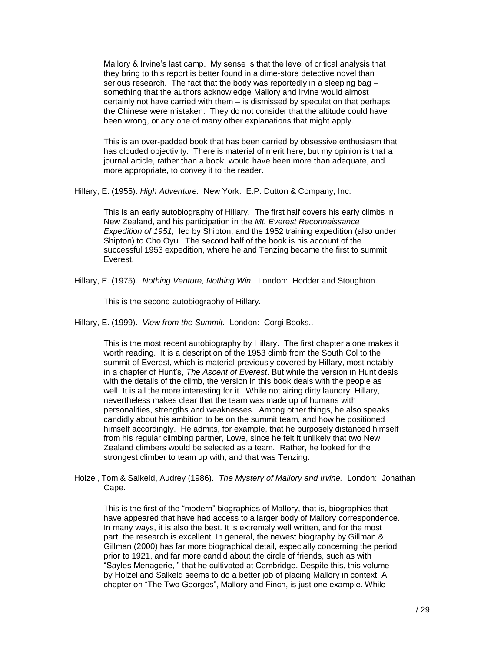Mallory & Irvine's last camp. My sense is that the level of critical analysis that they bring to this report is better found in a dime-store detective novel than serious research. The fact that the body was reportedly in a sleeping bag – something that the authors acknowledge Mallory and Irvine would almost certainly not have carried with them – is dismissed by speculation that perhaps the Chinese were mistaken. They do not consider that the altitude could have been wrong, or any one of many other explanations that might apply.

This is an over-padded book that has been carried by obsessive enthusiasm that has clouded objectivity. There is material of merit here, but my opinion is that a journal article, rather than a book, would have been more than adequate, and more appropriate, to convey it to the reader.

Hillary, E. (1955). *High Adventure.* New York: E.P. Dutton & Company, Inc.

This is an early autobiography of Hillary. The first half covers his early climbs in New Zealand, and his participation in the *Mt. Everest Reconnaissance Expedition of 1951,* led by Shipton, and the 1952 training expedition (also under Shipton) to Cho Oyu. The second half of the book is his account of the successful 1953 expedition, where he and Tenzing became the first to summit Everest.

Hillary, E. (1975). *Nothing Venture, Nothing Win.* London: Hodder and Stoughton.

This is the second autobiography of Hillary.

Hillary, E. (1999). *View from the Summit.* London: Corgi Books..

This is the most recent autobiography by Hillary. The first chapter alone makes it worth reading. It is a description of the 1953 climb from the South Col to the summit of Everest, which is material previously covered by Hillary, most notably in a chapter of Hunt's, *The Ascent of Everest*. But while the version in Hunt deals with the details of the climb, the version in this book deals with the people as well. It is all the more interesting for it. While not airing dirty laundry, Hillary, nevertheless makes clear that the team was made up of humans with personalities, strengths and weaknesses. Among other things, he also speaks candidly about his ambition to be on the summit team, and how he positioned himself accordingly. He admits, for example, that he purposely distanced himself from his regular climbing partner, Lowe, since he felt it unlikely that two New Zealand climbers would be selected as a team. Rather, he looked for the strongest climber to team up with, and that was Tenzing.

Holzel, Tom & Salkeld, Audrey (1986). *The Mystery of Mallory and Irvine.* London: Jonathan Cape.

This is the first of the "modern" biographies of Mallory, that is, biographies that have appeared that have had access to a larger body of Mallory correspondence. In many ways, it is also the best. It is extremely well written, and for the most part, the research is excellent. In general, the newest biography by Gillman & Gillman (2000) has far more biographical detail, especially concerning the period prior to 1921, and far more candid about the circle of friends, such as with "Sayles Menagerie, " that he cultivated at Cambridge. Despite this, this volume by Holzel and Salkeld seems to do a better job of placing Mallory in context. A chapter on "The Two Georges", Mallory and Finch, is just one example. While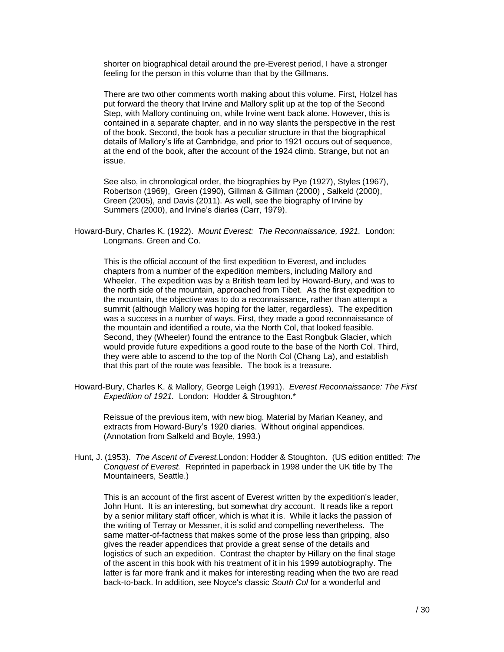shorter on biographical detail around the pre-Everest period, I have a stronger feeling for the person in this volume than that by the Gillmans.

There are two other comments worth making about this volume. First, Holzel has put forward the theory that Irvine and Mallory split up at the top of the Second Step, with Mallory continuing on, while Irvine went back alone. However, this is contained in a separate chapter, and in no way slants the perspective in the rest of the book. Second, the book has a peculiar structure in that the biographical details of Mallory's life at Cambridge, and prior to 1921 occurs out of sequence, at the end of the book, after the account of the 1924 climb. Strange, but not an issue.

See also, in chronological order, the biographies by Pye (1927), Styles (1967), Robertson (1969), Green (1990), Gillman & Gillman (2000) , Salkeld (2000), Green (2005), and Davis (2011). As well, see the biography of Irvine by Summers (2000), and Irvine's diaries (Carr, 1979).

Howard-Bury, Charles K. (1922). *Mount Everest: The Reconnaissance, 1921.* London: Longmans. Green and Co.

This is the official account of the first expedition to Everest, and includes chapters from a number of the expedition members, including Mallory and Wheeler. The expedition was by a British team led by Howard-Bury, and was to the north side of the mountain, approached from Tibet. As the first expedition to the mountain, the objective was to do a reconnaissance, rather than attempt a summit (although Mallory was hoping for the latter, regardless). The expedition was a success in a number of ways. First, they made a good reconnaissance of the mountain and identified a route, via the North Col, that looked feasible. Second, they (Wheeler) found the entrance to the East Rongbuk Glacier, which would provide future expeditions a good route to the base of the North Col. Third, they were able to ascend to the top of the North Col (Chang La), and establish that this part of the route was feasible. The book is a treasure.

Howard-Bury, Charles K. & Mallory, George Leigh (1991). *Everest Reconnaissance: The First Expedition of 1921.* London: Hodder & Stroughton.\*

Reissue of the previous item, with new biog. Material by Marian Keaney, and extracts from Howard-Bury's 1920 diaries. Without original appendices. (Annotation from Salkeld and Boyle, 1993.)

Hunt, J. (1953). *The Ascent of Everest.*London: Hodder & Stoughton. (US edition entitled: *The Conquest of Everest.* Reprinted in paperback in 1998 under the UK title by The Mountaineers, Seattle.)

This is an account of the first ascent of Everest written by the expedition's leader, John Hunt. It is an interesting, but somewhat dry account. It reads like a report by a senior military staff officer, which is what it is. While it lacks the passion of the writing of Terray or Messner, it is solid and compelling nevertheless. The same matter-of-factness that makes some of the prose less than gripping, also gives the reader appendices that provide a great sense of the details and logistics of such an expedition. Contrast the chapter by Hillary on the final stage of the ascent in this book with his treatment of it in his 1999 autobiography. The latter is far more frank and it makes for interesting reading when the two are read back-to-back. In addition, see Noyce's classic *South Col* for a wonderful and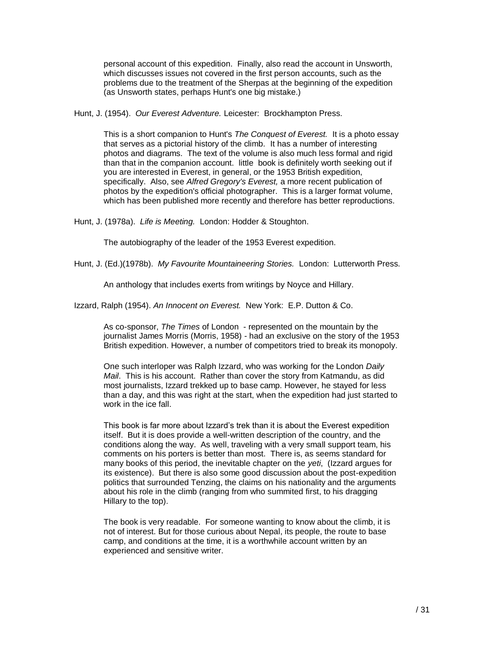personal account of this expedition. Finally, also read the account in Unsworth, which discusses issues not covered in the first person accounts, such as the problems due to the treatment of the Sherpas at the beginning of the expedition (as Unsworth states, perhaps Hunt's one big mistake.)

Hunt, J. (1954). *Our Everest Adventure.* Leicester: Brockhampton Press.

This is a short companion to Hunt's *The Conquest of Everest.* It is a photo essay that serves as a pictorial history of the climb. It has a number of interesting photos and diagrams. The text of the volume is also much less formal and rigid than that in the companion account. little book is definitely worth seeking out if you are interested in Everest, in general, or the 1953 British expedition, specifically. Also, see *Alfred Gregory's Everest,* a more recent publication of photos by the expedition's official photographer. This is a larger format volume, which has been published more recently and therefore has better reproductions.

Hunt, J. (1978a). *Life is Meeting.* London: Hodder & Stoughton.

The autobiography of the leader of the 1953 Everest expedition.

Hunt, J. (Ed.)(1978b). *My Favourite Mountaineering Stories.* London: Lutterworth Press.

An anthology that includes exerts from writings by Noyce and Hillary.

Izzard, Ralph (1954). *An Innocent on Everest.* New York: E.P. Dutton & Co.

As co-sponsor, *The Times* of London - represented on the mountain by the journalist James Morris (Morris, 1958) - had an exclusive on the story of the 1953 British expedition. However, a number of competitors tried to break its monopoly.

One such interloper was Ralph Izzard, who was working for the London *Daily Mail*. This is his account. Rather than cover the story from Katmandu, as did most journalists, Izzard trekked up to base camp. However, he stayed for less than a day, and this was right at the start, when the expedition had just started to work in the ice fall.

This book is far more about Izzard's trek than it is about the Everest expedition itself. But it is does provide a well-written description of the country, and the conditions along the way. As well, traveling with a very small support team, his comments on his porters is better than most. There is, as seems standard for many books of this period, the inevitable chapter on the *yeti*, (Izzard argues for its existence). But there is also some good discussion about the post-expedition politics that surrounded Tenzing, the claims on his nationality and the arguments about his role in the climb (ranging from who summited first, to his dragging Hillary to the top).

The book is very readable. For someone wanting to know about the climb, it is not of interest. But for those curious about Nepal, its people, the route to base camp, and conditions at the time, it is a worthwhile account written by an experienced and sensitive writer.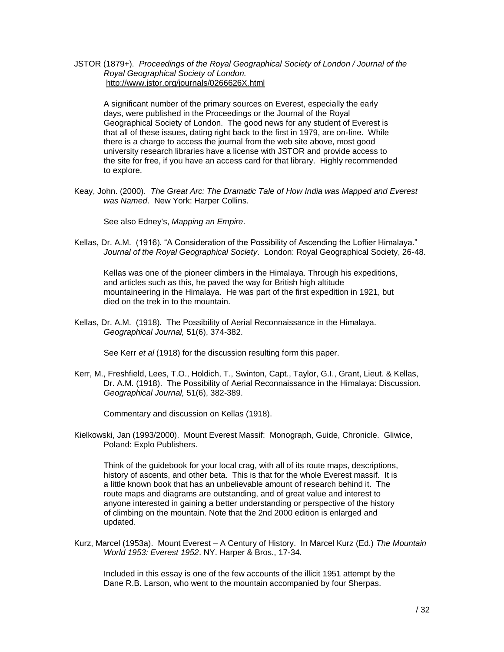#### JSTOR (1879+). *Proceedings of the Royal Geographical Society of London / Journal of the Royal Geographical Society of London.* <http://www.jstor.org/journals/0266626X.html>

A significant number of the primary sources on Everest, especially the early days, were published in the Proceedings or the Journal of the Royal Geographical Society of London. The good news for any student of Everest is that all of these issues, dating right back to the first in 1979, are on-line. While there is a charge to access the journal from the web site above, most good university research libraries have a license with JSTOR and provide access to the site for free, if you have an access card for that library. Highly recommended to explore.

Keay, John. (2000). *The Great Arc: The Dramatic Tale of How India was Mapped and Everest was Named*. New York: Harper Collins.

See also Edney's, *Mapping an Empire*.

Kellas, Dr. A.M. (1916). "A Consideration of the Possibility of Ascending the Loftier Himalaya." *Journal of the Royal Geographical Society*. London: Royal Geographical Society, 26-48.

Kellas was one of the pioneer climbers in the Himalaya. Through his expeditions, and articles such as this, he paved the way for British high altitude mountaineering in the Himalaya. He was part of the first expedition in 1921, but died on the trek in to the mountain.

Kellas, Dr. A.M. (1918). The Possibility of Aerial Reconnaissance in the Himalaya. *Geographical Journal,* 51(6), 374-382.

See Kerr *et al* (1918) for the discussion resulting form this paper.

Kerr, M., Freshfield, Lees, T.O., Holdich, T., Swinton, Capt., Taylor, G.I., Grant, Lieut. & Kellas, Dr. A.M. (1918). The Possibility of Aerial Reconnaissance in the Himalaya: Discussion. *Geographical Journal,* 51(6), 382-389.

Commentary and discussion on Kellas (1918).

Kielkowski, Jan (1993/2000). Mount Everest Massif: Monograph, Guide, Chronicle. Gliwice, Poland: Explo Publishers.

Think of the guidebook for your local crag, with all of its route maps, descriptions, history of ascents, and other beta. This is that for the whole Everest massif. It is a little known book that has an unbelievable amount of research behind it. The route maps and diagrams are outstanding, and of great value and interest to anyone interested in gaining a better understanding or perspective of the history of climbing on the mountain. Note that the 2nd 2000 edition is enlarged and updated.

Kurz, Marcel (1953a). Mount Everest – A Century of History. In Marcel Kurz (Ed.) *The Mountain World 1953: Everest 1952*. NY. Harper & Bros., 17-34.

Included in this essay is one of the few accounts of the illicit 1951 attempt by the Dane R.B. Larson, who went to the mountain accompanied by four Sherpas.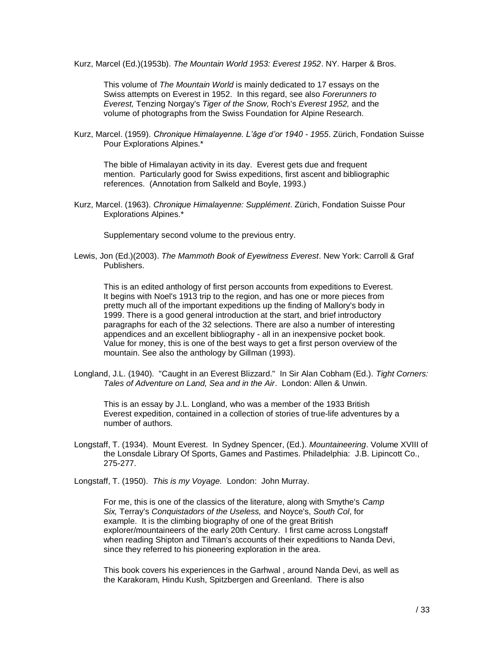Kurz, Marcel (Ed.)(1953b). *The Mountain World 1953: Everest 1952*. NY. Harper & Bros.

This volume of *The Mountain World* is mainly dedicated to 17 essays on the Swiss attempts on Everest in 1952. In this regard, see also *Forerunners to Everest,* Tenzing Norgay's *Tiger of the Snow,* Roch's *Everest 1952,* and the volume of photographs from the Swiss Foundation for Alpine Research.

Kurz, Marcel. (1959). *Chronique Himalayenne. L'âge d'or 1940 - 1955*. Zürich, Fondation Suisse Pour Explorations Alpines.\*

The bible of Himalayan activity in its day. Everest gets due and frequent mention. Particularly good for Swiss expeditions, first ascent and bibliographic references. (Annotation from Salkeld and Boyle, 1993.)

Kurz, Marcel. (1963). *Chronique Himalayenne: Supplément*. Zürich, Fondation Suisse Pour Explorations Alpines.\*

Supplementary second volume to the previous entry.

Lewis, Jon (Ed.)(2003). *The Mammoth Book of Eyewitness Everest*. New York: Carroll & Graf Publishers.

This is an edited anthology of first person accounts from expeditions to Everest. It begins with Noel's 1913 trip to the region, and has one or more pieces from pretty much all of the important expeditions up the finding of Mallory's body in 1999. There is a good general introduction at the start, and brief introductory paragraphs for each of the 32 selections. There are also a number of interesting appendices and an excellent bibliography - all in an inexpensive pocket book. Value for money, this is one of the best ways to get a first person overview of the mountain. See also the anthology by Gillman (1993).

Longland, J.L. (1940). "Caught in an Everest Blizzard." In Sir Alan Cobham (Ed.). *Tight Corners: Tales of Adventure on Land, Sea and in the Air*. London: Allen & Unwin.

This is an essay by J.L. Longland, who was a member of the 1933 British Everest expedition, contained in a collection of stories of true-life adventures by a number of authors.

- Longstaff, T. (1934). Mount Everest. In Sydney Spencer, (Ed.). *Mountaineering*. Volume XVIII of the Lonsdale Library Of Sports, Games and Pastimes. Philadelphia: J.B. Lipincott Co., 275-277.
- Longstaff, T. (1950). *This is my Voyage.* London: John Murray.

For me, this is one of the classics of the literature, along with Smythe's *Camp Six,* Terray's *Conquistadors of the Useless,* and Noyce's, *South Col*, for example. It is the climbing biography of one of the great British explorer/mountaineers of the early 20th Century. I first came across Longstaff when reading Shipton and Tilman's accounts of their expeditions to Nanda Devi, since they referred to his pioneering exploration in the area.

This book covers his experiences in the Garhwal , around Nanda Devi, as well as the Karakoram, Hindu Kush, Spitzbergen and Greenland. There is also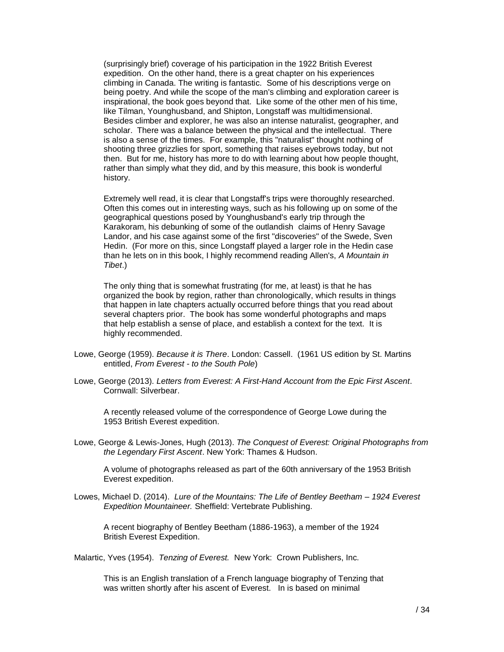(surprisingly brief) coverage of his participation in the 1922 British Everest expedition. On the other hand, there is a great chapter on his experiences climbing in Canada. The writing is fantastic. Some of his descriptions verge on being poetry. And while the scope of the man's climbing and exploration career is inspirational, the book goes beyond that. Like some of the other men of his time, like Tilman, Younghusband, and Shipton, Longstaff was multidimensional. Besides climber and explorer, he was also an intense naturalist, geographer, and scholar. There was a balance between the physical and the intellectual. There is also a sense of the times. For example, this "naturalist" thought nothing of shooting three grizzlies for sport, something that raises eyebrows today, but not then. But for me, history has more to do with learning about how people thought, rather than simply what they did, and by this measure, this book is wonderful history.

Extremely well read, it is clear that Longstaff's trips were thoroughly researched. Often this comes out in interesting ways, such as his following up on some of the geographical questions posed by Younghusband's early trip through the Karakoram, his debunking of some of the outlandish claims of Henry Savage Landor, and his case against some of the first "discoveries" of the Swede, Sven Hedin. (For more on this, since Longstaff played a larger role in the Hedin case than he lets on in this book, I highly recommend reading Allen's, *A Mountain in Tibet*.)

The only thing that is somewhat frustrating (for me, at least) is that he has organized the book by region, rather than chronologically, which results in things that happen in late chapters actually occurred before things that you read about several chapters prior. The book has some wonderful photographs and maps that help establish a sense of place, and establish a context for the text. It is highly recommended.

- Lowe, George (1959). *Because it is There*. London: Cassell. (1961 US edition by St. Martins entitled, *From Everest - to the South Pole*)
- Lowe, George (2013). *Letters from Everest: A First-Hand Account from the Epic First Ascent*. Cornwall: Silverbear.

A recently released volume of the correspondence of George Lowe during the 1953 British Everest expedition.

Lowe, George & Lewis-Jones, Hugh (2013). *The Conquest of Everest: Original Photographs from the Legendary First Ascent*. New York: Thames & Hudson.

A volume of photographs released as part of the 60th anniversary of the 1953 British Everest expedition.

Lowes, Michael D. (2014). *Lure of the Mountains: The Life of Bentley Beetham – 1924 Everest Expedition Mountaineer.* Sheffield: Vertebrate Publishing.

A recent biography of Bentley Beetham (1886-1963), a member of the 1924 British Everest Expedition.

Malartic, Yves (1954). *Tenzing of Everest.* New York: Crown Publishers, Inc.

This is an English translation of a French language biography of Tenzing that was written shortly after his ascent of Everest. In is based on minimal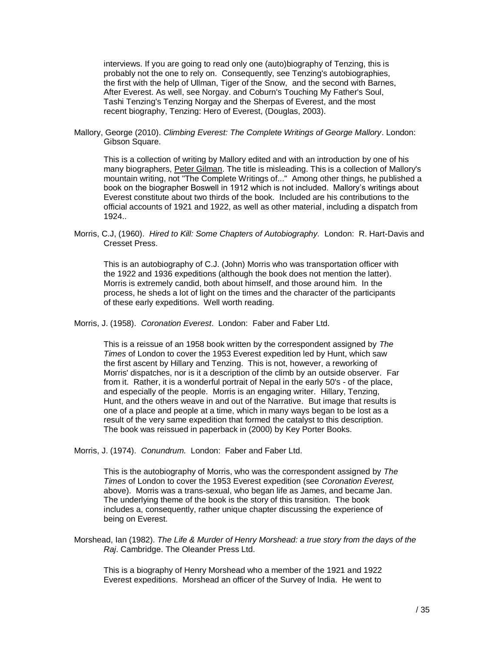interviews. If you are going to read only one (auto)biography of Tenzing, this is probably not the one to rely on. Consequently, see Tenzing's autobiographies, the first with the help of Ullman, Tiger of the Snow, and the second with Barnes, After Everest. As well, see Norgay. and Coburn's Touching My Father's Soul, Tashi Tenzing's Tenzing Norgay and the Sherpas of Everest, and the most recent biography, Tenzing: Hero of Everest, (Douglas, 2003).

Mallory, George (2010). *Climbing Everest: The Complete Writings of George Mallory*. London: Gibson Square.

This is a collection of writing by Mallory edited and with an introduction by one of his many biographers, [Peter Gilman.](http://billbuxton.com/climbing.html#gillmanMallory) The title is misleading. This is a collection of Mallory's mountain writing, not "The Complete Writings of..." Among other things, he published a book on the biographer Boswell in 1912 which is not included. Mallory's writings about Everest constitute about two thirds of the book. Included are his contributions to the official accounts of 1921 and 1922, as well as other material, including a dispatch from 1924..

Morris, C.J, (1960). *Hired to Kill: Some Chapters of Autobiography.* London: R. Hart-Davis and Cresset Press.

This is an autobiography of C.J. (John) Morris who was transportation officer with the 1922 and 1936 expeditions (although the book does not mention the latter). Morris is extremely candid, both about himself, and those around him. In the process, he sheds a lot of light on the times and the character of the participants of these early expeditions. Well worth reading.

Morris, J. (1958). *Coronation Everest*. London: Faber and Faber Ltd.

This is a reissue of an 1958 book written by the correspondent assigned by *The Times* of London to cover the 1953 Everest expedition led by Hunt, which saw the first ascent by Hillary and Tenzing. This is not, however, a reworking of Morris' dispatches, nor is it a description of the climb by an outside observer. Far from it. Rather, it is a wonderful portrait of Nepal in the early 50's - of the place, and especially of the people. Morris is an engaging writer. Hillary, Tenzing, Hunt, and the others weave in and out of the Narrative. But image that results is one of a place and people at a time, which in many ways began to be lost as a result of the very same expedition that formed the catalyst to this description. The book was reissued in paperback in (2000) by Key Porter Books.

Morris, J. (1974). *Conundrum.* London: Faber and Faber Ltd.

This is the autobiography of Morris, who was the correspondent assigned by *The Times* of London to cover the 1953 Everest expedition (see *Coronation Everest,*  above). Morris was a trans-sexual, who began life as James, and became Jan. The underlying theme of the book is the story of this transition. The book includes a, consequently, rather unique chapter discussing the experience of being on Everest.

Morshead, Ian (1982). *The Life & Murder of Henry Morshead: a true story from the days of the Raj*. Cambridge. The Oleander Press Ltd.

This is a biography of Henry Morshead who a member of the 1921 and 1922 Everest expeditions. Morshead an officer of the Survey of India. He went to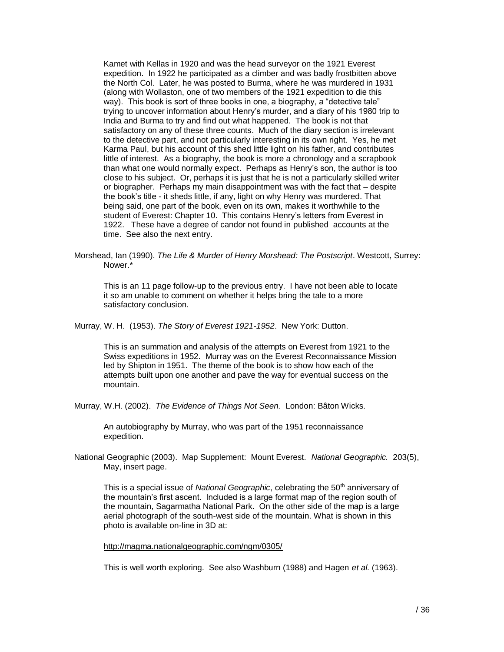Kamet with Kellas in 1920 and was the head surveyor on the 1921 Everest expedition. In 1922 he participated as a climber and was badly frostbitten above the North Col. Later, he was posted to Burma, where he was murdered in 1931 (along with Wollaston, one of two members of the 1921 expedition to die this way). This book is sort of three books in one, a biography, a "detective tale" trying to uncover information about Henry's murder, and a diary of his 1980 trip to India and Burma to try and find out what happened. The book is not that satisfactory on any of these three counts. Much of the diary section is irrelevant to the detective part, and not particularly interesting in its own right. Yes, he met Karma Paul, but his account of this shed little light on his father, and contributes little of interest. As a biography, the book is more a chronology and a scrapbook than what one would normally expect. Perhaps as Henry's son, the author is too close to his subject. Or, perhaps it is just that he is not a particularly skilled writer or biographer. Perhaps my main disappointment was with the fact that – despite the book's title - it sheds little, if any, light on why Henry was murdered. That being said, one part of the book, even on its own, makes it worthwhile to the student of Everest: Chapter 10. This contains Henry's letters from Everest in 1922. These have a degree of candor not found in published accounts at the time. See also the next entry.

Morshead, Ian (1990). *The Life & Murder of Henry Morshead: The Postscript*. Westcott, Surrey: Nower.\*

This is an 11 page follow-up to the previous entry. I have not been able to locate it so am unable to comment on whether it helps bring the tale to a more satisfactory conclusion.

Murray, W. H. (1953). *The Story of Everest 1921-1952*. New York: Dutton.

This is an summation and analysis of the attempts on Everest from 1921 to the Swiss expeditions in 1952. Murray was on the Everest Reconnaissance Mission led by Shipton in 1951. The theme of the book is to show how each of the attempts built upon one another and pave the way for eventual success on the mountain.

Murray, W.H. (2002). *The Evidence of Things Not Seen.* London: Bâton Wicks.

An autobiography by Murray, who was part of the 1951 reconnaissance expedition.

National Geographic (2003). Map Supplement: Mount Everest. *National Geographic.* 203(5), May, insert page.

This is a special issue of *National Geographic*, celebrating the 50<sup>th</sup> anniversary of the mountain's first ascent. Included is a large format map of the region south of the mountain, Sagarmatha National Park. On the other side of the map is a large aerial photograph of the south-west side of the mountain. What is shown in this photo is available on-line in 3D at:

<http://magma.nationalgeographic.com/ngm/0305/>

This is well worth exploring. See also Washburn (1988) and Hagen *et al.* (1963).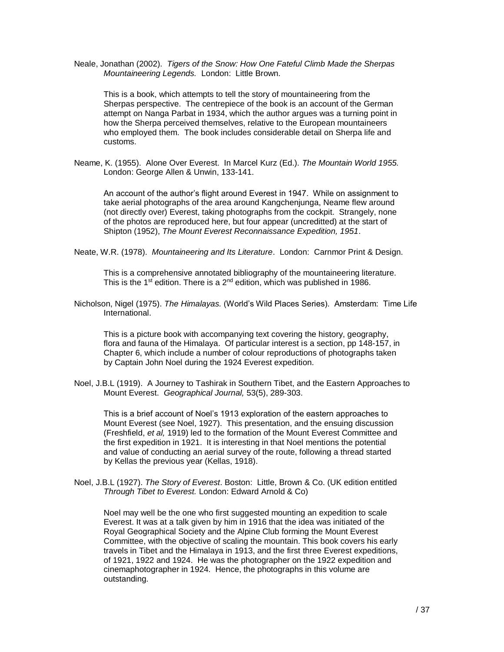Neale, Jonathan (2002). *Tigers of the Snow: How One Fateful Climb Made the Sherpas Mountaineering Legends.* London: Little Brown.

This is a book, which attempts to tell the story of mountaineering from the Sherpas perspective. The centrepiece of the book is an account of the German attempt on Nanga Parbat in 1934, which the author argues was a turning point in how the Sherpa perceived themselves, relative to the European mountaineers who employed them. The book includes considerable detail on Sherpa life and customs.

Neame, K. (1955). Alone Over Everest. In Marcel Kurz (Ed.). *The Mountain World 1955.* London: George Allen & Unwin, 133-141.

An account of the author's flight around Everest in 1947. While on assignment to take aerial photographs of the area around Kangchenjunga, Neame flew around (not directly over) Everest, taking photographs from the cockpit. Strangely, none of the photos are reproduced here, but four appear (uncreditted) at the start of Shipton (1952), *The Mount Everest Reconnaissance Expedition, 1951*.

Neate, W.R. (1978). *Mountaineering and Its Literature*. London: Carnmor Print & Design.

This is a comprehensive annotated bibliography of the mountaineering literature. This is the 1<sup>st</sup> edition. There is a 2<sup>nd</sup> edition, which was published in 1986.

Nicholson, Nigel (1975). *The Himalayas.* (World's Wild Places Series). Amsterdam: Time Life International.

This is a picture book with accompanying text covering the history, geography, flora and fauna of the Himalaya. Of particular interest is a section, pp 148-157, in Chapter 6, which include a number of colour reproductions of photographs taken by Captain John Noel during the 1924 Everest expedition.

Noel, J.B.L (1919). A Journey to Tashirak in Southern Tibet, and the Eastern Approaches to Mount Everest. *Geographical Journal,* 53(5), 289-303.

This is a brief account of Noel's 1913 exploration of the eastern approaches to Mount Everest (see Noel, 1927). This presentation, and the ensuing discussion (Freshfield, *et al,* 1919) led to the formation of the Mount Everest Committee and the first expedition in 1921. It is interesting in that Noel mentions the potential and value of conducting an aerial survey of the route, following a thread started by Kellas the previous year (Kellas, 1918).

Noel, J.B.L (1927). *The Story of Everest*. Boston: Little, Brown & Co. (UK edition entitled *Through Tibet to Everest.* London: Edward Arnold & Co)

Noel may well be the one who first suggested mounting an expedition to scale Everest. It was at a talk given by him in 1916 that the idea was initiated of the Royal Geographical Society and the Alpine Club forming the Mount Everest Committee, with the objective of scaling the mountain. This book covers his early travels in Tibet and the Himalaya in 1913, and the first three Everest expeditions, of 1921, 1922 and 1924. He was the photographer on the 1922 expedition and cinemaphotographer in 1924. Hence, the photographs in this volume are outstanding.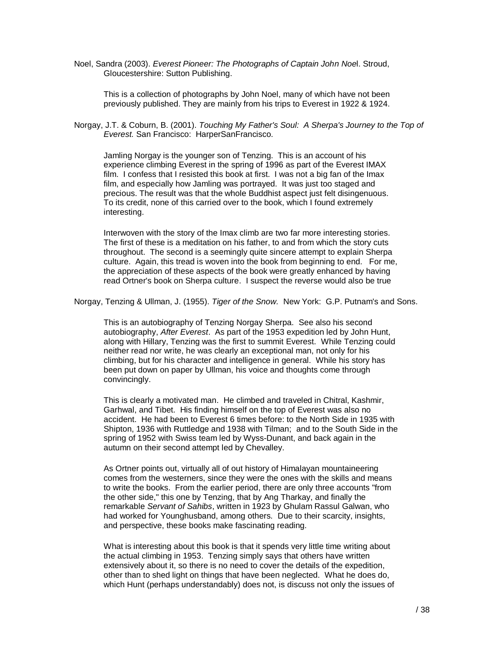Noel, Sandra (2003). *Everest Pioneer: The Photographs of Captain John Noe*l. Stroud, Gloucestershire: Sutton Publishing.

This is a collection of photographs by John Noel, many of which have not been previously published. They are mainly from his trips to Everest in 1922 & 1924.

Norgay, J.T. & Coburn, B. (2001). *Touching My Father's Soul: A Sherpa's Journey to the Top of Everest.* San Francisco: HarperSanFrancisco.

Jamling Norgay is the younger son of Tenzing. This is an account of his experience climbing Everest in the spring of 1996 as part of the Everest IMAX film. I confess that I resisted this book at first. I was not a big fan of the Imax film, and especially how Jamling was portrayed. It was just too staged and precious. The result was that the whole Buddhist aspect just felt disingenuous. To its credit, none of this carried over to the book, which I found extremely interesting.

Interwoven with the story of the Imax climb are two far more interesting stories. The first of these is a meditation on his father, to and from which the story cuts throughout. The second is a seemingly quite sincere attempt to explain Sherpa culture. Again, this tread is woven into the book from beginning to end. For me, the appreciation of these aspects of the book were greatly enhanced by having read Ortner's book on Sherpa culture. I suspect the reverse would also be true

Norgay, Tenzing & Ullman, J. (1955). *Tiger of the Snow.* New York: G.P. Putnam's and Sons.

This is an autobiography of Tenzing Norgay Sherpa. See also his second autobiography, *After Everest*. As part of the 1953 expedition led by John Hunt, along with Hillary, Tenzing was the first to summit Everest. While Tenzing could neither read nor write, he was clearly an exceptional man, not only for his climbing, but for his character and intelligence in general. While his story has been put down on paper by Ullman, his voice and thoughts come through convincingly.

This is clearly a motivated man. He climbed and traveled in Chitral, Kashmir, Garhwal, and Tibet. His finding himself on the top of Everest was also no accident. He had been to Everest 6 times before: to the North Side in 1935 with Shipton, 1936 with Ruttledge and 1938 with Tilman; and to the South Side in the spring of 1952 with Swiss team led by Wyss-Dunant, and back again in the autumn on their second attempt led by Chevalley.

As Ortner points out, virtually all of out history of Himalayan mountaineering comes from the westerners, since they were the ones with the skills and means to write the books. From the earlier period, there are only three accounts "from the other side," this one by Tenzing, that by Ang Tharkay, and finally the remarkable *Servant of Sahibs*, written in 1923 by Ghulam Rassul Galwan, who had worked for Younghusband, among others. Due to their scarcity, insights, and perspective, these books make fascinating reading.

What is interesting about this book is that it spends very little time writing about the actual climbing in 1953. Tenzing simply says that others have written extensively about it, so there is no need to cover the details of the expedition, other than to shed light on things that have been neglected. What he does do, which Hunt (perhaps understandably) does not, is discuss not only the issues of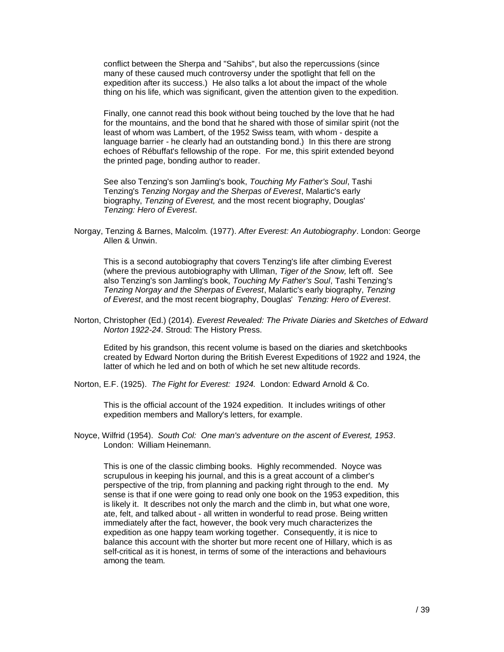conflict between the Sherpa and "Sahibs", but also the repercussions (since many of these caused much controversy under the spotlight that fell on the expedition after its success.) He also talks a lot about the impact of the whole thing on his life, which was significant, given the attention given to the expedition.

Finally, one cannot read this book without being touched by the love that he had for the mountains, and the bond that he shared with those of similar spirit (not the least of whom was Lambert, of the 1952 Swiss team, with whom - despite a language barrier - he clearly had an outstanding bond.) In this there are strong echoes of Rébuffat's fellowship of the rope. For me, this spirit extended beyond the printed page, bonding author to reader.

See also Tenzing's son Jamling's book, *Touching My Father's Soul*, Tashi Tenzing's *Tenzing Norgay and the Sherpas of Everest*, Malartic's early biography, *Tenzing of Everest,* and the most recent biography, Douglas' *Tenzing: Hero of Everest*.

Norgay, Tenzing & Barnes, Malcolm. (1977). *After Everest: An Autobiography*. London: George Allen & Unwin.

This is a second autobiography that covers Tenzing's life after climbing Everest (where the previous autobiography with Ullman, *Tiger of the Snow,* left off. See also Tenzing's son Jamling's book, *Touching My Father's Soul*, Tashi Tenzing's *Tenzing Norgay and the Sherpas of Everest*, Malartic's early biography, *Tenzing of Everest*, and the most recent biography, Douglas' *Tenzing: Hero of Everest*.

Norton, Christopher (Ed.) (2014). *Everest Revealed: The Private Diaries and Sketches of Edward Norton 1922-24*. Stroud: The History Press.

Edited by his grandson, this recent volume is based on the diaries and sketchbooks created by Edward Norton during the British Everest Expeditions of 1922 and 1924, the latter of which he led and on both of which he set new altitude records.

Norton, E.F. (1925). *The Fight for Everest: 1924.* London: Edward Arnold & Co.

This is the official account of the 1924 expedition. It includes writings of other expedition members and Mallory's letters, for example.

Noyce, Wilfrid (1954). *South Col: One man's adventure on the ascent of Everest, 1953*. London: William Heinemann.

This is one of the classic climbing books. Highly recommended. Noyce was scrupulous in keeping his journal, and this is a great account of a climber's perspective of the trip, from planning and packing right through to the end. My sense is that if one were going to read only one book on the 1953 expedition, this is likely it. It describes not only the march and the climb in, but what one wore, ate, felt, and talked about - all written in wonderful to read prose. Being written immediately after the fact, however, the book very much characterizes the expedition as one happy team working together. Consequently, it is nice to balance this account with the shorter but more recent one of Hillary, which is as self-critical as it is honest, in terms of some of the interactions and behaviours among the team.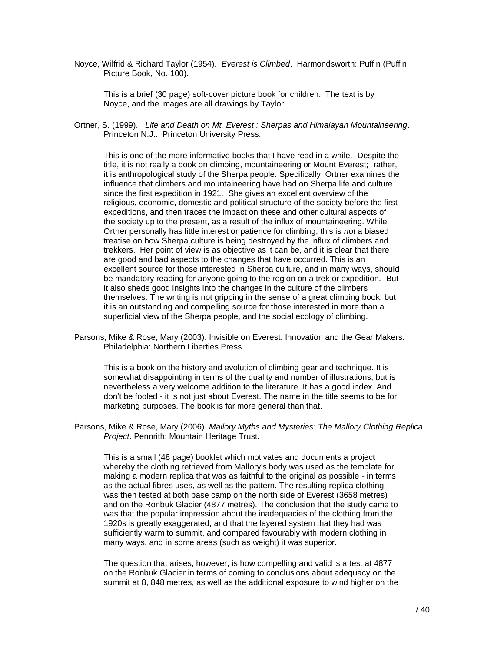Noyce, Wilfrid & Richard Taylor (1954). *Everest is Climbed*. Harmondsworth: Puffin (Puffin Picture Book, No. 100).

This is a brief (30 page) soft-cover picture book for children. The text is by Noyce, and the images are all drawings by Taylor.

Ortner, S. (1999). *Life and Death on Mt. Everest : Sherpas and Himalayan Mountaineering*. Princeton N.J.: Princeton University Press.

This is one of the more informative books that I have read in a while. Despite the title, it is not really a book on climbing, mountaineering or Mount Everest; rather, it is anthropological study of the Sherpa people. Specifically, Ortner examines the influence that climbers and mountaineering have had on Sherpa life and culture since the first expedition in 1921. She gives an excellent overview of the religious, economic, domestic and political structure of the society before the first expeditions, and then traces the impact on these and other cultural aspects of the society up to the present, as a result of the influx of mountaineering. While Ortner personally has little interest or patience for climbing, this is *not* a biased treatise on how Sherpa culture is being destroyed by the influx of climbers and trekkers. Her point of view is as objective as it can be, and it is clear that there are good and bad aspects to the changes that have occurred. This is an excellent source for those interested in Sherpa culture, and in many ways, should be mandatory reading for anyone going to the region on a trek or expedition. But it also sheds good insights into the changes in the culture of the climbers themselves. The writing is not gripping in the sense of a great climbing book, but it is an outstanding and compelling source for those interested in more than a superficial view of the Sherpa people, and the social ecology of climbing.

Parsons, Mike & Rose, Mary (2003). Invisible on Everest: Innovation and the Gear Makers. Philadelphia: Northern Liberties Press.

This is a book on the history and evolution of climbing gear and technique. It is somewhat disappointing in terms of the quality and number of illustrations, but is nevertheless a very welcome addition to the literature. It has a good index. And don't be fooled - it is not just about Everest. The name in the title seems to be for marketing purposes. The book is far more general than that.

Parsons, Mike & Rose, Mary (2006). *Mallory Myths and Mysteries: The Mallory Clothing Replica Project*. Pennrith: Mountain Heritage Trust.

This is a small (48 page) booklet which motivates and documents a project whereby the clothing retrieved from Mallory's body was used as the template for making a modern replica that was as faithful to the original as possible - in terms as the actual fibres uses, as well as the pattern. The resulting replica clothing was then tested at both base camp on the north side of Everest (3658 metres) and on the Ronbuk Glacier (4877 metres). The conclusion that the study came to was that the popular impression about the inadequacies of the clothing from the 1920s is greatly exaggerated, and that the layered system that they had was sufficiently warm to summit, and compared favourably with modern clothing in many ways, and in some areas (such as weight) it was superior.

The question that arises, however, is how compelling and valid is a test at 4877 on the Ronbuk Glacier in terms of coming to conclusions about adequacy on the summit at 8, 848 metres, as well as the additional exposure to wind higher on the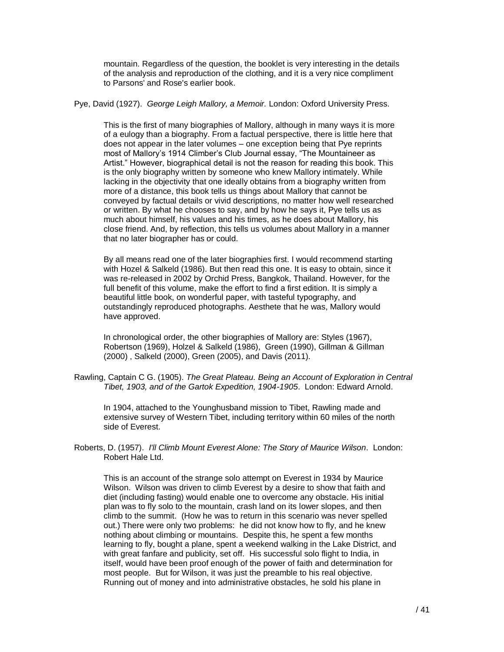mountain. Regardless of the question, the booklet is very interesting in the details of the analysis and reproduction of the clothing, and it is a very nice compliment to Parsons' and Rose's earlier book.

Pye, David (1927). *George Leigh Mallory, a Memoir.* London: Oxford University Press.

This is the first of many biographies of Mallory, although in many ways it is more of a eulogy than a biography. From a factual perspective, there is little here that does not appear in the later volumes – one exception being that Pye reprints most of Mallory's 1914 Climber's Club Journal essay, "The Mountaineer as Artist." However, biographical detail is not the reason for reading this book. This is the only biography written by someone who knew Mallory intimately. While lacking in the objectivity that one ideally obtains from a biography written from more of a distance, this book tells us things about Mallory that cannot be conveyed by factual details or vivid descriptions, no matter how well researched or written. By what he chooses to say, and by how he says it, Pye tells us as much about himself, his values and his times, as he does about Mallory, his close friend. And, by reflection, this tells us volumes about Mallory in a manner that no later biographer has or could.

By all means read one of the later biographies first. I would recommend starting with Hozel & Salkeld (1986). But then read this one. It is easy to obtain, since it was re-released in 2002 by Orchid Press, Bangkok, Thailand. However, for the full benefit of this volume, make the effort to find a first edition. It is simply a beautiful little book, on wonderful paper, with tasteful typography, and outstandingly reproduced photographs. Aesthete that he was, Mallory would have approved.

In chronological order, the other biographies of Mallory are: Styles (1967), Robertson (1969), Holzel & Salkeld (1986), Green (1990), Gillman & Gillman (2000) , Salkeld (2000), Green (2005), and Davis (2011).

Rawling, Captain C G. (1905). *The Great Plateau. Being an Account of Exploration in Central Tibet, 1903, and of the Gartok Expedition, 1904-1905*. London: Edward Arnold.

In 1904, attached to the Younghusband mission to Tibet, Rawling made and extensive survey of Western Tibet, including territory within 60 miles of the north side of Everest.

Roberts, D. (1957). *I'll Climb Mount Everest Alone: The Story of Maurice Wilson*. London: Robert Hale Ltd.

This is an account of the strange solo attempt on Everest in 1934 by Maurice Wilson. Wilson was driven to climb Everest by a desire to show that faith and diet (including fasting) would enable one to overcome any obstacle. His initial plan was to fly solo to the mountain, crash land on its lower slopes, and then climb to the summit. (How he was to return in this scenario was never spelled out.) There were only two problems: he did not know how to fly, and he knew nothing about climbing or mountains. Despite this, he spent a few months learning to fly, bought a plane, spent a weekend walking in the Lake District, and with great fanfare and publicity, set off. His successful solo flight to India, in itself, would have been proof enough of the power of faith and determination for most people. But for Wilson, it was just the preamble to his real objective. Running out of money and into administrative obstacles, he sold his plane in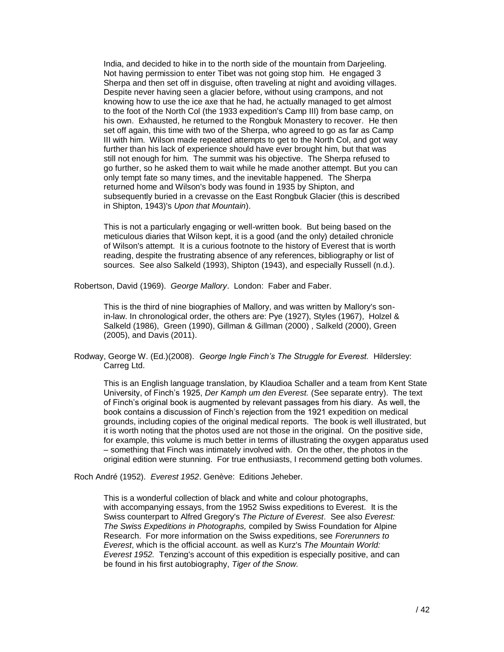India, and decided to hike in to the north side of the mountain from Darjeeling. Not having permission to enter Tibet was not going stop him. He engaged 3 Sherpa and then set off in disguise, often traveling at night and avoiding villages. Despite never having seen a glacier before, without using crampons, and not knowing how to use the ice axe that he had, he actually managed to get almost to the foot of the North Col (the 1933 expedition's Camp III) from base camp, on his own. Exhausted, he returned to the Rongbuk Monastery to recover. He then set off again, this time with two of the Sherpa, who agreed to go as far as Camp III with him. Wilson made repeated attempts to get to the North Col, and got way further than his lack of experience should have ever brought him, but that was still not enough for him. The summit was his objective. The Sherpa refused to go further, so he asked them to wait while he made another attempt. But you can only tempt fate so many times, and the inevitable happened. The Sherpa returned home and Wilson's body was found in 1935 by Shipton, and subsequently buried in a crevasse on the East Rongbuk Glacier (this is described in Shipton, 1943)'s *Upon that Mountain*).

This is not a particularly engaging or well-written book. But being based on the meticulous diaries that Wilson kept, it is a good (and the only) detailed chronicle of Wilson's attempt. It is a curious footnote to the history of Everest that is worth reading, despite the frustrating absence of any references, bibliography or list of sources. See also Salkeld (1993), Shipton (1943), and especially Russell (n.d.).

Robertson, David (1969). *George Mallory*. London: Faber and Faber.

This is the third of nine biographies of Mallory, and was written by Mallory's sonin-law. In chronological order, the others are: Pye (1927), Styles (1967), Holzel & Salkeld (1986), Green (1990), Gillman & Gillman (2000) , Salkeld (2000), Green (2005), and Davis (2011).

Rodway, George W. (Ed.)(2008). *George Ingle Finch's The Struggle for Everest.* Hildersley: Carreg Ltd.

This is an English language translation, by Klaudioa Schaller and a team from Kent State University, of Finch's 1925, *Der Kamph um den Everest.* (See separate entry). The text of Finch's original book is augmented by relevant passages from his diary. As well, the book contains a discussion of Finch's rejection from the 1921 expedition on medical grounds, including copies of the original medical reports. The book is well illustrated, but it is worth noting that the photos used are not those in the original. On the positive side, for example, this volume is much better in terms of illustrating the oxygen apparatus used – something that Finch was intimately involved with. On the other, the photos in the original edition were stunning. For true enthusiasts, I recommend getting both volumes.

Roch André (1952). *Everest 1952*. Genève: Editions Jeheber.

This is a wonderful collection of black and white and colour photographs, with accompanying essays, from the 1952 Swiss expeditions to Everest. It is the Swiss counterpart to Alfred Gregory's *The Picture of Everest*. See also *Everest: The Swiss Expeditions in Photographs,* compiled by Swiss Foundation for Alpine Research. For more information on the Swiss expeditions, see *Forerunners to Everest*, which is the official account. as well as Kurz's *The Mountain World: Everest 1952.* Tenzing's account of this expedition is especially positive, and can be found in his first autobiography, *Tiger of the Snow.*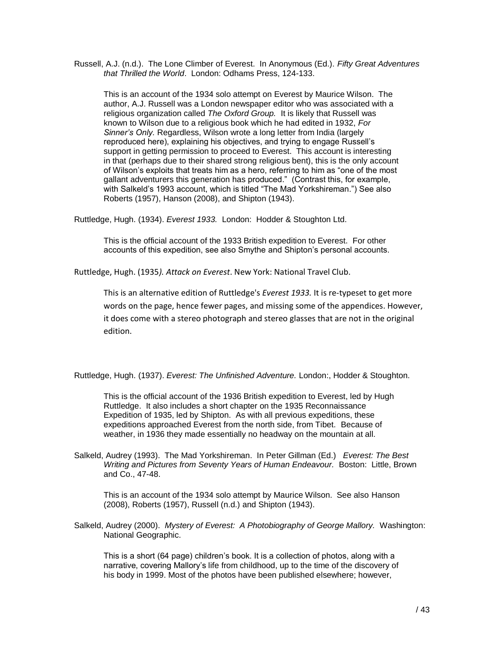Russell, A.J. (n.d.). The Lone Climber of Everest. In Anonymous (Ed.). *Fifty Great Adventures that Thrilled the World*. London: Odhams Press, 124-133.

This is an account of the 1934 solo attempt on Everest by Maurice Wilson. The author, A.J. Russell was a London newspaper editor who was associated with a religious organization called *The Oxford Group.* It is likely that Russell was known to Wilson due to a religious book which he had edited in 1932, *For Sinner's Only.* Regardless, Wilson wrote a long letter from India (largely reproduced here), explaining his objectives, and trying to engage Russell's support in getting permission to proceed to Everest. This account is interesting in that (perhaps due to their shared strong religious bent), this is the only account of Wilson's exploits that treats him as a hero, referring to him as "one of the most gallant adventurers this generation has produced." (Contrast this, for example, with Salkeld's 1993 account, which is titled "The Mad Yorkshireman.") See also Roberts (1957), Hanson (2008), and Shipton (1943).

Ruttledge, Hugh. (1934). *Everest 1933.* London: Hodder & Stoughton Ltd.

This is the official account of the 1933 British expedition to Everest. For other accounts of this expedition, see also Smythe and Shipton's personal accounts.

Ruttledge, Hugh. (1935*). Attack on Everest*. New York: National Travel Club.

This is an alternative edition of Ruttledge's *Everest 1933.* It is re-typeset to get more words on the page, hence fewer pages, and missing some of the appendices. However, it does come with a stereo photograph and stereo glasses that are not in the original edition.

Ruttledge, Hugh. (1937). *Everest: The Unfinished Adventure.* London:, Hodder & Stoughton.

This is the official account of the 1936 British expedition to Everest, led by Hugh Ruttledge. It also includes a short chapter on the 1935 Reconnaissance Expedition of 1935, led by Shipton. As with all previous expeditions, these expeditions approached Everest from the north side, from Tibet. Because of weather, in 1936 they made essentially no headway on the mountain at all.

Salkeld, Audrey (1993). The Mad Yorkshireman. In Peter Gillman (Ed.) *Everest: The Best Writing and Pictures from Seventy Years of Human Endeavour.* Boston: Little, Brown and Co., 47-48.

This is an account of the 1934 solo attempt by Maurice Wilson. See also Hanson (2008), Roberts (1957), Russell (n.d.) and Shipton (1943).

Salkeld, Audrey (2000). *Mystery of Everest: A Photobiography of George Mallory.* Washington: National Geographic.

This is a short (64 page) children's book. It is a collection of photos, along with a narrative, covering Mallory's life from childhood, up to the time of the discovery of his body in 1999. Most of the photos have been published elsewhere; however,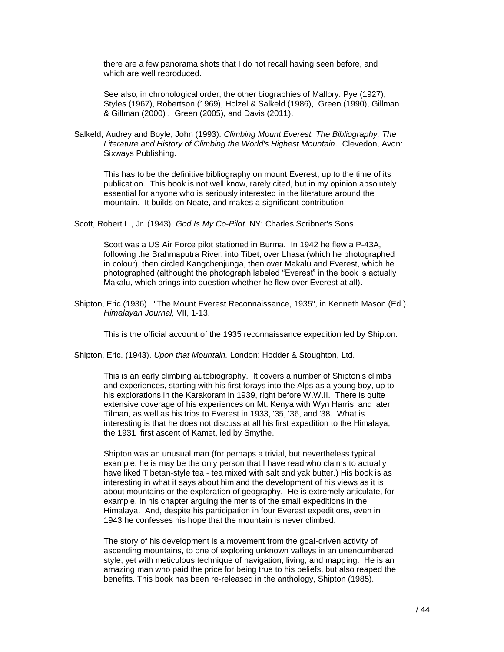there are a few panorama shots that I do not recall having seen before, and which are well reproduced.

See also, in chronological order, the other biographies of Mallory: Pye (1927), Styles (1967), Robertson (1969), Holzel & Salkeld (1986), Green (1990), Gillman & Gillman (2000) , Green (2005), and Davis (2011).

Salkeld, Audrey and Boyle, John (1993). *Climbing Mount Everest: The Bibliography. The Literature and History of Climbing the World's Highest Mountain*. Clevedon, Avon: Sixways Publishing.

This has to be the definitive bibliography on mount Everest, up to the time of its publication. This book is not well know, rarely cited, but in my opinion absolutely essential for anyone who is seriously interested in the literature around the mountain. It builds on Neate, and makes a significant contribution.

Scott, Robert L., Jr. (1943). *God Is My Co-Pilot*. NY: Charles Scribner's Sons.

Scott was a US Air Force pilot stationed in Burma. In 1942 he flew a P-43A, following the Brahmaputra River, into Tibet, over Lhasa (which he photographed in colour), then circled Kangchenjunga, then over Makalu and Everest, which he photographed (althought the photograph labeled "Everest" in the book is actually Makalu, which brings into question whether he flew over Everest at all).

Shipton, Eric (1936). "The Mount Everest Reconnaissance, 1935", in Kenneth Mason (Ed.). *Himalayan Journal,* VII, 1-13.

This is the official account of the 1935 reconnaissance expedition led by Shipton.

Shipton, Eric. (1943). *Upon that Mountain.* London: Hodder & Stoughton, Ltd.

This is an early climbing autobiography. It covers a number of Shipton's climbs and experiences, starting with his first forays into the Alps as a young boy, up to his explorations in the Karakoram in 1939, right before W.W.II. There is quite extensive coverage of his experiences on Mt. Kenya with Wyn Harris, and later Tilman, as well as his trips to Everest in 1933, '35, '36, and '38. What is interesting is that he does not discuss at all his first expedition to the Himalaya, the 1931 first ascent of Kamet, led by Smythe.

Shipton was an unusual man (for perhaps a trivial, but nevertheless typical example, he is may be the only person that I have read who claims to actually have liked Tibetan-style tea - tea mixed with salt and yak butter.) His book is as interesting in what it says about him and the development of his views as it is about mountains or the exploration of geography. He is extremely articulate, for example, in his chapter arguing the merits of the small expeditions in the Himalaya. And, despite his participation in four Everest expeditions, even in 1943 he confesses his hope that the mountain is never climbed.

The story of his development is a movement from the goal-driven activity of ascending mountains, to one of exploring unknown valleys in an unencumbered style, yet with meticulous technique of navigation, living, and mapping. He is an amazing man who paid the price for being true to his beliefs, but also reaped the benefits. This book has been re-released in the anthology, Shipton (1985).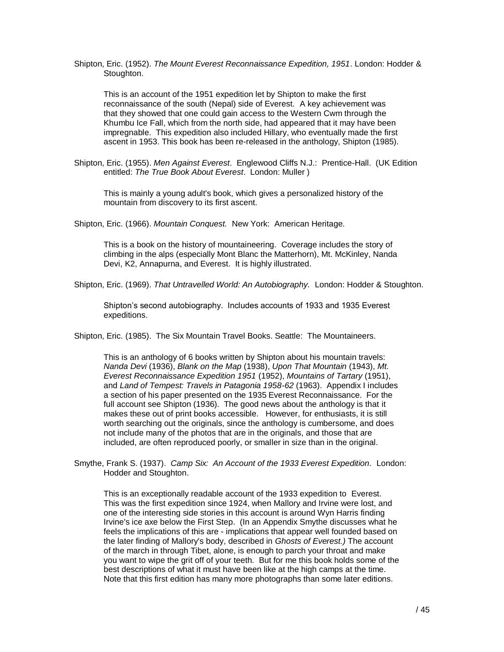Shipton, Eric. (1952). *The Mount Everest Reconnaissance Expedition, 1951*. London: Hodder & Stoughton.

This is an account of the 1951 expedition let by Shipton to make the first reconnaissance of the south (Nepal) side of Everest. A key achievement was that they showed that one could gain access to the Western Cwm through the Khumbu Ice Fall, which from the north side, had appeared that it may have been impregnable. This expedition also included Hillary, who eventually made the first ascent in 1953. This book has been re-released in the anthology, Shipton (1985).

Shipton, Eric. (1955). *Men Against Everest*. Englewood Cliffs N.J.: Prentice-Hall. (UK Edition entitled: *The True Book About Everest*. London: Muller )

This is mainly a young adult's book, which gives a personalized history of the mountain from discovery to its first ascent.

Shipton, Eric. (1966). *Mountain Conquest.* New York: American Heritage.

This is a book on the history of mountaineering. Coverage includes the story of climbing in the alps (especially Mont Blanc the Matterhorn), Mt. McKinley, Nanda Devi, K2, Annapurna, and Everest. It is highly illustrated.

Shipton, Eric. (1969). *That Untravelled World: An Autobiography.* London: Hodder & Stoughton.

Shipton's second autobiography. Includes accounts of 1933 and 1935 Everest expeditions.

Shipton, Eric. (1985). The Six Mountain Travel Books. Seattle: The Mountaineers.

This is an anthology of 6 books written by Shipton about his mountain travels: *Nanda Devi* (1936), *Blank on the Map* (1938), *Upon That Mountain* (1943), *Mt. Everest Reconnaissance Expedition 1951* (1952), *Mountains of Tartary* (1951), and *Land of Tempest: Travels in Patagonia 1958-62* (1963). Appendix I includes a section of his paper presented on the 1935 Everest Reconnaissance. For the full account see Shipton (1936). The good news about the anthology is that it makes these out of print books accessible. However, for enthusiasts, it is still worth searching out the originals, since the anthology is cumbersome, and does not include many of the photos that are in the originals, and those that are included, are often reproduced poorly, or smaller in size than in the original.

Smythe, Frank S. (1937). *Camp Six: An Account of the 1933 Everest Expedition.* London: Hodder and Stoughton.

This is an exceptionally readable account of the 1933 expedition to Everest. This was the first expedition since 1924, when Mallory and Irvine were lost, and one of the interesting side stories in this account is around Wyn Harris finding Irvine's ice axe below the First Step. (In an Appendix Smythe discusses what he feels the implications of this are - implications that appear well founded based on the later finding of Mallory's body, described in *Ghosts of Everest.)* The account of the march in through Tibet, alone, is enough to parch your throat and make you want to wipe the grit off of your teeth. But for me this book holds some of the best descriptions of what it must have been like at the high camps at the time. Note that this first edition has many more photographs than some later editions.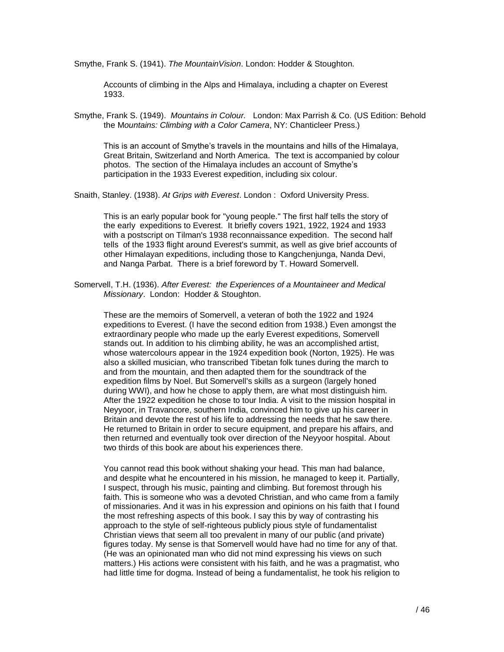Smythe, Frank S. (1941). *The MountainVision*. London: Hodder & Stoughton.

Accounts of climbing in the Alps and Himalaya, including a chapter on Everest 1933.

Smythe, Frank S. (1949). *Mountains in Colour.* London: Max Parrish & Co. (US Edition: Behold the M*ountains: Climbing with a Color Camera*, NY: Chanticleer Press.)

This is an account of Smythe's travels in the mountains and hills of the Himalaya, Great Britain, Switzerland and North America. The text is accompanied by colour photos. The section of the Himalaya includes an account of Smythe's participation in the 1933 Everest expedition, including six colour.

Snaith, Stanley. (1938). *At Grips with Everest*. London : Oxford University Press.

This is an early popular book for "young people." The first half tells the story of the early expeditions to Everest. It briefly covers 1921, 1922, 1924 and 1933 with a postscript on Tilman's 1938 reconnaissance expedition. The second half tells of the 1933 flight around Everest's summit, as well as give brief accounts of other Himalayan expeditions, including those to Kangchenjunga, Nanda Devi, and Nanga Parbat. There is a brief foreword by T. Howard Somervell.

Somervell, T.H. (1936). *After Everest: the Experiences of a Mountaineer and Medical Missionary*. London: Hodder & Stoughton.

These are the memoirs of Somervell, a veteran of both the 1922 and 1924 expeditions to Everest. (I have the second edition from 1938.) Even amongst the extraordinary people who made up the early Everest expeditions, Somervell stands out. In addition to his climbing ability, he was an accomplished artist, whose watercolours appear in the 1924 expedition book (Norton, 1925). He was also a skilled musician, who transcribed Tibetan folk tunes during the march to and from the mountain, and then adapted them for the soundtrack of the expedition films by Noel. But Somervell's skills as a surgeon (largely honed during WWI), and how he chose to apply them, are what most distinguish him. After the 1922 expedition he chose to tour India. A visit to the mission hospital in Neyyoor, in Travancore, southern India, convinced him to give up his career in Britain and devote the rest of his life to addressing the needs that he saw there. He returned to Britain in order to secure equipment, and prepare his affairs, and then returned and eventually took over direction of the Neyyoor hospital. About two thirds of this book are about his experiences there.

You cannot read this book without shaking your head. This man had balance, and despite what he encountered in his mission, he managed to keep it. Partially, I suspect, through his music, painting and climbing. But foremost through his faith. This is someone who was a devoted Christian, and who came from a family of missionaries. And it was in his expression and opinions on his faith that I found the most refreshing aspects of this book. I say this by way of contrasting his approach to the style of self-righteous publicly pious style of fundamentalist Christian views that seem all too prevalent in many of our public (and private) figures today. My sense is that Somervell would have had no time for any of that. (He was an opinionated man who did not mind expressing his views on such matters.) His actions were consistent with his faith, and he was a pragmatist, who had little time for dogma. Instead of being a fundamentalist, he took his religion to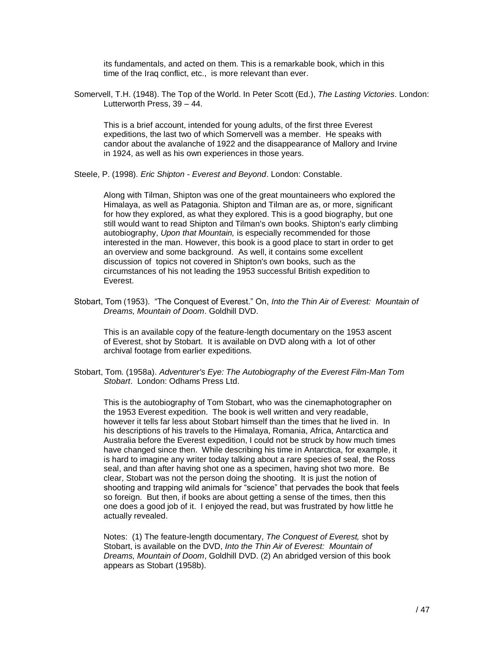its fundamentals, and acted on them. This is a remarkable book, which in this time of the Iraq conflict, etc., is more relevant than ever.

Somervell, T.H. (1948). The Top of the World. In Peter Scott (Ed.), *The Lasting Victories*. London: Lutterworth Press, 39 – 44.

This is a brief account, intended for young adults, of the first three Everest expeditions, the last two of which Somervell was a member. He speaks with candor about the avalanche of 1922 and the disappearance of Mallory and Irvine in 1924, as well as his own experiences in those years.

Steele, P. (1998). *Eric Shipton - Everest and Beyond*. London: Constable.

Along with Tilman, Shipton was one of the great mountaineers who explored the Himalaya, as well as Patagonia. Shipton and Tilman are as, or more, significant for how they explored, as what they explored. This is a good biography, but one still would want to read Shipton and Tilman's own books. Shipton's early climbing autobiography, *Upon that Mountain,* is especially recommended for those interested in the man. However, this book is a good place to start in order to get an overview and some background. As well, it contains some excellent discussion of topics not covered in Shipton's own books, such as the circumstances of his not leading the 1953 successful British expedition to Everest.

Stobart, Tom (1953). "The Conquest of Everest." On, *Into the Thin Air of Everest: Mountain of Dreams, Mountain of Doom*. Goldhill DVD.

This is an available copy of the feature-length documentary on the 1953 ascent of Everest, shot by Stobart. It is available on DVD along with a lot of other archival footage from earlier expeditions.

Stobart, Tom. (1958a). *Adventurer's Eye: The Autobiography of the Everest Film-Man Tom Stobart*. London: Odhams Press Ltd.

This is the autobiography of Tom Stobart, who was the cinemaphotographer on the 1953 Everest expedition. The book is well written and very readable, however it tells far less about Stobart himself than the times that he lived in. In his descriptions of his travels to the Himalaya, Romania, Africa, Antarctica and Australia before the Everest expedition, I could not be struck by how much times have changed since then. While describing his time in Antarctica, for example, it is hard to imagine any writer today talking about a rare species of seal, the Ross seal, and than after having shot one as a specimen, having shot two more. Be clear, Stobart was not the person doing the shooting. It is just the notion of shooting and trapping wild animals for "science" that pervades the book that feels so foreign. But then, if books are about getting a sense of the times, then this one does a good job of it. I enjoyed the read, but was frustrated by how little he actually revealed.

Notes: (1) The feature-length documentary, *The Conquest of Everest,* shot by Stobart, is available on the DVD, *Into the Thin Air of Everest: Mountain of Dreams, Mountain of Doom*, Goldhill DVD. (2) An abridged version of this book appears as Stobart (1958b).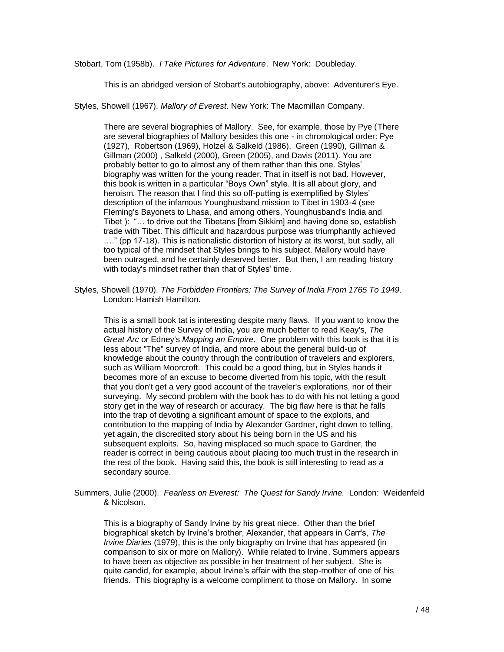Stobart, Tom (1958b). *I Take Pictures for Adventure*. New York: Doubleday.

This is an abridged version of Stobart's autobiography, above: Adventurer's Eye.

Styles, Showell (1967). *Mallory of Everest*. New York: The Macmillan Company.

There are several biographies of Mallory. See, for example, those by Pye (There are several biographies of Mallory besides this one - in chronological order: Pye (1927), Robertson (1969), Holzel & Salkeld (1986), Green (1990), Gillman & Gillman (2000) , Salkeld (2000), Green (2005), and Davis (2011). You are probably better to go to almost any of them rather than this one. Styles' biography was written for the young reader. That in itself is not bad. However, this book is written in a particular "Boys Own" style. It is all about glory, and heroism. The reason that I find this so off-putting is exemplified by Styles' description of the infamous Younghusband mission to Tibet in 1903-4 (see Fleming's Bayonets to Lhasa, and among others, Younghusband's India and Tibet ): "… to drive out the Tibetans [from Sikkim] and having done so, establish trade with Tibet. This difficult and hazardous purpose was triumphantly achieved …." (pp 17-18). This is nationalistic distortion of history at its worst, but sadly, all too typical of the mindset that Styles brings to his subject. Mallory would have been outraged, and he certainly deserved better. But then, I am reading history with today's mindset rather than that of Styles' time.

Styles, Showell (1970). *The Forbidden Frontiers: The Survey of India From 1765 To 1949*. London: Hamish Hamilton.

This is a small book tat is interesting despite many flaws. If you want to know the actual history of the Survey of India, you are much better to read Keay's, *The Great Arc* or Edney's *Mapping an Empire.* One problem with this book is that it is less about "The" survey of India, and more about the general build-up of knowledge about the country through the contribution of travelers and explorers, such as William Moorcroft. This could be a good thing, but in Styles hands it becomes more of an excuse to become diverted from his topic, with the result that you don't get a very good account of the traveler's explorations, nor of their surveying. My second problem with the book has to do with his not letting a good story get in the way of research or accuracy. The big flaw here is that he falls into the trap of devoting a significant amount of space to the exploits, and contribution to the mapping of India by Alexander Gardner, right down to telling, yet again, the discredited story about his being born in the US and his subsequent exploits. So, having misplaced so much space to Gardner, the reader is correct in being cautious about placing too much trust in the research in the rest of the book. Having said this, the book is still interesting to read as a secondary source.

Summers, Julie (2000). *Fearless on Everest: The Quest for Sandy Irvine.* London: Weidenfeld & Nicolson.

This is a biography of Sandy Irvine by his great niece. Other than the brief biographical sketch by Irvine's brother, Alexander, that appears in Carr's, *The Irvine Diaries* (1979), this is the only biography on Irvine that has appeared (in comparison to six or more on Mallory). While related to Irvine, Summers appears to have been as objective as possible in her treatment of her subject. She is quite candid, for example, about Irvine's affair with the step-mother of one of his friends. This biography is a welcome compliment to those on Mallory. In some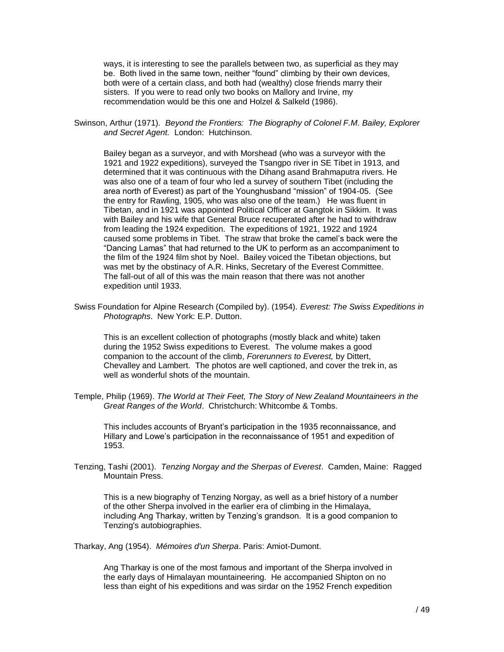ways, it is interesting to see the parallels between two, as superficial as they may be. Both lived in the same town, neither "found" climbing by their own devices, both were of a certain class, and both had (wealthy) close friends marry their sisters. If you were to read only two books on Mallory and Irvine, my recommendation would be this one and Holzel & Salkeld (1986).

Swinson, Arthur (1971). *Beyond the Frontiers: The Biography of Colonel F.M. Bailey, Explorer and Secret Agent.* London: Hutchinson.

Bailey began as a surveyor, and with Morshead (who was a surveyor with the 1921 and 1922 expeditions), surveyed the Tsangpo river in SE Tibet in 1913, and determined that it was continuous with the Dihang asand Brahmaputra rivers. He was also one of a team of four who led a survey of southern Tibet (including the area north of Everest) as part of the Younghusband "mission" of 1904-05. (See the entry for Rawling, 1905, who was also one of the team.) He was fluent in Tibetan, and in 1921 was appointed Political Officer at Gangtok in Sikkim. It was with Bailey and his wife that General Bruce recuperated after he had to withdraw from leading the 1924 expedition. The expeditions of 1921, 1922 and 1924 caused some problems in Tibet. The straw that broke the camel's back were the "Dancing Lamas" that had returned to the UK to perform as an accompaniment to the film of the 1924 film shot by Noel. Bailey voiced the Tibetan objections, but was met by the obstinacy of A.R. Hinks, Secretary of the Everest Committee. The fall-out of all of this was the main reason that there was not another expedition until 1933.

Swiss Foundation for Alpine Research (Compiled by). (1954). *Everest: The Swiss Expeditions in Photographs*. New York: E.P. Dutton.

This is an excellent collection of photographs (mostly black and white) taken during the 1952 Swiss expeditions to Everest. The volume makes a good companion to the account of the climb, *Forerunners to Everest,* by Dittert, Chevalley and Lambert. The photos are well captioned, and cover the trek in, as well as wonderful shots of the mountain.

Temple, Philip (1969). *The World at Their Feet, The Story of New Zealand Mountaineers in the Great Ranges of the World*. Christchurch: Whitcombe & Tombs.

This includes accounts of Bryant's participation in the 1935 reconnaissance, and Hillary and Lowe's participation in the reconnaissance of 1951 and expedition of 1953.

Tenzing, Tashi (2001). *Tenzing Norgay and the Sherpas of Everest*. Camden, Maine: Ragged Mountain Press.

This is a new biography of Tenzing Norgay, as well as a brief history of a number of the other Sherpa involved in the earlier era of climbing in the Himalaya, including Ang Tharkay, written by Tenzing's grandson. It is a good companion to Tenzing's autobiographies.

Tharkay, Ang (1954). *Mémoires d'un Sherpa*. Paris: Amiot-Dumont.

Ang Tharkay is one of the most famous and important of the Sherpa involved in the early days of Himalayan mountaineering. He accompanied Shipton on no less than eight of his expeditions and was sirdar on the 1952 French expedition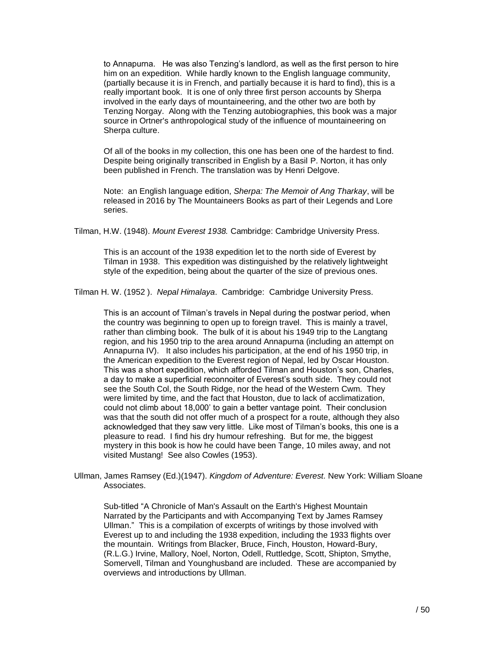to Annapurna. He was also Tenzing's landlord, as well as the first person to hire him on an expedition. While hardly known to the English language community, (partially because it is in French, and partially because it is hard to find), this is a really important book. It is one of only three first person accounts by Sherpa involved in the early days of mountaineering, and the other two are both by Tenzing Norgay. Along with the Tenzing autobiographies, this book was a major source in Ortner's anthropological study of the influence of mountaineering on Sherpa culture.

Of all of the books in my collection, this one has been one of the hardest to find. Despite being originally transcribed in English by a Basil P. Norton, it has only been published in French. The translation was by Henri Delgove.

Note: an English language edition, *Sherpa: The Memoir of Ang Tharkay*, will be released in 2016 by The Mountaineers Books as part of their Legends and Lore series.

Tilman, H.W. (1948). *Mount Everest 1938.* Cambridge: Cambridge University Press.

This is an account of the 1938 expedition let to the north side of Everest by Tilman in 1938. This expedition was distinguished by the relatively lightweight style of the expedition, being about the quarter of the size of previous ones.

Tilman H. W. (1952 ). *Nepal Himalaya*. Cambridge: Cambridge University Press.

This is an account of Tilman's travels in Nepal during the postwar period, when the country was beginning to open up to foreign travel. This is mainly a travel, rather than climbing book. The bulk of it is about his 1949 trip to the Langtang region, and his 1950 trip to the area around Annapurna (including an attempt on Annapurna IV). It also includes his participation, at the end of his 1950 trip, in the American expedition to the Everest region of Nepal, led by Oscar Houston. This was a short expedition, which afforded Tilman and Houston's son, Charles, a day to make a superficial reconnoiter of Everest's south side. They could not see the South Col, the South Ridge, nor the head of the Western Cwm. They were limited by time, and the fact that Houston, due to lack of acclimatization, could not climb about 18,000' to gain a better vantage point. Their conclusion was that the south did not offer much of a prospect for a route, although they also acknowledged that they saw very little. Like most of Tilman's books, this one is a pleasure to read. I find his dry humour refreshing. But for me, the biggest mystery in this book is how he could have been Tange, 10 miles away, and not visited Mustang! See also Cowles (1953).

Ullman, James Ramsey (Ed.)(1947). *Kingdom of Adventure: Everest.* New York: William Sloane Associates.

Sub-titled "A Chronicle of Man's Assault on the Earth's Highest Mountain Narrated by the Participants and with Accompanying Text by James Ramsey Ullman." This is a compilation of excerpts of writings by those involved with Everest up to and including the 1938 expedition, including the 1933 flights over the mountain. Writings from Blacker, Bruce, Finch, Houston, Howard-Bury, (R.L.G.) Irvine, Mallory, Noel, Norton, Odell, Ruttledge, Scott, Shipton, Smythe, Somervell, Tilman and Younghusband are included. These are accompanied by overviews and introductions by Ullman.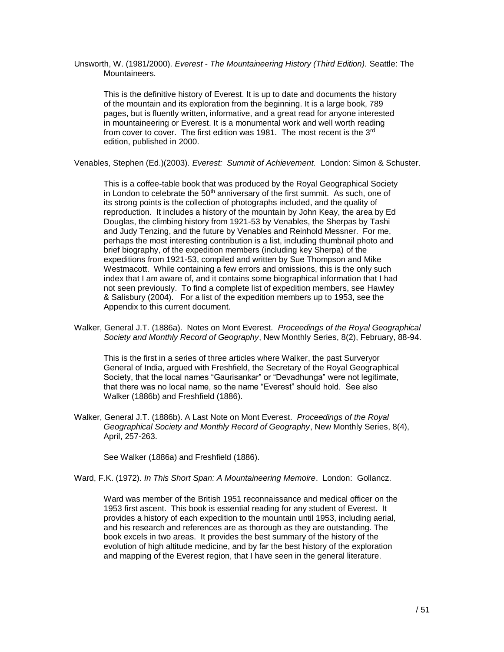Unsworth, W. (1981/2000). *Everest - The Mountaineering History (Third Edition).* Seattle: The Mountaineers.

This is the definitive history of Everest. It is up to date and documents the history of the mountain and its exploration from the beginning. It is a large book, 789 pages, but is fluently written, informative, and a great read for anyone interested in mountaineering or Everest. It is a monumental work and well worth reading from cover to cover. The first edition was 1981. The most recent is the 3<sup>rd</sup> edition, published in 2000.

Venables, Stephen (Ed.)(2003). *Everest: Summit of Achievement.* London: Simon & Schuster.

This is a coffee-table book that was produced by the Royal Geographical Society in London to celebrate the  $50<sup>th</sup>$  anniversary of the first summit. As such, one of its strong points is the collection of photographs included, and the quality of reproduction. It includes a history of the mountain by John Keay, the area by Ed Douglas, the climbing history from 1921-53 by Venables, the Sherpas by Tashi and Judy Tenzing, and the future by Venables and Reinhold Messner. For me, perhaps the most interesting contribution is a list, including thumbnail photo and brief biography, of the expedition members (including key Sherpa) of the expeditions from 1921-53, compiled and written by Sue Thompson and Mike Westmacott. While containing a few errors and omissions, this is the only such index that I am aware of, and it contains some biographical information that I had not seen previously. To find a complete list of expedition members, see Hawley & Salisbury (2004). For a list of the expedition members up to 1953, see the Appendix to this current document.

Walker, General J.T. (1886a). Notes on Mont Everest. *Proceedings of the Royal Geographical Society and Monthly Record of Geography*, New Monthly Series, 8(2), February, 88-94.

This is the first in a series of three articles where Walker, the past Surveryor General of India, argued with Freshfield, the Secretary of the Royal Geographical Society, that the local names "Gaurisankar" or "Devadhunga" were not legitimate, that there was no local name, so the name "Everest" should hold. See also Walker (1886b) and Freshfield (1886).

Walker, General J.T. (1886b). A Last Note on Mont Everest. *Proceedings of the Royal Geographical Society and Monthly Record of Geography*, New Monthly Series, 8(4), April, 257-263.

See Walker (1886a) and Freshfield (1886).

Ward, F.K. (1972). *In This Short Span: A Mountaineering Memoire*. London: Gollancz.

Ward was member of the British 1951 reconnaissance and medical officer on the 1953 first ascent. This book is essential reading for any student of Everest. It provides a history of each expedition to the mountain until 1953, including aerial, and his research and references are as thorough as they are outstanding. The book excels in two areas. It provides the best summary of the history of the evolution of high altitude medicine, and by far the best history of the exploration and mapping of the Everest region, that I have seen in the general literature.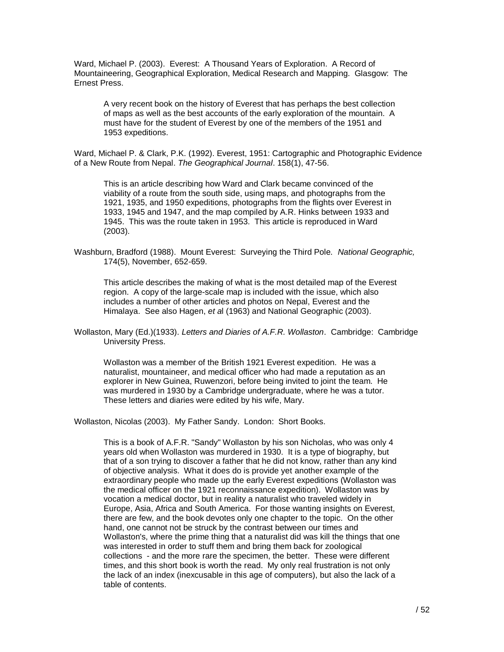Ward, Michael P. (2003). Everest: A Thousand Years of Exploration. A Record of Mountaineering, Geographical Exploration, Medical Research and Mapping. Glasgow: The Ernest Press.

A very recent book on the history of Everest that has perhaps the best collection of maps as well as the best accounts of the early exploration of the mountain. A must have for the student of Everest by one of the members of the 1951 and 1953 expeditions.

Ward, Michael P. & Clark, P.K. (1992). Everest, 1951: Cartographic and Photographic Evidence of a New Route from Nepal. *The Geographical Journal*. 158(1), 47-56.

This is an article describing how Ward and Clark became convinced of the viability of a route from the south side, using maps, and photographs from the 1921, 1935, and 1950 expeditions, photographs from the flights over Everest in 1933, 1945 and 1947, and the map compiled by A.R. Hinks between 1933 and 1945. This was the route taken in 1953. This article is reproduced in Ward (2003).

Washburn, Bradford (1988). Mount Everest: Surveying the Third Pole. *National Geographic,* 174(5), November, 652-659.

This article describes the making of what is the most detailed map of the Everest region. A copy of the large-scale map is included with the issue, which also includes a number of other articles and photos on Nepal, Everest and the Himalaya. See also Hagen, *et a*l (1963) and National Geographic (2003).

Wollaston was a member of the British 1921 Everest expedition. He was a naturalist, mountaineer, and medical officer who had made a reputation as an explorer in New Guinea, Ruwenzori, before being invited to joint the team. He was murdered in 1930 by a Cambridge undergraduate, where he was a tutor. These letters and diaries were edited by his wife, Mary.

Wollaston, Nicolas (2003). My Father Sandy. London: Short Books.

This is a book of A.F.R. "Sandy" Wollaston by his son Nicholas, who was only 4 years old when Wollaston was murdered in 1930. It is a type of biography, but that of a son trying to discover a father that he did not know, rather than any kind of objective analysis. What it does do is provide yet another example of the extraordinary people who made up the early Everest expeditions (Wollaston was the medical officer on the 1921 reconnaissance expedition). Wollaston was by vocation a medical doctor, but in reality a naturalist who traveled widely in Europe, Asia, Africa and South America. For those wanting insights on Everest, there are few, and the book devotes only one chapter to the topic. On the other hand, one cannot not be struck by the contrast between our times and Wollaston's, where the prime thing that a naturalist did was kill the things that one was interested in order to stuff them and bring them back for zoological collections - and the more rare the specimen, the better. These were different times, and this short book is worth the read. My only real frustration is not only the lack of an index (inexcusable in this age of computers), but also the lack of a table of contents.

Wollaston, Mary (Ed.)(1933). *Letters and Diaries of A.F.R. Wollaston*. Cambridge: Cambridge University Press.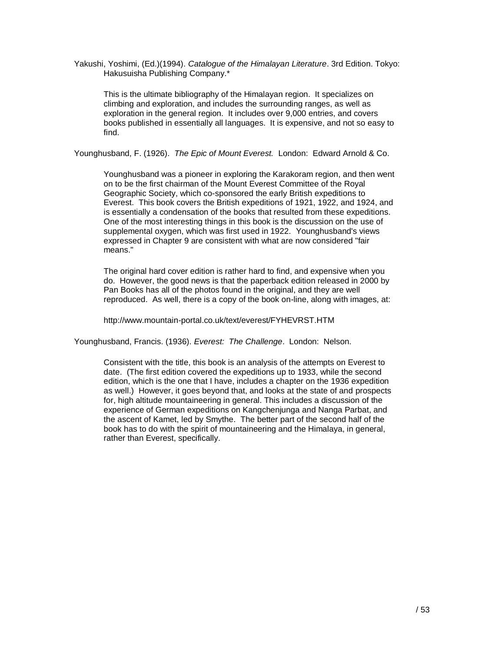Yakushi, Yoshimi, (Ed.)(1994). *Catalogue of the Himalayan Literature*. 3rd Edition. Tokyo: Hakusuisha Publishing Company.\*

This is the ultimate bibliography of the Himalayan region. It specializes on climbing and exploration, and includes the surrounding ranges, as well as exploration in the general region. It includes over 9,000 entries, and covers books published in essentially all languages. It is expensive, and not so easy to find.

Younghusband, F. (1926). *The Epic of Mount Everest.* London: Edward Arnold & Co.

Younghusband was a pioneer in exploring the Karakoram region, and then went on to be the first chairman of the Mount Everest Committee of the Royal Geographic Society, which co-sponsored the early British expeditions to Everest. This book covers the British expeditions of 1921, 1922, and 1924, and is essentially a condensation of the books that resulted from these expeditions. One of the most interesting things in this book is the discussion on the use of supplemental oxygen, which was first used in 1922. Younghusband's views expressed in Chapter 9 are consistent with what are now considered "fair means."

The original hard cover edition is rather hard to find, and expensive when you do. However, the good news is that the paperback edition released in 2000 by Pan Books has all of the photos found in the original, and they are well reproduced. As well, there is a copy of the book on-line, along with images, at:

http://www.mountain-portal.co.uk/text/everest/FYHEVRST.HTM

Younghusband, Francis. (1936). *Everest: The Challenge*. London: Nelson.

Consistent with the title, this book is an analysis of the attempts on Everest to date. (The first edition covered the expeditions up to 1933, while the second edition, which is the one that I have, includes a chapter on the 1936 expedition as well.) However, it goes beyond that, and looks at the state of and prospects for, high altitude mountaineering in general. This includes a discussion of the experience of German expeditions on Kangchenjunga and Nanga Parbat, and the ascent of Kamet, led by Smythe. The better part of the second half of the book has to do with the spirit of mountaineering and the Himalaya, in general, rather than Everest, specifically.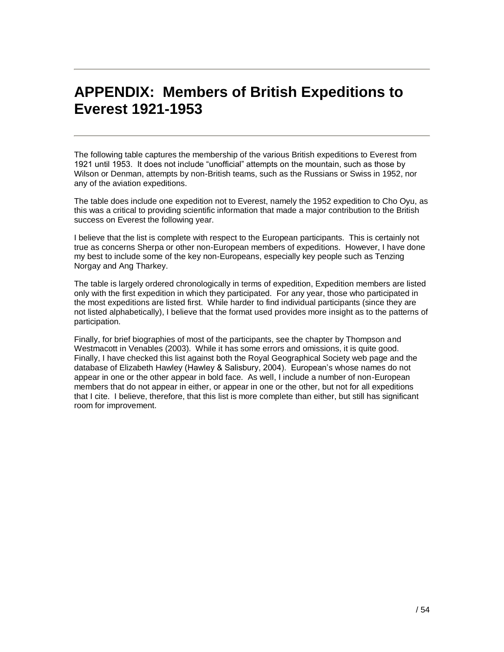## **APPENDIX: Members of British Expeditions to Everest 1921-1953**

The following table captures the membership of the various British expeditions to Everest from 1921 until 1953. It does not include "unofficial" attempts on the mountain, such as those by Wilson or Denman, attempts by non-British teams, such as the Russians or Swiss in 1952, nor any of the aviation expeditions.

The table does include one expedition not to Everest, namely the 1952 expedition to Cho Oyu, as this was a critical to providing scientific information that made a major contribution to the British success on Everest the following year.

I believe that the list is complete with respect to the European participants. This is certainly not true as concerns Sherpa or other non-European members of expeditions. However, I have done my best to include some of the key non-Europeans, especially key people such as Tenzing Norgay and Ang Tharkey.

The table is largely ordered chronologically in terms of expedition, Expedition members are listed only with the first expedition in which they participated. For any year, those who participated in the most expeditions are listed first. While harder to find individual participants (since they are not listed alphabetically), I believe that the format used provides more insight as to the patterns of participation.

Finally, for brief biographies of most of the participants, see the chapter by Thompson and Westmacott in Venables (2003). While it has some errors and omissions, it is quite good. Finally, I have checked this list against both the Royal Geographical Society web page and the database of Elizabeth Hawley (Hawley & Salisbury, 2004). European's whose names do not appear in one or the other appear in bold face. As well, I include a number of non-European members that do not appear in either, or appear in one or the other, but not for all expeditions that I cite. I believe, therefore, that this list is more complete than either, but still has significant room for improvement.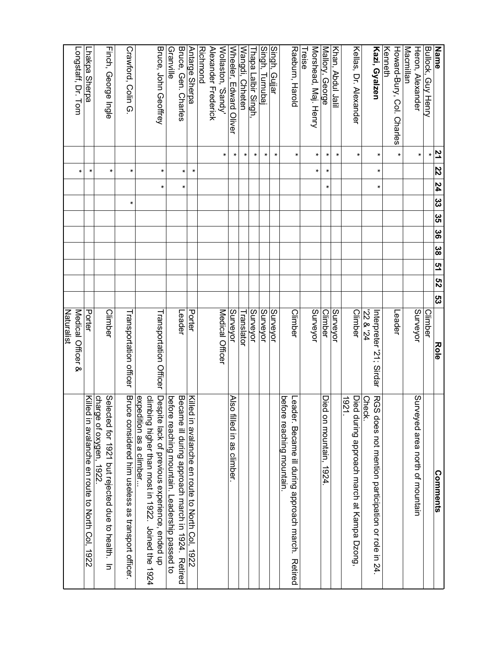| <b>Name</b>                            | 21     | 22 | 77 | 32 35 | 98 | ဖိ | <u>ო</u> | $\overline{52}$ | ပ္လ | <b>Role</b>                        | <b>Comments</b>                                                                |
|----------------------------------------|--------|----|----|-------|----|----|----------|-----------------|-----|------------------------------------|--------------------------------------------------------------------------------|
| Bullock, Guy Henry                     | *      |    |    |       |    |    |          |                 |     | Climber                            |                                                                                |
| Heron, Alexander                       | ×      |    |    |       |    |    |          |                 |     | Surveyor                           | Surveyed area north of mountain                                                |
| Macmillan                              |        |    |    |       |    |    |          |                 |     |                                    |                                                                                |
| Howard-Bury, Col. Charles<br>Kenneth   | *      |    |    |       |    |    |          |                 |     | Leader                             |                                                                                |
| Kazi, Gyalzen                          | ×      | ×  | ×  |       |    |    |          |                 |     | 22 & 24<br>Interpreter '21; Sirdar | RGS does not menticipaticipation or role in 24.<br>Check.                      |
| Kellas, Dr. Alexander                  | *      |    |    |       |    |    |          |                 |     | <b>Climber</b>                     | 1921.<br>Died<br>during approach march at Kampa Dzong,                         |
| Khan, Abdul Jalil                      | ×      |    |    |       |    |    |          |                 |     | Surveyor                           |                                                                                |
| Mallory, George                        | $\ast$ | *  | *  |       |    |    |          |                 |     | <b>Climber</b>                     | Died<br>on mountain, 1924.                                                     |
| Morshead, Maj. Henry<br>Treise         | *      | *  |    |       |    |    |          |                 |     | Surveyor                           |                                                                                |
| Raeburn, Harold                        | ×      |    |    |       |    |    |          |                 |     | Climber                            | before reaching mountain.<br>Leader. Became ill during approach march. Retired |
| Singh, Gujjar                          | ×      |    |    |       |    |    |          |                 |     | Surveyor                           |                                                                                |
| Singh, Turnubaj                        | ×      |    |    |       |    |    |          |                 |     | <b>Surveyor</b>                    |                                                                                |
| Thapa Lalbir Singh                     | $\ast$ |    |    |       |    |    |          |                 |     | Surveyor                           |                                                                                |
| Wangdi, Chheten                        | *      |    |    |       |    |    |          |                 |     | Translator                         |                                                                                |
| Wheeler, Edward Oliver                 | ×      |    |    |       |    |    |          |                 |     | <b>Surveyor</b>                    | <b>Also</b><br>filled in as climber.                                           |
| Wollaston, 'Sandy'                     | ×      |    |    |       |    |    |          |                 |     | Medical Officer                    |                                                                                |
| Alexander Frederick<br><b>Richmond</b> |        |    |    |       |    |    |          |                 |     |                                    |                                                                                |
| <b>Antarge Sherpa</b>                  |        | ×  |    |       |    |    |          |                 |     | Porter                             | <u>Killed</u><br>I in avalanche en route to North Col, 1922                    |
| Bruce, Gen. Charles                    |        | *  | *  |       |    |    |          |                 |     | Leader                             | Became ill during approach march in 1924. Retired                              |
| Granville                              |        |    |    |       |    |    |          |                 |     |                                    | before reaching mountain. Leadership passed to                                 |
| Bruce, John Geoffrey                   |        | ×  | *  |       |    |    |          |                 |     | Transportation Officer             | Despite lack of previous experience, ended up                                  |
|                                        |        |    |    |       |    |    |          |                 |     |                                    | expedition as a climber<br>climbing higher than most in 1922. Joined the 1924  |
| Crawford, Colin G.                     |        | ×  |    | *     |    |    |          |                 |     | Transportation officer             | Bruce considered him useless as transport officer.                             |
| Finch, George Ingle                    |        | *  |    |       |    |    |          |                 |     | <b>Climber</b>                     | charge of oxygen, 1922.<br>Selected tor 1921 primate due to health. In         |
| Lhakpa Sherpa                          |        | *  |    |       |    |    |          |                 |     | Porter                             | Killed<br>in avalanche en route to North Col, 1922                             |
| Longstaff, Dr. Tom                     |        | ×  |    |       |    |    |          |                 |     | Medical Officer &<br>Naturalist    |                                                                                |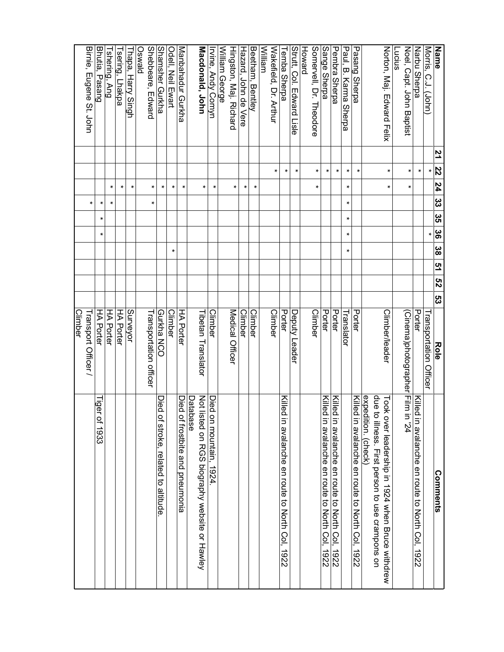| <b>Name</b>               | 21 | 22 | 77     | 32 35 | <u>ဖွ</u>        | <u>ဖွ</u> | <b>51 52</b> | ღ<br>ვ | Role                             | Comments                                                                                               |
|---------------------------|----|----|--------|-------|------------------|-----------|--------------|--------|----------------------------------|--------------------------------------------------------------------------------------------------------|
| Morris, C.J. (John)       |    | ×  |        |       | ×                |           |              |        | Transportation Officer           |                                                                                                        |
| Narbu Sherpa              |    | ×  |        |       |                  |           |              |        | Porter                           | Killed in a salanche en route to North Col, 1922                                                       |
| Noel, Capt. John Baptist  |    | *  | *      |       |                  |           |              |        | (Cinema)photographer[Film in "24 |                                                                                                        |
| Lucius                    |    |    |        |       |                  |           |              |        |                                  |                                                                                                        |
| Norton, Maj. Edward Hix   |    | *  | ×      |       |                  |           |              |        | Climber/leader                   | que<br>Took over leadership in 1924 when Bruce withdrew<br>to illness. First person to use crampons on |
|                           |    |    |        |       |                  |           |              |        |                                  | expedition. (check)                                                                                    |
| <b>Pasang Sherpa</b>      |    | ∗  |        |       |                  |           |              |        | Porter                           | Killed in avalanche en route to North Col, 1922                                                        |
| Paul, B. Karma Sherpa     |    | ×  | ×      | ×     | ×<br>×           | ×         |              |        | Translator                       |                                                                                                        |
| Pembra Sherpa             |    | ×  |        |       |                  |           |              |        | Porter                           | Killec<br>in avalanche en route to North Col,<br>1922                                                  |
| Sange Sherpa              |    | *  |        |       |                  |           |              |        | Porter                           | Killed in avalanche en route to North Col, 1922                                                        |
| Somervell, Dr. Theodore   |    | ×  | *      |       |                  |           |              |        | <b>Climber</b>                   |                                                                                                        |
| Howard                    |    |    |        |       |                  |           |              |        |                                  |                                                                                                        |
| Strutt, Col. Edward Lisle |    | *  |        |       |                  |           |              |        | Deputy Leader                    |                                                                                                        |
| <b>Temba Sherpa</b>       |    | *  |        |       |                  |           |              |        | Porter                           | Killed in avalanche en route to North Col, 1922                                                        |
| Wakefield, Dr. Arthur     |    | ×  |        |       |                  |           |              |        | Climber                          |                                                                                                        |
| William                   |    |    |        |       |                  |           |              |        |                                  |                                                                                                        |
| Beetham, Bentley          |    |    | *      |       |                  |           |              |        | <b>Climber</b>                   |                                                                                                        |
| Hazard, John de Vere      |    |    | *      |       |                  |           |              |        | Climber                          |                                                                                                        |
| Hingston, Maj. Richard    |    |    | ×      |       |                  |           |              |        | Medical Officer                  |                                                                                                        |
| William George            |    |    |        |       |                  |           |              |        |                                  |                                                                                                        |
| Irvine, Andy Comyn        |    |    | ×      |       |                  |           |              |        | Climber                          | Died on mountain, 1924                                                                                 |
| Macdonald, John           |    |    | ×.     |       |                  |           |              |        | Tibetan Translator               | Not listed on RGS biography website or Hawley<br>Database                                              |
| Manbahadur Gurkha         |    |    | $\ast$ |       |                  |           |              |        | <b>HA Porter</b>                 | Died<br>of frostbite and pneumonia                                                                     |
| Odell, Neil Ewart         |    |    | ×      |       |                  | *         |              |        | <b>Climber</b>                   |                                                                                                        |
| <b>Shamsher Gurkha</b>    |    |    | *      |       |                  |           |              |        | <b>Gurkha NCC</b>                | Died<br>of stroke, related to altitude                                                                 |
| Shebbeare, Edward         |    |    | *      | ×     |                  |           |              |        | Transportation officer           |                                                                                                        |
| <b>DIRWSO</b>             |    |    |        |       |                  |           |              |        |                                  |                                                                                                        |
| Thapa, Harry Singh        |    |    | *      |       |                  |           |              |        | Surveyor                         |                                                                                                        |
| Tsering, Lhakpa           |    |    | ×      |       |                  |           |              |        | <b>HA Porter</b>                 |                                                                                                        |
| Tshering, Ang             |    |    | ×      | *     |                  |           |              |        | <b>HA Porter</b>                 |                                                                                                        |
| Bhutia, Pasang            |    |    |        | *     | $\ast$<br>$\ast$ |           |              |        | <b>HA Porter</b>                 | ligel<br>of 1933                                                                                       |
| Birnie, Eugene St. John   |    |    |        | ×     |                  |           |              |        | Transport Officer /<br>Climber   |                                                                                                        |
|                           |    |    |        |       |                  |           |              |        |                                  |                                                                                                        |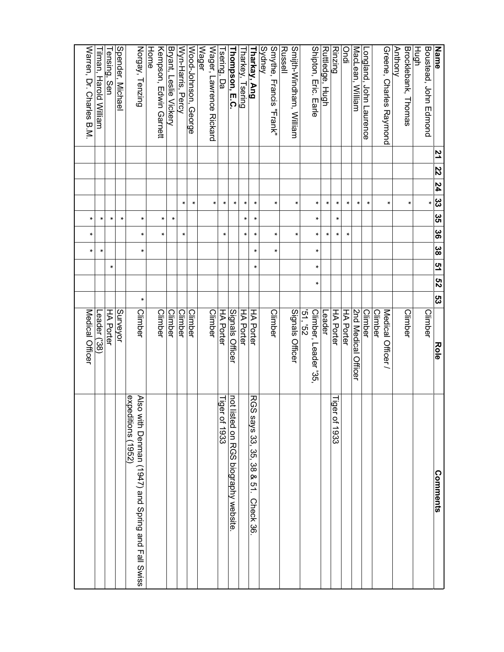| Name                                    | 21 | 22 | $\overline{24}$ | $\overline{\mathfrak{g}}$ | မ္မ<br>၁၁ | $\frac{8}{3}$ | <u>ဖွ</u> | <b>51 52</b> |   | ပ္ပ | Role                                | Comments                                                                          |
|-----------------------------------------|----|----|-----------------|---------------------------|-----------|---------------|-----------|--------------|---|-----|-------------------------------------|-----------------------------------------------------------------------------------|
| Boustead, John Hamond<br>Hugh           |    |    |                 | *                         |           |               |           |              |   |     | Climber                             |                                                                                   |
| Brocklebank, Thomas                     |    |    |                 | *                         |           |               |           |              |   |     | <b>Climber</b>                      |                                                                                   |
| <b>Anthony</b>                          |    |    |                 |                           |           |               |           |              |   |     |                                     |                                                                                   |
| Greene, Charles Raymond                 |    |    |                 | *                         |           |               |           |              |   |     | Medical Officer /<br><b>Climber</b> |                                                                                   |
| Longland, John Laurence                 |    |    |                 | *                         |           |               |           |              |   |     | <b>Climber</b>                      |                                                                                   |
| MacLean, William                        |    |    |                 | *                         |           |               |           |              |   |     | 2nd Medical<br>Officer              |                                                                                   |
| ipuo                                    |    |    |                 | ×                         |           | ×             |           |              |   |     | <b>HA Porter</b>                    |                                                                                   |
| <b>Rinzing</b>                          |    |    |                 | ×                         | ×         | ×             |           |              |   |     | HA Porter                           | Tiger<br>of 1933                                                                  |
| Ruttledge,<br><b>Hugh</b>               |    |    |                 | *                         |           | *             |           |              |   |     | Leader                              |                                                                                   |
| Shipton, Eric. Earle                    |    |    |                 | *                         | ×         | ×             | ×         | *            | × |     | 29, 25<br>Climber, Leader '35,      |                                                                                   |
| Smilth-Nindham, Nillian<br>Russell      |    |    |                 | *                         |           | *             |           |              |   |     | Signals Officer                     |                                                                                   |
| Smythe, Francis "Frank"<br>Sydney       |    |    |                 | ×                         |           | $\ast$        | $\ast$    |              |   |     | Climber                             |                                                                                   |
| Tharkay, Ang                            |    |    |                 | $\ast$                    | *         | *             | *         | *            |   |     | <b>HA Porter</b>                    | <b>RGS</b><br>says 33, 35, 38 & 51. Check 36                                      |
| Tharkey, Tsering                        |    |    |                 | *                         | *         | ×             |           |              |   |     | <b>HA Porter</b>                    |                                                                                   |
| Thompson, E.C.                          |    |    |                 | ×                         |           |               |           |              |   |     | Signals Officer                     | not listed on RGS piography website                                               |
| Tsering, Da                             |    |    |                 | *                         |           | $\ast$        |           |              |   |     | <b>HA Porter</b>                    | Tiger of 1933                                                                     |
| <b>Wager</b><br>Wager, Lawrence Rickard |    |    |                 | *                         |           |               |           |              |   |     | <b>Climber</b>                      |                                                                                   |
| Wood-Johnson, George                    |    |    |                 | $\ast$                    |           |               |           |              |   |     | Climber                             |                                                                                   |
| Wyn-Harris, Percy                       |    |    |                 | *                         |           | *             |           |              |   |     | Climber                             |                                                                                   |
| Bryant, Leslie Vickery                  |    |    |                 |                           | *         |               |           |              |   |     | Climber                             |                                                                                   |
| <b>Home</b><br>Kempson, Edwin Garnett   |    |    |                 |                           | ×         | *             |           |              |   |     | <b>Climber</b>                      |                                                                                   |
| Norgay, Tenzing                         |    |    |                 |                           | *         | *             | *         |              |   | *   | <b>Climber</b>                      | expeditions (1952)<br><b>Also</b><br>with Denman (1947) and Spring and Fall Swiss |
| Spender, Michae                         |    |    |                 |                           | ×         |               |           |              |   |     | <b>Surveyor</b>                     |                                                                                   |
| Tensing, Sen                            |    |    |                 |                           | *         |               |           | *            |   |     | HA Porter                           |                                                                                   |
| Tilman, Harold William                  |    |    |                 |                           | *         |               | *         |              |   |     | Leader ('38)                        |                                                                                   |
| Warren, Dr. Charles B.M                 |    |    |                 |                           | ×         | ×             | ×         |              |   |     | Medical Officer                     |                                                                                   |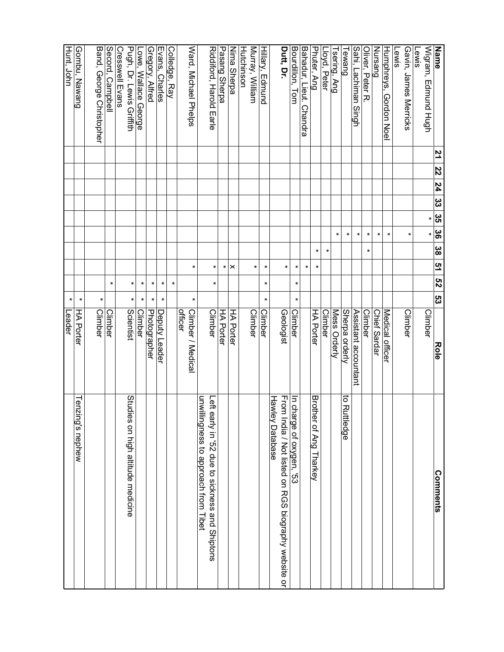| <b>Name</b>                                 | 21 | 22 | 77 | ယ္လ | ပ္ပ<br>၁ | 88     | <u>ဖွ</u> | <u>ო</u> | ZS     | ပ္လ<br>Role               | Comments                                                                                   |
|---------------------------------------------|----|----|----|-----|----------|--------|-----------|----------|--------|---------------------------|--------------------------------------------------------------------------------------------|
| Wigram, Edmund Hugh<br>Lewis                |    |    |    |     | *        | ×      |           |          |        | Climber                   |                                                                                            |
| Gavin, James Merricks                       |    |    |    |     |          | $\ast$ |           |          |        | <b>Climber</b>            |                                                                                            |
| <b>Lewis</b>                                |    |    |    |     |          |        |           |          |        |                           |                                                                                            |
| Humphreys, Gordon Noel                      |    |    |    |     |          | $\ast$ |           |          |        | Medical officer           |                                                                                            |
| Nursang                                     |    |    |    |     |          | $\ast$ |           |          |        | Chief Sardar              |                                                                                            |
| Oliver, Peter R                             |    |    |    |     |          | ×      | *         |          |        | <b>Climber</b>            |                                                                                            |
| Sahi, Lachiman Singh                        |    |    |    |     |          | $\ast$ |           |          |        | Assistant accountant      |                                                                                            |
| Tewang                                      |    |    |    |     |          | $\ast$ |           |          |        | Sherpa orderly            | to Ruttledge                                                                               |
| Tsering, Ang                                |    |    |    |     |          | ×      |           |          |        | Mess Orderly              |                                                                                            |
| Lloyd, Peter                                |    |    |    |     |          |        | $\ast$    |          |        | <b>Climber</b>            |                                                                                            |
| Phuter, Ang                                 |    |    |    |     |          |        | $\ast$    | $\ast$   |        | <b>HA Porter</b>          | <b>Broth</b><br>ler of Ang Tharkey                                                         |
| Bahadur, Lieut.<br><b>Chandra</b>           |    |    |    |     |          |        |           | $\ast$   |        |                           |                                                                                            |
| Bourdillon, Tom                             |    |    |    |     |          |        |           | *        | ×      | $\ast$<br>Climber         | In charge of oxygen, '53                                                                   |
| Dutt, Dr.                                   |    |    |    |     |          |        |           | $\ast$   |        | Geologist                 | From<br><b>Hawley Database</b><br>India / Not listed on RGS biography website or           |
| Hillary, Edmund                             |    |    |    |     |          |        |           | $\ast$   | $\ast$ | $\star$<br>Climber        |                                                                                            |
| Murray, William                             |    |    |    |     |          |        |           | $\ast$   |        | Climber                   |                                                                                            |
| <b>Hutchinson</b>                           |    |    |    |     |          |        |           |          |        |                           |                                                                                            |
| Ninna Sherpa                                |    |    |    |     |          |        |           | $\times$ |        | <b>HA Porter</b>          |                                                                                            |
| Pasang Sherpa                               |    |    |    |     |          |        |           | *        |        | HA Porter                 |                                                                                            |
| Riddiford, Harold Earle                     |    |    |    |     |          |        |           | $\ast$   | $\ast$ | <b>Climber</b>            | lliwnu<br>Lett early in '52 que to sickness and Shiptons<br>ingness to approach from Tibet |
| Ward, Michael Phelps                        |    |    |    |     |          |        |           | $\ast$   |        | ×<br>Climber / Medica     |                                                                                            |
|                                             |    |    |    |     |          |        |           |          |        | <b>officer</b>            |                                                                                            |
| Colledge, Ray                               |    |    |    |     |          |        |           |          | $\ast$ |                           |                                                                                            |
| Evans, Charles                              |    |    |    |     |          |        |           |          | *      | *<br>Deputy Leader        |                                                                                            |
| Gregory, Alfred                             |    |    |    |     |          |        |           |          | *      | *<br>Ph <u>otographer</u> |                                                                                            |
| Lowe, Wallace George                        |    |    |    |     |          |        |           |          | $\ast$ | ×<br><b>Climber</b>       |                                                                                            |
| Pugh, Dr. Lewis Griffith<br>Cresswell Evans |    |    |    |     |          |        |           |          | $\ast$ | *<br>Scientist            | Studies on high altitude medicine                                                          |
| Secord, Campbell                            |    |    |    |     |          |        |           |          | $\ast$ | Climber                   |                                                                                            |
| Band, George Christopher                    |    |    |    |     |          |        |           |          |        | $\ast$<br><b>Climber</b>  |                                                                                            |
| Gombu, Nawang                               |    |    |    |     |          |        |           |          |        | $\ast$<br>HA Porter       | Tenzi<br>ing's nephew                                                                      |
| Hu <u>nt, John</u>                          |    |    |    |     |          |        |           |          |        | *<br>Leader               |                                                                                            |